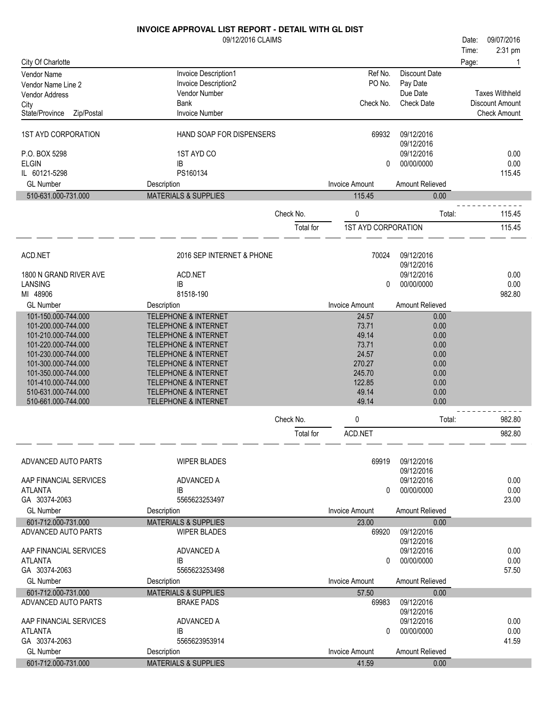|                                         | <b>INVOICE APPROVAL LIST REPORT - DETAIL WITH GL DIST</b> |           |                                 |                          |       |                                        |
|-----------------------------------------|-----------------------------------------------------------|-----------|---------------------------------|--------------------------|-------|----------------------------------------|
|                                         | 09/12/2016 CLAIMS                                         |           |                                 |                          | Date: | 09/07/2016                             |
|                                         |                                                           |           |                                 |                          | Time: | 2:31 pm                                |
| City Of Charlotte                       |                                                           |           |                                 |                          | Page: |                                        |
| <b>Vendor Name</b>                      | Invoice Description1                                      |           | Ref No.                         | Discount Date            |       |                                        |
| Vendor Name Line 2                      | Invoice Description2                                      |           | PO No.                          | Pay Date                 |       |                                        |
| Vendor Address                          | Vendor Number                                             |           |                                 | Due Date                 |       | <b>Taxes Withheld</b>                  |
| City                                    | <b>Bank</b>                                               |           | Check No.                       | <b>Check Date</b>        |       | Discount Amount<br><b>Check Amount</b> |
| State/Province<br>Zip/Postal            | <b>Invoice Number</b>                                     |           |                                 |                          |       |                                        |
| <b>1ST AYD CORPORATION</b>              | HAND SOAP FOR DISPENSERS                                  |           | 69932                           | 09/12/2016               |       |                                        |
|                                         |                                                           |           |                                 | 09/12/2016               |       |                                        |
| P.O. BOX 5298                           | 1ST AYD CO                                                |           |                                 | 09/12/2016               |       | 0.00                                   |
| <b>ELGIN</b>                            | IB                                                        |           | 0                               | 00/00/0000               |       | 0.00                                   |
| IL 60121-5298                           | PS160134                                                  |           |                                 |                          |       | 115.45                                 |
| <b>GL Number</b><br>510-631.000-731.000 | Description<br><b>MATERIALS &amp; SUPPLIES</b>            |           | <b>Invoice Amount</b><br>115.45 | Amount Relieved<br>0.00  |       |                                        |
|                                         |                                                           |           |                                 |                          |       |                                        |
|                                         |                                                           | Check No. | 0                               | Total:                   |       | 115.45                                 |
|                                         |                                                           | Total for | <b>1ST AYD CORPORATION</b>      |                          |       | 115.45                                 |
|                                         |                                                           |           |                                 |                          |       |                                        |
| ACD.NET                                 | 2016 SEP INTERNET & PHONE                                 |           | 70024                           | 09/12/2016<br>09/12/2016 |       |                                        |
| 1800 N GRAND RIVER AVE                  | ACD.NET                                                   |           |                                 | 09/12/2016               |       | 0.00                                   |
| <b>LANSING</b>                          | IB                                                        |           | 0                               | 00/00/0000               |       | 0.00                                   |
| MI 48906                                | 81518-190                                                 |           |                                 |                          |       | 982.80                                 |
| <b>GL Number</b>                        | Description                                               |           | <b>Invoice Amount</b>           | Amount Relieved          |       |                                        |
| 101-150.000-744.000                     | <b>TELEPHONE &amp; INTERNET</b>                           |           | 24.57                           | 0.00                     |       |                                        |
| 101-200.000-744.000                     | <b>TELEPHONE &amp; INTERNET</b>                           |           | 73.71                           | 0.00                     |       |                                        |
| 101-210.000-744.000                     | <b>TELEPHONE &amp; INTERNET</b>                           |           | 49.14                           | 0.00                     |       |                                        |
| 101-220.000-744.000                     | <b>TELEPHONE &amp; INTERNET</b>                           |           | 73.71                           | 0.00                     |       |                                        |
| 101-230.000-744.000                     | <b>TELEPHONE &amp; INTERNET</b>                           |           | 24.57                           | 0.00                     |       |                                        |
| 101-300.000-744.000                     | <b>TELEPHONE &amp; INTERNET</b>                           |           | 270.27                          | 0.00                     |       |                                        |
| 101-350.000-744.000                     | <b>TELEPHONE &amp; INTERNET</b>                           |           | 245.70                          | 0.00                     |       |                                        |
| 101-410.000-744.000                     | <b>TELEPHONE &amp; INTERNET</b>                           |           | 122.85                          | 0.00                     |       |                                        |
| 510-631.000-744.000                     | <b>TELEPHONE &amp; INTERNET</b>                           |           | 49.14                           | 0.00                     |       |                                        |
| 510-661.000-744.000                     | <b>TELEPHONE &amp; INTERNET</b>                           |           | 49.14                           | 0.00                     |       |                                        |
|                                         |                                                           | Check No. | 0                               | Total:                   |       | 982.80                                 |
|                                         |                                                           | Total for | ACD.NET                         |                          |       | 982.80                                 |
|                                         |                                                           |           |                                 |                          |       |                                        |
| ADVANCED AUTO PARTS                     | <b>WIPER BLADES</b>                                       |           | 69919                           | 09/12/2016               |       |                                        |
|                                         |                                                           |           |                                 | 09/12/2016               |       |                                        |
| AAP FINANCIAL SERVICES                  | ADVANCED A                                                |           |                                 | 09/12/2016               |       | 0.00                                   |
| ATLANTA                                 | IB                                                        |           | 0                               | 00/00/0000               |       | 0.00                                   |
| GA 30374-2063                           | 5565623253497                                             |           |                                 |                          |       | 23.00                                  |
| <b>GL Number</b>                        | Description                                               |           | <b>Invoice Amount</b>           | Amount Relieved          |       |                                        |
| 601-712.000-731.000                     | <b>MATERIALS &amp; SUPPLIES</b>                           |           | 23.00                           | 0.00                     |       |                                        |
| ADVANCED AUTO PARTS                     | <b>WIPER BLADES</b>                                       |           | 69920                           | 09/12/2016               |       |                                        |
|                                         |                                                           |           |                                 | 09/12/2016               |       |                                        |
| AAP FINANCIAL SERVICES                  | ADVANCED A                                                |           |                                 | 09/12/2016               |       | 0.00                                   |
| <b>ATLANTA</b>                          | IB                                                        |           | 0                               | 00/00/0000               |       | 0.00                                   |
| GA 30374-2063                           | 5565623253498                                             |           |                                 |                          |       | 57.50                                  |
| <b>GL Number</b>                        | Description                                               |           | <b>Invoice Amount</b>           | Amount Relieved          |       |                                        |
| 601-712.000-731.000                     | <b>MATERIALS &amp; SUPPLIES</b>                           |           | 57.50                           | 0.00                     |       |                                        |
| ADVANCED AUTO PARTS                     | <b>BRAKE PADS</b>                                         |           | 69983                           | 09/12/2016               |       |                                        |
|                                         |                                                           |           |                                 | 09/12/2016               |       |                                        |
| AAP FINANCIAL SERVICES                  | ADVANCED A                                                |           |                                 | 09/12/2016               |       | 0.00<br>0.00                           |
| <b>ATLANTA</b><br>GA 30374-2063         | IB<br>5565623953914                                       |           | 0                               | 00/00/0000               |       | 41.59                                  |
| <b>GL Number</b>                        |                                                           |           | <b>Invoice Amount</b>           | Amount Relieved          |       |                                        |
|                                         | Description                                               |           |                                 |                          |       |                                        |
| 601-712.000-731.000                     | <b>MATERIALS &amp; SUPPLIES</b>                           |           | 41.59                           | 0.00                     |       |                                        |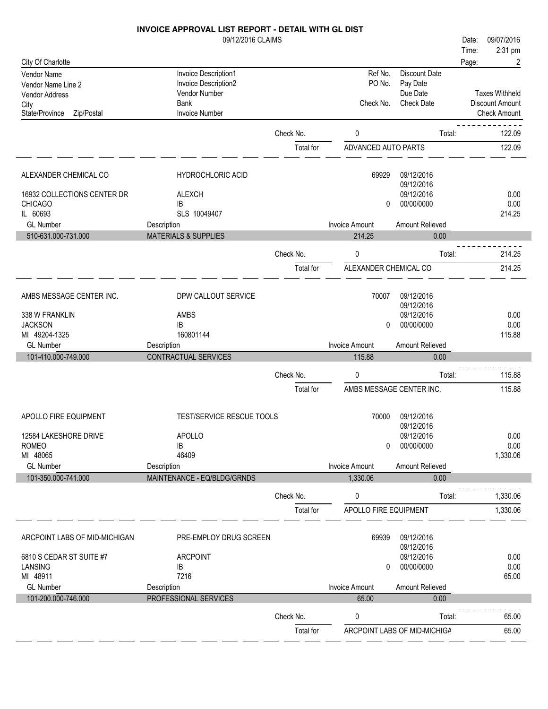#### 09/12/2016 CLAIMS **INVOICE APPROVAL LIST REPORT - DETAIL WITH GL DIST** City Of Charlotte Time: Date: 09/07/2016 Page: 2 Vendor Name<br>
Vendor Name Invoice Description1 Ref No. Discount Date<br>
Vendor Name Invoice Description2 Ref No. Pay Date Invoice Description2

2:31 pm

| י סוועטו וזמוווס בוווס ב<br>Vendor Address<br>City<br>State/Province<br>Zip/Postal                   | Vendor Number<br>Bank<br>Invoice Number                                |                        | Check No.                           | Due Date<br><b>Check Date</b>                                           | <b>Taxes Withheld</b><br><b>Discount Amount</b><br><b>Check Amount</b> |
|------------------------------------------------------------------------------------------------------|------------------------------------------------------------------------|------------------------|-------------------------------------|-------------------------------------------------------------------------|------------------------------------------------------------------------|
|                                                                                                      |                                                                        | Check No.              | 0                                   | Total:                                                                  | 122.09                                                                 |
|                                                                                                      |                                                                        | Total for              | ADVANCED AUTO PARTS                 |                                                                         | 122.09                                                                 |
| ALEXANDER CHEMICAL CO<br>16932 COLLECTIONS CENTER DR<br><b>CHICAGO</b><br>IL 60693                   | <b>HYDROCHLORIC ACID</b><br><b>ALEXCH</b><br>IB<br>SLS 10049407        |                        | 69929<br>0                          | 09/12/2016<br>09/12/2016<br>09/12/2016<br>00/00/0000                    | 0.00<br>0.00<br>214.25                                                 |
| <b>GL Number</b>                                                                                     | Description                                                            |                        | <b>Invoice Amount</b>               | Amount Relieved                                                         |                                                                        |
| 510-631.000-731.000                                                                                  | <b>MATERIALS &amp; SUPPLIES</b>                                        |                        | 214.25                              | 0.00                                                                    |                                                                        |
|                                                                                                      |                                                                        | Check No.              | 0                                   | Total:                                                                  | 214.25                                                                 |
|                                                                                                      |                                                                        | Total for              | ALEXANDER CHEMICAL CO               |                                                                         | 214.25                                                                 |
| AMBS MESSAGE CENTER INC.<br>338 W FRANKLIN<br><b>JACKSON</b><br>MI 49204-1325<br><b>GL Number</b>    | DPW CALLOUT SERVICE<br>AMBS<br>IB<br>160801144<br>Description          |                        | 70007<br>0<br><b>Invoice Amount</b> | 09/12/2016<br>09/12/2016<br>09/12/2016<br>00/00/0000<br>Amount Relieved | 0.00<br>0.00<br>115.88                                                 |
| 101-410.000-749.000                                                                                  | CONTRACTUAL SERVICES                                                   |                        | 115.88                              | 0.00                                                                    |                                                                        |
|                                                                                                      |                                                                        | Check No.              | 0                                   | Total:                                                                  | 115.88                                                                 |
|                                                                                                      |                                                                        | Total for              | AMBS MESSAGE CENTER INC.            |                                                                         | 115.88                                                                 |
| APOLLO FIRE EQUIPMENT<br>12584 LAKESHORE DRIVE<br><b>ROMEO</b><br>MI 48065                           | TEST/SERVICE RESCUE TOOLS<br><b>APOLLO</b><br>IB<br>46409              |                        | 70000<br>0                          | 09/12/2016<br>09/12/2016<br>09/12/2016<br>00/00/0000                    | 0.00<br>0.00<br>1,330.06                                               |
| <b>GL Number</b>                                                                                     | Description                                                            |                        | <b>Invoice Amount</b>               | Amount Relieved                                                         |                                                                        |
| 101-350.000-741.000                                                                                  | MAINTENANCE - EQ/BLDG/GRNDS                                            |                        | 1,330.06                            | 0.00                                                                    |                                                                        |
|                                                                                                      |                                                                        | Check No.              | 0                                   | Total:                                                                  | 1,330.06                                                               |
|                                                                                                      |                                                                        | Total for              | APOLLO FIRE EQUIPMENT               |                                                                         | 1,330.06                                                               |
| ARCPOINT LABS OF MID-MICHIGAN<br>6810 S CEDAR ST SUITE #7<br>LANSING<br>MI 48911<br><b>GL Number</b> | PRE-EMPLOY DRUG SCREEN<br><b>ARCPOINT</b><br>IB<br>7216<br>Description |                        | 69939<br>0<br><b>Invoice Amount</b> | 09/12/2016<br>09/12/2016<br>09/12/2016<br>00/00/0000<br>Amount Relieved | 0.00<br>0.00<br>65.00                                                  |
| 101-200.000-746.000                                                                                  | PROFESSIONAL SERVICES                                                  |                        | 65.00                               | 0.00                                                                    |                                                                        |
|                                                                                                      |                                                                        | Check No.<br>Total for | 0                                   | Total:<br>ARCPOINT LABS OF MID-MICHIGA                                  | 65.00<br>65.00                                                         |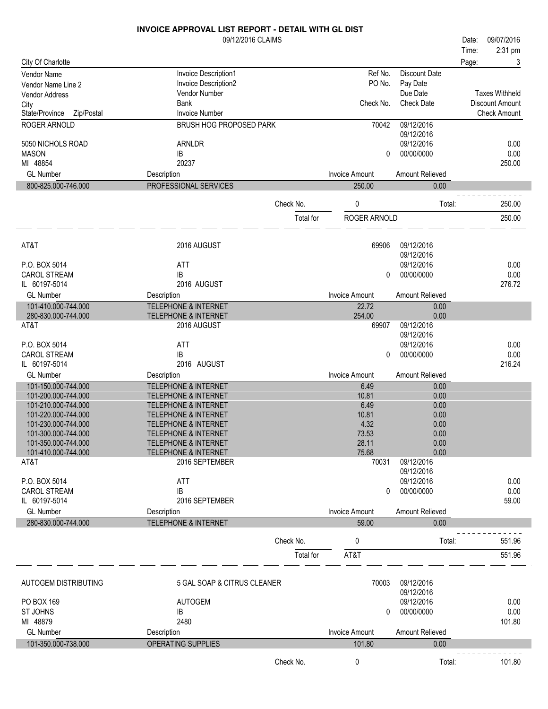|                                            | 09/12/2016 CLAIMS                                                  |           |                       |                          | 09/07/2016<br>Date:    |
|--------------------------------------------|--------------------------------------------------------------------|-----------|-----------------------|--------------------------|------------------------|
|                                            |                                                                    |           |                       |                          | 2:31 pm<br>Time:       |
| City Of Charlotte                          |                                                                    |           |                       |                          | 3<br>Page:             |
| Vendor Name                                | Invoice Description1                                               |           | Ref No.               | <b>Discount Date</b>     |                        |
| Vendor Name Line 2                         | Invoice Description2                                               |           | PO No.                | Pay Date                 |                        |
| Vendor Address                             | Vendor Number                                                      |           |                       | Due Date                 | <b>Taxes Withheld</b>  |
| City                                       | <b>Bank</b>                                                        |           | Check No.             | <b>Check Date</b>        | <b>Discount Amount</b> |
| Zip/Postal<br>State/Province               | <b>Invoice Number</b>                                              |           |                       |                          | <b>Check Amount</b>    |
| ROGER ARNOLD                               | BRUSH HOG PROPOSED PARK                                            |           | 70042                 | 09/12/2016               |                        |
| 5050 NICHOLS ROAD                          | ARNLDR                                                             |           |                       | 09/12/2016<br>09/12/2016 | 0.00                   |
| <b>MASON</b>                               | IB                                                                 |           | 0                     | 00/00/0000               | 0.00                   |
| MI 48854                                   | 20237                                                              |           |                       |                          | 250.00                 |
| <b>GL Number</b>                           | Description                                                        |           | <b>Invoice Amount</b> | Amount Relieved          |                        |
| 800-825.000-746.000                        | PROFESSIONAL SERVICES                                              |           | 250.00                | 0.00                     |                        |
|                                            |                                                                    |           |                       |                          |                        |
|                                            |                                                                    | Check No. | 0                     | Total:                   | 250.00                 |
|                                            |                                                                    | Total for | ROGER ARNOLD          |                          | 250.00                 |
|                                            |                                                                    |           |                       |                          |                        |
|                                            |                                                                    |           |                       |                          |                        |
| AT&T                                       | 2016 AUGUST                                                        |           | 69906                 | 09/12/2016               |                        |
|                                            |                                                                    |           |                       | 09/12/2016               |                        |
| P.O. BOX 5014                              | <b>ATT</b>                                                         |           |                       | 09/12/2016               | 0.00                   |
| <b>CAROL STREAM</b>                        | IB                                                                 |           | 0                     | 00/00/0000               | 0.00                   |
| IL 60197-5014                              | 2016 AUGUST                                                        |           |                       |                          | 276.72                 |
| <b>GL Number</b>                           | Description                                                        |           | <b>Invoice Amount</b> | Amount Relieved          |                        |
| 101-410.000-744.000<br>280-830.000-744.000 | <b>TELEPHONE &amp; INTERNET</b><br><b>TELEPHONE &amp; INTERNET</b> |           | 22.72<br>254.00       | 0.00<br>0.00             |                        |
| AT&T                                       | 2016 AUGUST                                                        |           | 69907                 | 09/12/2016               |                        |
|                                            |                                                                    |           |                       | 09/12/2016               |                        |
| P.O. BOX 5014                              | <b>ATT</b>                                                         |           |                       | 09/12/2016               | 0.00                   |
| <b>CAROL STREAM</b>                        | ΙB                                                                 |           | 0                     | 00/00/0000               | 0.00                   |
| IL 60197-5014                              | 2016 AUGUST                                                        |           |                       |                          | 216.24                 |
| <b>GL Number</b>                           | Description                                                        |           | <b>Invoice Amount</b> | Amount Relieved          |                        |
| 101-150.000-744.000                        | <b>TELEPHONE &amp; INTERNET</b>                                    |           | 6.49                  | 0.00                     |                        |
| 101-200.000-744.000                        | <b>TELEPHONE &amp; INTERNET</b>                                    |           | 10.81                 | 0.00                     |                        |
| 101-210.000-744.000                        | <b>TELEPHONE &amp; INTERNET</b>                                    |           | 6.49                  | 0.00                     |                        |
| 101-220.000-744.000                        | <b>TELEPHONE &amp; INTERNET</b>                                    |           | 10.81                 | 0.00                     |                        |
| 101-230.000-744.000                        | <b>TELEPHONE &amp; INTERNET</b>                                    |           | 4.32                  | 0.00                     |                        |
| 101-300.000-744.000                        | <b>TELEPHONE &amp; INTERNET</b>                                    |           | 73.53                 | 0.00                     |                        |
| 101-350.000-744.000                        | <b>TELEPHONE &amp; INTERNET</b>                                    |           | 28.11                 | 0.00                     |                        |
| 101-410.000-744.000                        | <b>TELEPHONE &amp; INTERNET</b>                                    |           | 75.68                 | 0.00                     |                        |
| AT&T                                       | 2016 SEPTEMBER                                                     |           | 70031                 | 09/12/2016<br>09/12/2016 |                        |
| P.O. BOX 5014                              | <b>ATT</b>                                                         |           |                       | 09/12/2016               | 0.00                   |
| <b>CAROL STREAM</b>                        | IB                                                                 |           | 0                     | 00/00/0000               | 0.00                   |
| IL 60197-5014                              | 2016 SEPTEMBER                                                     |           |                       |                          | 59.00                  |
| <b>GL Number</b>                           | Description                                                        |           | <b>Invoice Amount</b> | Amount Relieved          |                        |
| 280-830.000-744.000                        | TELEPHONE & INTERNET                                               |           | 59.00                 | 0.00                     |                        |
|                                            |                                                                    |           |                       |                          |                        |
|                                            |                                                                    | Check No. | 0                     | Total:                   | 551.96                 |
|                                            |                                                                    | Total for | AT&T                  |                          | 551.96                 |
|                                            |                                                                    |           |                       |                          |                        |
|                                            |                                                                    |           |                       |                          |                        |
| AUTOGEM DISTRIBUTING                       | 5 GAL SOAP & CITRUS CLEANER                                        |           | 70003                 | 09/12/2016<br>09/12/2016 |                        |
| PO BOX 169                                 | <b>AUTOGEM</b>                                                     |           |                       | 09/12/2016               | 0.00                   |
| ST JOHNS                                   | IB                                                                 |           | 0                     | 00/00/0000               | 0.00                   |
| MI 48879                                   | 2480                                                               |           |                       |                          | 101.80                 |
| <b>GL Number</b>                           | Description                                                        |           | <b>Invoice Amount</b> | Amount Relieved          |                        |
| 101-350.000-738.000                        | OPERATING SUPPLIES                                                 |           | 101.80                | 0.00                     |                        |
|                                            |                                                                    |           |                       |                          |                        |
|                                            |                                                                    | Check No. | 0                     | Total:                   | 101.80                 |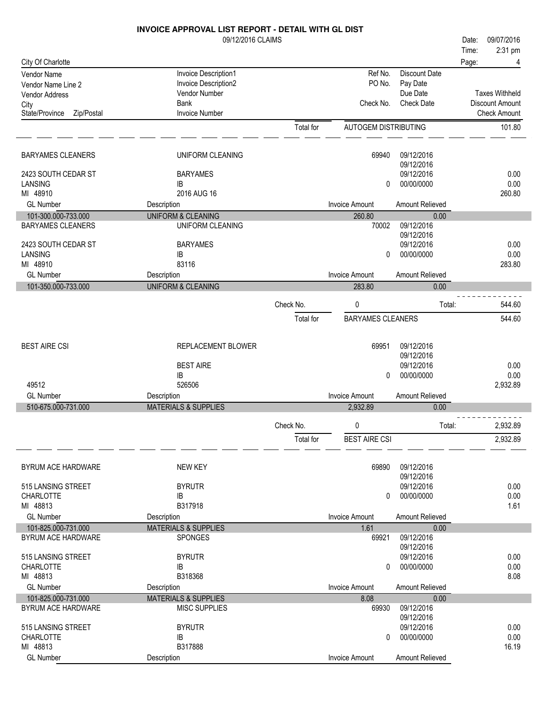|                              | <b>INVOICE APPROVAL LIST REPORT - DETAIL WITH GL DIST</b> |           |                          |                          |       |                        |
|------------------------------|-----------------------------------------------------------|-----------|--------------------------|--------------------------|-------|------------------------|
|                              | 09/12/2016 CLAIMS                                         |           |                          |                          | Date: | 09/07/2016             |
|                              |                                                           |           |                          |                          | Time: | 2:31 pm                |
| City Of Charlotte            |                                                           |           |                          |                          | Page: |                        |
| <b>Vendor Name</b>           | Invoice Description1                                      |           | Ref No.                  | Discount Date            |       |                        |
| Vendor Name Line 2           | Invoice Description2                                      |           | PO No.                   | Pay Date                 |       |                        |
| Vendor Address               | Vendor Number                                             |           |                          | Due Date                 |       | <b>Taxes Withheld</b>  |
| City                         | Bank                                                      |           | Check No.                | <b>Check Date</b>        |       | <b>Discount Amount</b> |
| State/Province<br>Zip/Postal | <b>Invoice Number</b>                                     |           |                          |                          |       | <b>Check Amount</b>    |
|                              |                                                           | Total for | AUTOGEM DISTRIBUTING     |                          |       | 101.80                 |
| <b>BARYAMES CLEANERS</b>     | UNIFORM CLEANING                                          |           | 69940                    | 09/12/2016               |       |                        |
|                              |                                                           |           |                          | 09/12/2016               |       |                        |
| 2423 SOUTH CEDAR ST          | <b>BARYAMES</b>                                           |           |                          | 09/12/2016               |       | 0.00                   |
| LANSING                      | IB                                                        |           | 0                        | 00/00/0000               |       | 0.00                   |
| MI 48910                     | 2016 AUG 16                                               |           |                          |                          |       | 260.80                 |
| <b>GL Number</b>             | Description                                               |           | <b>Invoice Amount</b>    | Amount Relieved          |       |                        |
| 101-300.000-733.000          | <b>UNIFORM &amp; CLEANING</b>                             |           | 260.80                   | 0.00                     |       |                        |
| <b>BARYAMES CLEANERS</b>     | UNIFORM CLEANING                                          |           | 70002                    | 09/12/2016               |       |                        |
|                              |                                                           |           |                          | 09/12/2016               |       |                        |
| 2423 SOUTH CEDAR ST          | <b>BARYAMES</b>                                           |           |                          | 09/12/2016               |       | 0.00                   |
| LANSING<br>MI 48910          | IB<br>83116                                               |           | $\Omega$                 | 00/00/0000               |       | 0.00<br>283.80         |
| <b>GL Number</b>             | Description                                               |           | <b>Invoice Amount</b>    | Amount Relieved          |       |                        |
| 101-350.000-733.000          | <b>UNIFORM &amp; CLEANING</b>                             |           | 283.80                   | 0.00                     |       |                        |
|                              |                                                           |           |                          |                          |       |                        |
|                              |                                                           | Check No. | 0                        | Total:                   |       | 544.60                 |
|                              |                                                           | Total for | <b>BARYAMES CLEANERS</b> |                          |       | 544.60                 |
|                              |                                                           |           |                          |                          |       |                        |
| <b>BEST AIRE CSI</b>         | REPLACEMENT BLOWER                                        |           | 69951                    | 09/12/2016               |       |                        |
|                              |                                                           |           |                          | 09/12/2016               |       |                        |
|                              | <b>BEST AIRE</b>                                          |           |                          | 09/12/2016               |       | 0.00                   |
|                              | IB                                                        |           | 0                        | 00/00/0000               |       | 0.00                   |
| 49512                        | 526506                                                    |           |                          |                          |       | 2,932.89               |
| <b>GL Number</b>             | Description                                               |           | <b>Invoice Amount</b>    | Amount Relieved          |       |                        |
| 510-675.000-731.000          | <b>MATERIALS &amp; SUPPLIES</b>                           |           | 2,932.89                 | 0.00                     |       |                        |
|                              |                                                           | Check No. | $\Omega$                 | Total:                   |       | 2,932.89               |
|                              |                                                           |           |                          |                          |       | 2,932.89               |
|                              |                                                           | Total for | <b>BEST AIRE CSI</b>     |                          |       |                        |
| <b>BYRUM ACE HARDWARE</b>    | <b>NEW KEY</b>                                            |           | 69890                    | 09/12/2016               |       |                        |
|                              |                                                           |           |                          | 09/12/2016               |       |                        |
| 515 LANSING STREET           | <b>BYRUTR</b>                                             |           |                          | 09/12/2016               |       | 0.00                   |
| <b>CHARLOTTE</b>             | IB                                                        |           | 0                        | 00/00/0000               |       | 0.00                   |
| MI 48813                     | B317918                                                   |           |                          |                          |       | 1.61                   |
| <b>GL Number</b>             | Description                                               |           | <b>Invoice Amount</b>    | Amount Relieved          |       |                        |
| 101-825.000-731.000          | <b>MATERIALS &amp; SUPPLIES</b>                           |           | 1.61                     | 0.00                     |       |                        |
| BYRUM ACE HARDWARE           | <b>SPONGES</b>                                            |           | 69921                    | 09/12/2016               |       |                        |
|                              |                                                           |           |                          | 09/12/2016               |       |                        |
| 515 LANSING STREET           | <b>BYRUTR</b>                                             |           |                          | 09/12/2016               |       | 0.00                   |
| <b>CHARLOTTE</b>             | IB                                                        |           | 0                        | 00/00/0000               |       | 0.00                   |
| MI 48813                     | B318368                                                   |           |                          |                          |       | 8.08                   |
| <b>GL Number</b>             | Description                                               |           | <b>Invoice Amount</b>    | Amount Relieved          |       |                        |
| 101-825.000-731.000          | <b>MATERIALS &amp; SUPPLIES</b>                           |           | 8.08                     | 0.00                     |       |                        |
| BYRUM ACE HARDWARE           | <b>MISC SUPPLIES</b>                                      |           | 69930                    | 09/12/2016               |       |                        |
|                              |                                                           |           |                          | 09/12/2016               |       |                        |
| 515 LANSING STREET           | <b>BYRUTR</b>                                             |           |                          | 09/12/2016<br>00/00/0000 |       | 0.00<br>0.00           |
| <b>CHARLOTTE</b><br>MI 48813 | IB<br>B317888                                             |           | 0                        |                          |       | 16.19                  |
| <b>GL Number</b>             | Description                                               |           | <b>Invoice Amount</b>    | Amount Relieved          |       |                        |
|                              |                                                           |           |                          |                          |       |                        |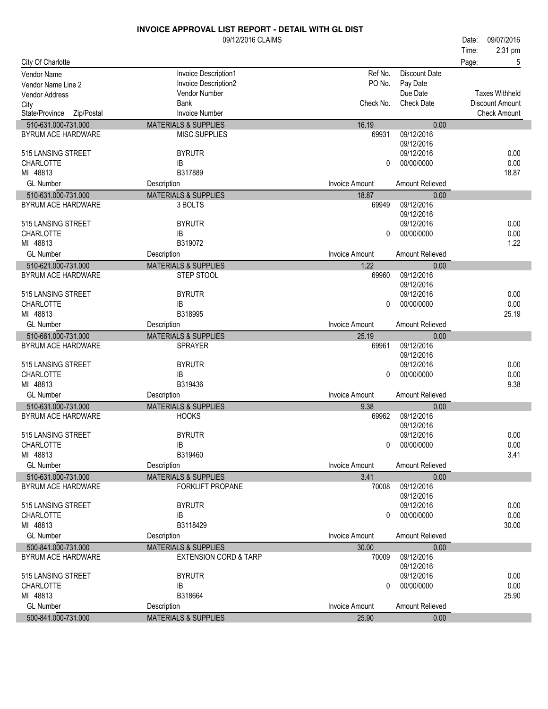| 2:31 pm<br>Time:<br>City Of Charlotte<br>Page:<br>5<br>Ref No.<br><b>Discount Date</b><br><b>Invoice Description1</b><br>Vendor Name<br>PO No.<br>Invoice Description2<br>Pay Date<br>Vendor Name Line 2<br><b>Taxes Withheld</b><br>Vendor Number<br>Due Date<br><b>Vendor Address</b><br><b>Bank</b><br>Check No.<br><b>Check Date</b><br><b>Discount Amount</b><br>City<br><b>Invoice Number</b><br><b>Check Amount</b><br>State/Province Zip/Postal<br>16.19<br><b>MATERIALS &amp; SUPPLIES</b><br>510-631.000-731.000<br>0.00<br>09/12/2016<br>BYRUM ACE HARDWARE<br><b>MISC SUPPLIES</b><br>69931<br>09/12/2016<br>515 LANSING STREET<br><b>BYRUTR</b><br>09/12/2016<br>0.00<br>0.00<br><b>CHARLOTTE</b><br>00/00/0000<br>IB<br>0<br>MI 48813<br>B317889<br>18.87<br><b>GL Number</b><br><b>Invoice Amount</b><br>Amount Relieved<br>Description<br>510-631.000-731.000<br><b>MATERIALS &amp; SUPPLIES</b><br>18.87<br>0.00<br>09/12/2016<br>BYRUM ACE HARDWARE<br>3 BOLTS<br>69949<br>09/12/2016<br>515 LANSING STREET<br><b>BYRUTR</b><br>09/12/2016<br>0.00<br>00/00/0000<br>0.00<br><b>CHARLOTTE</b><br>IB<br>0<br>MI 48813<br>B319072<br>1.22<br><b>GL Number</b><br><b>Invoice Amount</b><br>Amount Relieved<br>Description<br>510-621.000-731.000<br><b>MATERIALS &amp; SUPPLIES</b><br>1.22<br>0.00<br>09/12/2016<br><b>BYRUM ACE HARDWARE</b><br>STEP STOOL<br>69960<br>09/12/2016<br>09/12/2016<br>0.00<br>515 LANSING STREET<br><b>BYRUTR</b><br>0.00<br><b>CHARLOTTE</b><br>00/00/0000<br>IB<br>0<br>25.19<br>MI 48813<br>B318995<br><b>GL Number</b><br><b>Invoice Amount</b><br><b>Amount Relieved</b><br>Description<br>510-661.000-731.000<br><b>MATERIALS &amp; SUPPLIES</b><br>25.19<br>0.00<br><b>BYRUM ACE HARDWARE</b><br>09/12/2016<br><b>SPRAYER</b><br>69961<br>09/12/2016<br><b>BYRUTR</b><br>09/12/2016<br>515 LANSING STREET<br>0.00<br>0.00<br><b>CHARLOTTE</b><br>00/00/0000<br>IB<br>0<br>MI 48813<br>B319436<br>9.38<br><b>GL Number</b><br><b>Invoice Amount</b><br>Amount Relieved<br>Description<br>510-631.000-731.000<br><b>MATERIALS &amp; SUPPLIES</b><br>9.38<br>0.00<br>09/12/2016<br>BYRUM ACE HARDWARE<br><b>HOOKS</b><br>69962<br>09/12/2016<br><b>BYRUTR</b><br>515 LANSING STREET<br>09/12/2016<br>0.00<br><b>CHARLOTTE</b><br>00/00/0000<br>0.00<br>IB<br>$\Omega$<br>3.41<br>MI 48813<br>B319460<br><b>GL Number</b><br>Description<br><b>Invoice Amount</b><br>Amount Relieved<br>510-631.000-731.000<br><b>MATERIALS &amp; SUPPLIES</b><br>3.41<br>0.00<br>09/12/2016<br>BYRUM ACE HARDWARE<br><b>FORKLIFT PROPANE</b><br>70008<br>09/12/2016<br>09/12/2016<br>0.00<br>515 LANSING STREET<br><b>BYRUTR</b><br>0.00<br><b>CHARLOTTE</b><br>IB<br>00/00/0000<br>0<br>MI 48813<br>B3118429<br>30.00<br><b>GL Number</b><br><b>Invoice Amount</b><br>Amount Relieved<br>Description<br>500-841.000-731.000<br><b>MATERIALS &amp; SUPPLIES</b><br>30.00<br>0.00<br>BYRUM ACE HARDWARE<br><b>EXTENSION CORD &amp; TARP</b><br>09/12/2016<br>70009<br>09/12/2016<br>515 LANSING STREET<br>09/12/2016<br>0.00<br><b>BYRUTR</b><br>0.00<br><b>CHARLOTTE</b><br>IB<br>00/00/0000<br>0 |          | 09/12/2016 CLAIMS |  | 09/07/2016<br>Date: |
|------------------------------------------------------------------------------------------------------------------------------------------------------------------------------------------------------------------------------------------------------------------------------------------------------------------------------------------------------------------------------------------------------------------------------------------------------------------------------------------------------------------------------------------------------------------------------------------------------------------------------------------------------------------------------------------------------------------------------------------------------------------------------------------------------------------------------------------------------------------------------------------------------------------------------------------------------------------------------------------------------------------------------------------------------------------------------------------------------------------------------------------------------------------------------------------------------------------------------------------------------------------------------------------------------------------------------------------------------------------------------------------------------------------------------------------------------------------------------------------------------------------------------------------------------------------------------------------------------------------------------------------------------------------------------------------------------------------------------------------------------------------------------------------------------------------------------------------------------------------------------------------------------------------------------------------------------------------------------------------------------------------------------------------------------------------------------------------------------------------------------------------------------------------------------------------------------------------------------------------------------------------------------------------------------------------------------------------------------------------------------------------------------------------------------------------------------------------------------------------------------------------------------------------------------------------------------------------------------------------------------------------------------------------------------------------------------------------------------------------------------------------------------------------------------------------------------------------------------------------------------------------------------------------------------------------------------------------------------------------------------------------------------------------------------------------------------------------------------------------------------------|----------|-------------------|--|---------------------|
|                                                                                                                                                                                                                                                                                                                                                                                                                                                                                                                                                                                                                                                                                                                                                                                                                                                                                                                                                                                                                                                                                                                                                                                                                                                                                                                                                                                                                                                                                                                                                                                                                                                                                                                                                                                                                                                                                                                                                                                                                                                                                                                                                                                                                                                                                                                                                                                                                                                                                                                                                                                                                                                                                                                                                                                                                                                                                                                                                                                                                                                                                                                                    |          |                   |  |                     |
|                                                                                                                                                                                                                                                                                                                                                                                                                                                                                                                                                                                                                                                                                                                                                                                                                                                                                                                                                                                                                                                                                                                                                                                                                                                                                                                                                                                                                                                                                                                                                                                                                                                                                                                                                                                                                                                                                                                                                                                                                                                                                                                                                                                                                                                                                                                                                                                                                                                                                                                                                                                                                                                                                                                                                                                                                                                                                                                                                                                                                                                                                                                                    |          |                   |  |                     |
|                                                                                                                                                                                                                                                                                                                                                                                                                                                                                                                                                                                                                                                                                                                                                                                                                                                                                                                                                                                                                                                                                                                                                                                                                                                                                                                                                                                                                                                                                                                                                                                                                                                                                                                                                                                                                                                                                                                                                                                                                                                                                                                                                                                                                                                                                                                                                                                                                                                                                                                                                                                                                                                                                                                                                                                                                                                                                                                                                                                                                                                                                                                                    |          |                   |  |                     |
|                                                                                                                                                                                                                                                                                                                                                                                                                                                                                                                                                                                                                                                                                                                                                                                                                                                                                                                                                                                                                                                                                                                                                                                                                                                                                                                                                                                                                                                                                                                                                                                                                                                                                                                                                                                                                                                                                                                                                                                                                                                                                                                                                                                                                                                                                                                                                                                                                                                                                                                                                                                                                                                                                                                                                                                                                                                                                                                                                                                                                                                                                                                                    |          |                   |  |                     |
|                                                                                                                                                                                                                                                                                                                                                                                                                                                                                                                                                                                                                                                                                                                                                                                                                                                                                                                                                                                                                                                                                                                                                                                                                                                                                                                                                                                                                                                                                                                                                                                                                                                                                                                                                                                                                                                                                                                                                                                                                                                                                                                                                                                                                                                                                                                                                                                                                                                                                                                                                                                                                                                                                                                                                                                                                                                                                                                                                                                                                                                                                                                                    |          |                   |  |                     |
|                                                                                                                                                                                                                                                                                                                                                                                                                                                                                                                                                                                                                                                                                                                                                                                                                                                                                                                                                                                                                                                                                                                                                                                                                                                                                                                                                                                                                                                                                                                                                                                                                                                                                                                                                                                                                                                                                                                                                                                                                                                                                                                                                                                                                                                                                                                                                                                                                                                                                                                                                                                                                                                                                                                                                                                                                                                                                                                                                                                                                                                                                                                                    |          |                   |  |                     |
|                                                                                                                                                                                                                                                                                                                                                                                                                                                                                                                                                                                                                                                                                                                                                                                                                                                                                                                                                                                                                                                                                                                                                                                                                                                                                                                                                                                                                                                                                                                                                                                                                                                                                                                                                                                                                                                                                                                                                                                                                                                                                                                                                                                                                                                                                                                                                                                                                                                                                                                                                                                                                                                                                                                                                                                                                                                                                                                                                                                                                                                                                                                                    |          |                   |  |                     |
|                                                                                                                                                                                                                                                                                                                                                                                                                                                                                                                                                                                                                                                                                                                                                                                                                                                                                                                                                                                                                                                                                                                                                                                                                                                                                                                                                                                                                                                                                                                                                                                                                                                                                                                                                                                                                                                                                                                                                                                                                                                                                                                                                                                                                                                                                                                                                                                                                                                                                                                                                                                                                                                                                                                                                                                                                                                                                                                                                                                                                                                                                                                                    |          |                   |  |                     |
|                                                                                                                                                                                                                                                                                                                                                                                                                                                                                                                                                                                                                                                                                                                                                                                                                                                                                                                                                                                                                                                                                                                                                                                                                                                                                                                                                                                                                                                                                                                                                                                                                                                                                                                                                                                                                                                                                                                                                                                                                                                                                                                                                                                                                                                                                                                                                                                                                                                                                                                                                                                                                                                                                                                                                                                                                                                                                                                                                                                                                                                                                                                                    |          |                   |  |                     |
|                                                                                                                                                                                                                                                                                                                                                                                                                                                                                                                                                                                                                                                                                                                                                                                                                                                                                                                                                                                                                                                                                                                                                                                                                                                                                                                                                                                                                                                                                                                                                                                                                                                                                                                                                                                                                                                                                                                                                                                                                                                                                                                                                                                                                                                                                                                                                                                                                                                                                                                                                                                                                                                                                                                                                                                                                                                                                                                                                                                                                                                                                                                                    |          |                   |  |                     |
|                                                                                                                                                                                                                                                                                                                                                                                                                                                                                                                                                                                                                                                                                                                                                                                                                                                                                                                                                                                                                                                                                                                                                                                                                                                                                                                                                                                                                                                                                                                                                                                                                                                                                                                                                                                                                                                                                                                                                                                                                                                                                                                                                                                                                                                                                                                                                                                                                                                                                                                                                                                                                                                                                                                                                                                                                                                                                                                                                                                                                                                                                                                                    |          |                   |  |                     |
|                                                                                                                                                                                                                                                                                                                                                                                                                                                                                                                                                                                                                                                                                                                                                                                                                                                                                                                                                                                                                                                                                                                                                                                                                                                                                                                                                                                                                                                                                                                                                                                                                                                                                                                                                                                                                                                                                                                                                                                                                                                                                                                                                                                                                                                                                                                                                                                                                                                                                                                                                                                                                                                                                                                                                                                                                                                                                                                                                                                                                                                                                                                                    |          |                   |  |                     |
|                                                                                                                                                                                                                                                                                                                                                                                                                                                                                                                                                                                                                                                                                                                                                                                                                                                                                                                                                                                                                                                                                                                                                                                                                                                                                                                                                                                                                                                                                                                                                                                                                                                                                                                                                                                                                                                                                                                                                                                                                                                                                                                                                                                                                                                                                                                                                                                                                                                                                                                                                                                                                                                                                                                                                                                                                                                                                                                                                                                                                                                                                                                                    |          |                   |  |                     |
|                                                                                                                                                                                                                                                                                                                                                                                                                                                                                                                                                                                                                                                                                                                                                                                                                                                                                                                                                                                                                                                                                                                                                                                                                                                                                                                                                                                                                                                                                                                                                                                                                                                                                                                                                                                                                                                                                                                                                                                                                                                                                                                                                                                                                                                                                                                                                                                                                                                                                                                                                                                                                                                                                                                                                                                                                                                                                                                                                                                                                                                                                                                                    |          |                   |  |                     |
|                                                                                                                                                                                                                                                                                                                                                                                                                                                                                                                                                                                                                                                                                                                                                                                                                                                                                                                                                                                                                                                                                                                                                                                                                                                                                                                                                                                                                                                                                                                                                                                                                                                                                                                                                                                                                                                                                                                                                                                                                                                                                                                                                                                                                                                                                                                                                                                                                                                                                                                                                                                                                                                                                                                                                                                                                                                                                                                                                                                                                                                                                                                                    |          |                   |  |                     |
|                                                                                                                                                                                                                                                                                                                                                                                                                                                                                                                                                                                                                                                                                                                                                                                                                                                                                                                                                                                                                                                                                                                                                                                                                                                                                                                                                                                                                                                                                                                                                                                                                                                                                                                                                                                                                                                                                                                                                                                                                                                                                                                                                                                                                                                                                                                                                                                                                                                                                                                                                                                                                                                                                                                                                                                                                                                                                                                                                                                                                                                                                                                                    |          |                   |  |                     |
|                                                                                                                                                                                                                                                                                                                                                                                                                                                                                                                                                                                                                                                                                                                                                                                                                                                                                                                                                                                                                                                                                                                                                                                                                                                                                                                                                                                                                                                                                                                                                                                                                                                                                                                                                                                                                                                                                                                                                                                                                                                                                                                                                                                                                                                                                                                                                                                                                                                                                                                                                                                                                                                                                                                                                                                                                                                                                                                                                                                                                                                                                                                                    |          |                   |  |                     |
|                                                                                                                                                                                                                                                                                                                                                                                                                                                                                                                                                                                                                                                                                                                                                                                                                                                                                                                                                                                                                                                                                                                                                                                                                                                                                                                                                                                                                                                                                                                                                                                                                                                                                                                                                                                                                                                                                                                                                                                                                                                                                                                                                                                                                                                                                                                                                                                                                                                                                                                                                                                                                                                                                                                                                                                                                                                                                                                                                                                                                                                                                                                                    |          |                   |  |                     |
|                                                                                                                                                                                                                                                                                                                                                                                                                                                                                                                                                                                                                                                                                                                                                                                                                                                                                                                                                                                                                                                                                                                                                                                                                                                                                                                                                                                                                                                                                                                                                                                                                                                                                                                                                                                                                                                                                                                                                                                                                                                                                                                                                                                                                                                                                                                                                                                                                                                                                                                                                                                                                                                                                                                                                                                                                                                                                                                                                                                                                                                                                                                                    |          |                   |  |                     |
|                                                                                                                                                                                                                                                                                                                                                                                                                                                                                                                                                                                                                                                                                                                                                                                                                                                                                                                                                                                                                                                                                                                                                                                                                                                                                                                                                                                                                                                                                                                                                                                                                                                                                                                                                                                                                                                                                                                                                                                                                                                                                                                                                                                                                                                                                                                                                                                                                                                                                                                                                                                                                                                                                                                                                                                                                                                                                                                                                                                                                                                                                                                                    |          |                   |  |                     |
|                                                                                                                                                                                                                                                                                                                                                                                                                                                                                                                                                                                                                                                                                                                                                                                                                                                                                                                                                                                                                                                                                                                                                                                                                                                                                                                                                                                                                                                                                                                                                                                                                                                                                                                                                                                                                                                                                                                                                                                                                                                                                                                                                                                                                                                                                                                                                                                                                                                                                                                                                                                                                                                                                                                                                                                                                                                                                                                                                                                                                                                                                                                                    |          |                   |  |                     |
|                                                                                                                                                                                                                                                                                                                                                                                                                                                                                                                                                                                                                                                                                                                                                                                                                                                                                                                                                                                                                                                                                                                                                                                                                                                                                                                                                                                                                                                                                                                                                                                                                                                                                                                                                                                                                                                                                                                                                                                                                                                                                                                                                                                                                                                                                                                                                                                                                                                                                                                                                                                                                                                                                                                                                                                                                                                                                                                                                                                                                                                                                                                                    |          |                   |  |                     |
|                                                                                                                                                                                                                                                                                                                                                                                                                                                                                                                                                                                                                                                                                                                                                                                                                                                                                                                                                                                                                                                                                                                                                                                                                                                                                                                                                                                                                                                                                                                                                                                                                                                                                                                                                                                                                                                                                                                                                                                                                                                                                                                                                                                                                                                                                                                                                                                                                                                                                                                                                                                                                                                                                                                                                                                                                                                                                                                                                                                                                                                                                                                                    |          |                   |  |                     |
|                                                                                                                                                                                                                                                                                                                                                                                                                                                                                                                                                                                                                                                                                                                                                                                                                                                                                                                                                                                                                                                                                                                                                                                                                                                                                                                                                                                                                                                                                                                                                                                                                                                                                                                                                                                                                                                                                                                                                                                                                                                                                                                                                                                                                                                                                                                                                                                                                                                                                                                                                                                                                                                                                                                                                                                                                                                                                                                                                                                                                                                                                                                                    |          |                   |  |                     |
|                                                                                                                                                                                                                                                                                                                                                                                                                                                                                                                                                                                                                                                                                                                                                                                                                                                                                                                                                                                                                                                                                                                                                                                                                                                                                                                                                                                                                                                                                                                                                                                                                                                                                                                                                                                                                                                                                                                                                                                                                                                                                                                                                                                                                                                                                                                                                                                                                                                                                                                                                                                                                                                                                                                                                                                                                                                                                                                                                                                                                                                                                                                                    |          |                   |  |                     |
|                                                                                                                                                                                                                                                                                                                                                                                                                                                                                                                                                                                                                                                                                                                                                                                                                                                                                                                                                                                                                                                                                                                                                                                                                                                                                                                                                                                                                                                                                                                                                                                                                                                                                                                                                                                                                                                                                                                                                                                                                                                                                                                                                                                                                                                                                                                                                                                                                                                                                                                                                                                                                                                                                                                                                                                                                                                                                                                                                                                                                                                                                                                                    |          |                   |  |                     |
|                                                                                                                                                                                                                                                                                                                                                                                                                                                                                                                                                                                                                                                                                                                                                                                                                                                                                                                                                                                                                                                                                                                                                                                                                                                                                                                                                                                                                                                                                                                                                                                                                                                                                                                                                                                                                                                                                                                                                                                                                                                                                                                                                                                                                                                                                                                                                                                                                                                                                                                                                                                                                                                                                                                                                                                                                                                                                                                                                                                                                                                                                                                                    |          |                   |  |                     |
|                                                                                                                                                                                                                                                                                                                                                                                                                                                                                                                                                                                                                                                                                                                                                                                                                                                                                                                                                                                                                                                                                                                                                                                                                                                                                                                                                                                                                                                                                                                                                                                                                                                                                                                                                                                                                                                                                                                                                                                                                                                                                                                                                                                                                                                                                                                                                                                                                                                                                                                                                                                                                                                                                                                                                                                                                                                                                                                                                                                                                                                                                                                                    |          |                   |  |                     |
|                                                                                                                                                                                                                                                                                                                                                                                                                                                                                                                                                                                                                                                                                                                                                                                                                                                                                                                                                                                                                                                                                                                                                                                                                                                                                                                                                                                                                                                                                                                                                                                                                                                                                                                                                                                                                                                                                                                                                                                                                                                                                                                                                                                                                                                                                                                                                                                                                                                                                                                                                                                                                                                                                                                                                                                                                                                                                                                                                                                                                                                                                                                                    |          |                   |  |                     |
|                                                                                                                                                                                                                                                                                                                                                                                                                                                                                                                                                                                                                                                                                                                                                                                                                                                                                                                                                                                                                                                                                                                                                                                                                                                                                                                                                                                                                                                                                                                                                                                                                                                                                                                                                                                                                                                                                                                                                                                                                                                                                                                                                                                                                                                                                                                                                                                                                                                                                                                                                                                                                                                                                                                                                                                                                                                                                                                                                                                                                                                                                                                                    |          |                   |  |                     |
|                                                                                                                                                                                                                                                                                                                                                                                                                                                                                                                                                                                                                                                                                                                                                                                                                                                                                                                                                                                                                                                                                                                                                                                                                                                                                                                                                                                                                                                                                                                                                                                                                                                                                                                                                                                                                                                                                                                                                                                                                                                                                                                                                                                                                                                                                                                                                                                                                                                                                                                                                                                                                                                                                                                                                                                                                                                                                                                                                                                                                                                                                                                                    |          |                   |  |                     |
|                                                                                                                                                                                                                                                                                                                                                                                                                                                                                                                                                                                                                                                                                                                                                                                                                                                                                                                                                                                                                                                                                                                                                                                                                                                                                                                                                                                                                                                                                                                                                                                                                                                                                                                                                                                                                                                                                                                                                                                                                                                                                                                                                                                                                                                                                                                                                                                                                                                                                                                                                                                                                                                                                                                                                                                                                                                                                                                                                                                                                                                                                                                                    |          |                   |  |                     |
|                                                                                                                                                                                                                                                                                                                                                                                                                                                                                                                                                                                                                                                                                                                                                                                                                                                                                                                                                                                                                                                                                                                                                                                                                                                                                                                                                                                                                                                                                                                                                                                                                                                                                                                                                                                                                                                                                                                                                                                                                                                                                                                                                                                                                                                                                                                                                                                                                                                                                                                                                                                                                                                                                                                                                                                                                                                                                                                                                                                                                                                                                                                                    |          |                   |  |                     |
|                                                                                                                                                                                                                                                                                                                                                                                                                                                                                                                                                                                                                                                                                                                                                                                                                                                                                                                                                                                                                                                                                                                                                                                                                                                                                                                                                                                                                                                                                                                                                                                                                                                                                                                                                                                                                                                                                                                                                                                                                                                                                                                                                                                                                                                                                                                                                                                                                                                                                                                                                                                                                                                                                                                                                                                                                                                                                                                                                                                                                                                                                                                                    |          |                   |  |                     |
|                                                                                                                                                                                                                                                                                                                                                                                                                                                                                                                                                                                                                                                                                                                                                                                                                                                                                                                                                                                                                                                                                                                                                                                                                                                                                                                                                                                                                                                                                                                                                                                                                                                                                                                                                                                                                                                                                                                                                                                                                                                                                                                                                                                                                                                                                                                                                                                                                                                                                                                                                                                                                                                                                                                                                                                                                                                                                                                                                                                                                                                                                                                                    |          |                   |  |                     |
|                                                                                                                                                                                                                                                                                                                                                                                                                                                                                                                                                                                                                                                                                                                                                                                                                                                                                                                                                                                                                                                                                                                                                                                                                                                                                                                                                                                                                                                                                                                                                                                                                                                                                                                                                                                                                                                                                                                                                                                                                                                                                                                                                                                                                                                                                                                                                                                                                                                                                                                                                                                                                                                                                                                                                                                                                                                                                                                                                                                                                                                                                                                                    |          |                   |  |                     |
|                                                                                                                                                                                                                                                                                                                                                                                                                                                                                                                                                                                                                                                                                                                                                                                                                                                                                                                                                                                                                                                                                                                                                                                                                                                                                                                                                                                                                                                                                                                                                                                                                                                                                                                                                                                                                                                                                                                                                                                                                                                                                                                                                                                                                                                                                                                                                                                                                                                                                                                                                                                                                                                                                                                                                                                                                                                                                                                                                                                                                                                                                                                                    |          |                   |  |                     |
|                                                                                                                                                                                                                                                                                                                                                                                                                                                                                                                                                                                                                                                                                                                                                                                                                                                                                                                                                                                                                                                                                                                                                                                                                                                                                                                                                                                                                                                                                                                                                                                                                                                                                                                                                                                                                                                                                                                                                                                                                                                                                                                                                                                                                                                                                                                                                                                                                                                                                                                                                                                                                                                                                                                                                                                                                                                                                                                                                                                                                                                                                                                                    |          |                   |  |                     |
|                                                                                                                                                                                                                                                                                                                                                                                                                                                                                                                                                                                                                                                                                                                                                                                                                                                                                                                                                                                                                                                                                                                                                                                                                                                                                                                                                                                                                                                                                                                                                                                                                                                                                                                                                                                                                                                                                                                                                                                                                                                                                                                                                                                                                                                                                                                                                                                                                                                                                                                                                                                                                                                                                                                                                                                                                                                                                                                                                                                                                                                                                                                                    |          |                   |  |                     |
|                                                                                                                                                                                                                                                                                                                                                                                                                                                                                                                                                                                                                                                                                                                                                                                                                                                                                                                                                                                                                                                                                                                                                                                                                                                                                                                                                                                                                                                                                                                                                                                                                                                                                                                                                                                                                                                                                                                                                                                                                                                                                                                                                                                                                                                                                                                                                                                                                                                                                                                                                                                                                                                                                                                                                                                                                                                                                                                                                                                                                                                                                                                                    |          |                   |  |                     |
|                                                                                                                                                                                                                                                                                                                                                                                                                                                                                                                                                                                                                                                                                                                                                                                                                                                                                                                                                                                                                                                                                                                                                                                                                                                                                                                                                                                                                                                                                                                                                                                                                                                                                                                                                                                                                                                                                                                                                                                                                                                                                                                                                                                                                                                                                                                                                                                                                                                                                                                                                                                                                                                                                                                                                                                                                                                                                                                                                                                                                                                                                                                                    |          |                   |  |                     |
|                                                                                                                                                                                                                                                                                                                                                                                                                                                                                                                                                                                                                                                                                                                                                                                                                                                                                                                                                                                                                                                                                                                                                                                                                                                                                                                                                                                                                                                                                                                                                                                                                                                                                                                                                                                                                                                                                                                                                                                                                                                                                                                                                                                                                                                                                                                                                                                                                                                                                                                                                                                                                                                                                                                                                                                                                                                                                                                                                                                                                                                                                                                                    |          |                   |  |                     |
|                                                                                                                                                                                                                                                                                                                                                                                                                                                                                                                                                                                                                                                                                                                                                                                                                                                                                                                                                                                                                                                                                                                                                                                                                                                                                                                                                                                                                                                                                                                                                                                                                                                                                                                                                                                                                                                                                                                                                                                                                                                                                                                                                                                                                                                                                                                                                                                                                                                                                                                                                                                                                                                                                                                                                                                                                                                                                                                                                                                                                                                                                                                                    |          |                   |  |                     |
|                                                                                                                                                                                                                                                                                                                                                                                                                                                                                                                                                                                                                                                                                                                                                                                                                                                                                                                                                                                                                                                                                                                                                                                                                                                                                                                                                                                                                                                                                                                                                                                                                                                                                                                                                                                                                                                                                                                                                                                                                                                                                                                                                                                                                                                                                                                                                                                                                                                                                                                                                                                                                                                                                                                                                                                                                                                                                                                                                                                                                                                                                                                                    |          |                   |  |                     |
|                                                                                                                                                                                                                                                                                                                                                                                                                                                                                                                                                                                                                                                                                                                                                                                                                                                                                                                                                                                                                                                                                                                                                                                                                                                                                                                                                                                                                                                                                                                                                                                                                                                                                                                                                                                                                                                                                                                                                                                                                                                                                                                                                                                                                                                                                                                                                                                                                                                                                                                                                                                                                                                                                                                                                                                                                                                                                                                                                                                                                                                                                                                                    |          |                   |  |                     |
|                                                                                                                                                                                                                                                                                                                                                                                                                                                                                                                                                                                                                                                                                                                                                                                                                                                                                                                                                                                                                                                                                                                                                                                                                                                                                                                                                                                                                                                                                                                                                                                                                                                                                                                                                                                                                                                                                                                                                                                                                                                                                                                                                                                                                                                                                                                                                                                                                                                                                                                                                                                                                                                                                                                                                                                                                                                                                                                                                                                                                                                                                                                                    |          |                   |  |                     |
|                                                                                                                                                                                                                                                                                                                                                                                                                                                                                                                                                                                                                                                                                                                                                                                                                                                                                                                                                                                                                                                                                                                                                                                                                                                                                                                                                                                                                                                                                                                                                                                                                                                                                                                                                                                                                                                                                                                                                                                                                                                                                                                                                                                                                                                                                                                                                                                                                                                                                                                                                                                                                                                                                                                                                                                                                                                                                                                                                                                                                                                                                                                                    |          |                   |  |                     |
|                                                                                                                                                                                                                                                                                                                                                                                                                                                                                                                                                                                                                                                                                                                                                                                                                                                                                                                                                                                                                                                                                                                                                                                                                                                                                                                                                                                                                                                                                                                                                                                                                                                                                                                                                                                                                                                                                                                                                                                                                                                                                                                                                                                                                                                                                                                                                                                                                                                                                                                                                                                                                                                                                                                                                                                                                                                                                                                                                                                                                                                                                                                                    |          |                   |  |                     |
|                                                                                                                                                                                                                                                                                                                                                                                                                                                                                                                                                                                                                                                                                                                                                                                                                                                                                                                                                                                                                                                                                                                                                                                                                                                                                                                                                                                                                                                                                                                                                                                                                                                                                                                                                                                                                                                                                                                                                                                                                                                                                                                                                                                                                                                                                                                                                                                                                                                                                                                                                                                                                                                                                                                                                                                                                                                                                                                                                                                                                                                                                                                                    |          |                   |  |                     |
|                                                                                                                                                                                                                                                                                                                                                                                                                                                                                                                                                                                                                                                                                                                                                                                                                                                                                                                                                                                                                                                                                                                                                                                                                                                                                                                                                                                                                                                                                                                                                                                                                                                                                                                                                                                                                                                                                                                                                                                                                                                                                                                                                                                                                                                                                                                                                                                                                                                                                                                                                                                                                                                                                                                                                                                                                                                                                                                                                                                                                                                                                                                                    |          |                   |  |                     |
|                                                                                                                                                                                                                                                                                                                                                                                                                                                                                                                                                                                                                                                                                                                                                                                                                                                                                                                                                                                                                                                                                                                                                                                                                                                                                                                                                                                                                                                                                                                                                                                                                                                                                                                                                                                                                                                                                                                                                                                                                                                                                                                                                                                                                                                                                                                                                                                                                                                                                                                                                                                                                                                                                                                                                                                                                                                                                                                                                                                                                                                                                                                                    |          |                   |  |                     |
|                                                                                                                                                                                                                                                                                                                                                                                                                                                                                                                                                                                                                                                                                                                                                                                                                                                                                                                                                                                                                                                                                                                                                                                                                                                                                                                                                                                                                                                                                                                                                                                                                                                                                                                                                                                                                                                                                                                                                                                                                                                                                                                                                                                                                                                                                                                                                                                                                                                                                                                                                                                                                                                                                                                                                                                                                                                                                                                                                                                                                                                                                                                                    |          |                   |  |                     |
|                                                                                                                                                                                                                                                                                                                                                                                                                                                                                                                                                                                                                                                                                                                                                                                                                                                                                                                                                                                                                                                                                                                                                                                                                                                                                                                                                                                                                                                                                                                                                                                                                                                                                                                                                                                                                                                                                                                                                                                                                                                                                                                                                                                                                                                                                                                                                                                                                                                                                                                                                                                                                                                                                                                                                                                                                                                                                                                                                                                                                                                                                                                                    | MI 48813 | B318664           |  | 25.90               |

GL Number Bescription<br>
500-841.000-731.000<br>
6.00
0.00
0.00
Description
MATERIALS & SUPPLIES
DESCRIPSION CONTERED 25.90
0.00

MATERIALS & SUPPLIES 25.90 0.00

## **INVOICE APPROVAL LIST REPORT - DETAIL WITH GL DIST**

09/12/2016 CLAIMS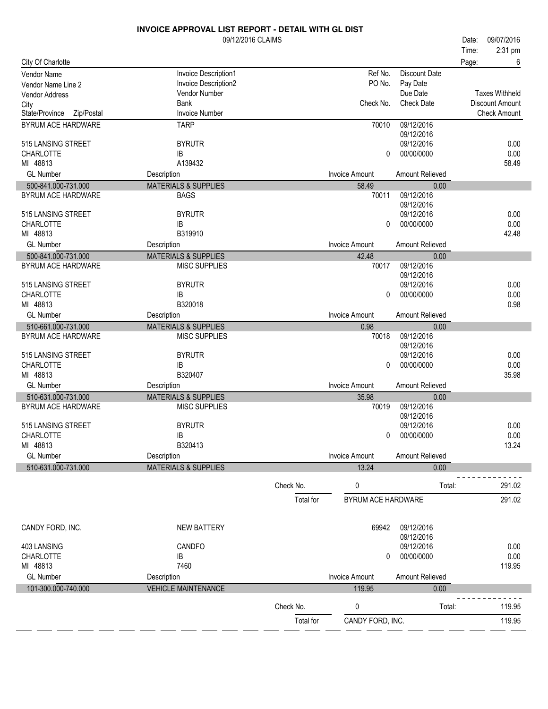|                                        | 09/12/2016 CLAIMS               |           |                       |                          | 09/07/2016<br>Date:            |
|----------------------------------------|---------------------------------|-----------|-----------------------|--------------------------|--------------------------------|
| City Of Charlotte                      |                                 |           |                       |                          | 2:31 pm<br>Time:<br>6<br>Page: |
|                                        | Invoice Description1            |           | Ref No.               | <b>Discount Date</b>     |                                |
| Vendor Name<br>Vendor Name Line 2      | Invoice Description2            |           | PO No.                | Pay Date                 |                                |
| Vendor Address                         | Vendor Number                   |           |                       | Due Date                 | <b>Taxes Withheld</b>          |
| City                                   | <b>Bank</b>                     |           | Check No.             | <b>Check Date</b>        | Discount Amount                |
| State/Province<br>Zip/Postal           | <b>Invoice Number</b>           |           |                       |                          | <b>Check Amount</b>            |
| BYRUM ACE HARDWARE                     | <b>TARP</b>                     |           | 70010                 | 09/12/2016               |                                |
| 515 LANSING STREET                     | <b>BYRUTR</b>                   |           |                       | 09/12/2016<br>09/12/2016 | 0.00                           |
| <b>CHARLOTTE</b>                       | IB                              |           | 0                     | 00/00/0000               | 0.00                           |
| MI 48813                               | A139432                         |           |                       |                          | 58.49                          |
| <b>GL Number</b>                       | Description                     |           | <b>Invoice Amount</b> | Amount Relieved          |                                |
| 500-841.000-731.000                    | <b>MATERIALS &amp; SUPPLIES</b> |           | 58.49                 | 0.00                     |                                |
| <b>BYRUM ACE HARDWARE</b>              | <b>BAGS</b>                     |           | 70011                 | 09/12/2016               |                                |
| 515 LANSING STREET                     | <b>BYRUTR</b>                   |           |                       | 09/12/2016<br>09/12/2016 | 0.00                           |
| <b>CHARLOTTE</b>                       | IB                              |           | $\Omega$              | 00/00/0000               | 0.00                           |
| MI 48813                               | B319910                         |           |                       |                          | 42.48                          |
| <b>GL Number</b>                       | Description                     |           | <b>Invoice Amount</b> | Amount Relieved          |                                |
| 500-841.000-731.000                    | <b>MATERIALS &amp; SUPPLIES</b> |           | 42.48                 | 0.00                     |                                |
| BYRUM ACE HARDWARE                     | <b>MISC SUPPLIES</b>            |           | 70017                 | 09/12/2016               |                                |
|                                        |                                 |           |                       | 09/12/2016               |                                |
| 515 LANSING STREET<br><b>CHARLOTTE</b> | <b>BYRUTR</b><br>IB             |           | 0                     | 09/12/2016<br>00/00/0000 | 0.00<br>0.00                   |
| MI 48813                               | B320018                         |           |                       |                          | 0.98                           |
| <b>GL Number</b>                       | Description                     |           | <b>Invoice Amount</b> | Amount Relieved          |                                |
| 510-661.000-731.000                    | <b>MATERIALS &amp; SUPPLIES</b> |           | 0.98                  | 0.00                     |                                |
| BYRUM ACE HARDWARE                     | <b>MISC SUPPLIES</b>            |           | 70018                 | 09/12/2016               |                                |
|                                        |                                 |           |                       | 09/12/2016               |                                |
| 515 LANSING STREET<br><b>CHARLOTTE</b> | <b>BYRUTR</b><br>IB             |           | 0                     | 09/12/2016<br>00/00/0000 | 0.00<br>0.00                   |
| MI 48813                               | B320407                         |           |                       |                          | 35.98                          |
| <b>GL Number</b>                       | Description                     |           | <b>Invoice Amount</b> | Amount Relieved          |                                |
| 510-631.000-731.000                    | <b>MATERIALS &amp; SUPPLIES</b> |           | 35.98                 | 0.00                     |                                |
| BYRUM ACE HARDWARE                     | <b>MISC SUPPLIES</b>            |           | 70019                 | 09/12/2016               |                                |
|                                        |                                 |           |                       | 09/12/2016               |                                |
| 515 LANSING STREET<br>CHARLOTTE        | <b>BYRUTR</b><br>IB             |           | 0                     | 09/12/2016<br>00/00/0000 | 0.00<br>0.00                   |
| MI 48813                               | B320413                         |           |                       |                          | 13.24                          |
| <b>GL</b> Number                       | Description                     |           | Invoice Amount        | Amount Relieved          |                                |
| 510-631.000-731.000                    | <b>MATERIALS &amp; SUPPLIES</b> |           | 13.24                 | 0.00                     |                                |
|                                        |                                 | Check No. | 0                     | Total:                   | 291.02                         |
|                                        |                                 |           |                       |                          |                                |
|                                        |                                 | Total for | BYRUM ACE HARDWARE    |                          | 291.02                         |
| CANDY FORD, INC.                       | <b>NEW BATTERY</b>              |           | 69942                 | 09/12/2016               |                                |
|                                        |                                 |           |                       | 09/12/2016               |                                |
| 403 LANSING                            | <b>CANDFO</b>                   |           |                       | 09/12/2016               | 0.00                           |
| <b>CHARLOTTE</b>                       | IB                              |           | 0                     | 00/00/0000               | 0.00                           |
| MI 48813                               | 7460                            |           |                       |                          | 119.95                         |
| <b>GL Number</b>                       | Description                     |           | <b>Invoice Amount</b> | Amount Relieved          |                                |
| 101-300.000-740.000                    | <b>VEHICLE MAINTENANCE</b>      |           | 119.95                | 0.00                     |                                |
|                                        |                                 | Check No. | 0                     | Total:                   | 119.95                         |
|                                        |                                 | Total for | CANDY FORD, INC.      |                          | 119.95                         |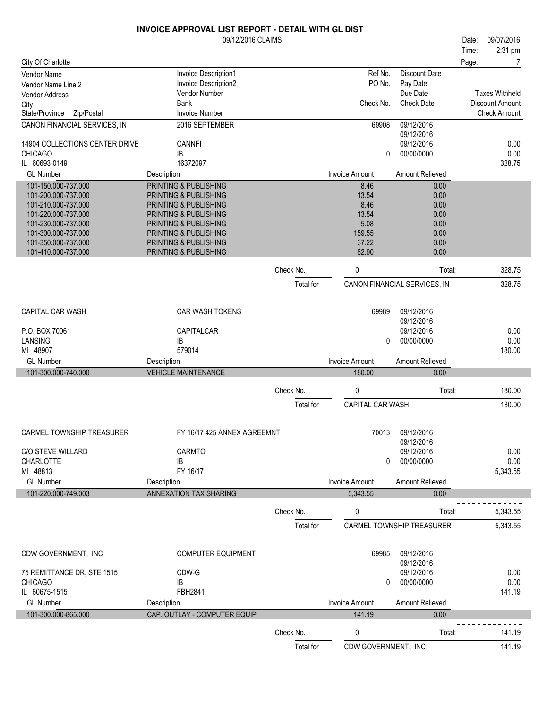|                                            | 09/12/2016 CLAIMS                              |                        |                          |                              | 09/07/2016<br>Date:   |                  |
|--------------------------------------------|------------------------------------------------|------------------------|--------------------------|------------------------------|-----------------------|------------------|
|                                            |                                                |                        |                          |                              | 2:31 pm<br>Time:      |                  |
| City Of Charlotte                          |                                                |                        |                          |                              | Page:                 | 7                |
| Vendor Name                                | Invoice Description1                           |                        | Ref No.                  | <b>Discount Date</b>         |                       |                  |
| Vendor Name Line 2                         | Invoice Description2                           |                        | PO No.                   | Pay Date<br>Due Date         | <b>Taxes Withheld</b> |                  |
| <b>Vendor Address</b>                      | Vendor Number<br>Bank                          |                        | Check No.                | <b>Check Date</b>            | Discount Amount       |                  |
| City<br>Zip/Postal<br>State/Province       | <b>Invoice Number</b>                          |                        |                          |                              | <b>Check Amount</b>   |                  |
| CANON FINANCIAL SERVICES, IN               | 2016 SEPTEMBER                                 |                        | 69908                    | 09/12/2016                   |                       |                  |
|                                            |                                                |                        |                          | 09/12/2016                   |                       |                  |
| 14904 COLLECTIONS CENTER DRIVE             | <b>CANNFI</b>                                  |                        |                          | 09/12/2016                   |                       | 0.00             |
| <b>CHICAGO</b>                             | IB                                             |                        | 0                        | 00/00/0000                   |                       | 0.00             |
| IL 60693-0149                              | 16372097                                       |                        |                          |                              |                       | 328.75           |
| <b>GL Number</b>                           | Description                                    |                        | <b>Invoice Amount</b>    | Amount Relieved              |                       |                  |
| 101-150.000-737.000                        | PRINTING & PUBLISHING                          |                        | 8.46                     | 0.00                         |                       |                  |
| 101-200.000-737.000                        | <b>PRINTING &amp; PUBLISHING</b>               |                        | 13.54                    | 0.00                         |                       |                  |
| 101-210.000-737.000                        | PRINTING & PUBLISHING                          |                        | 8.46                     | 0.00                         |                       |                  |
| 101-220.000-737.000                        | PRINTING & PUBLISHING                          |                        | 13.54                    | 0.00                         |                       |                  |
| 101-230.000-737.000                        | PRINTING & PUBLISHING                          |                        | 5.08                     | 0.00                         |                       |                  |
| 101-300.000-737.000<br>101-350.000-737.000 | PRINTING & PUBLISHING                          |                        | 159.55<br>37.22          | 0.00<br>0.00                 |                       |                  |
| 101-410.000-737.000                        | PRINTING & PUBLISHING<br>PRINTING & PUBLISHING |                        | 82.90                    | 0.00                         |                       |                  |
|                                            |                                                |                        |                          |                              |                       |                  |
|                                            |                                                | Check No.              | 0                        | Total:                       |                       | 328.75           |
|                                            |                                                | Total for              |                          | CANON FINANCIAL SERVICES, IN |                       | 328.75           |
|                                            |                                                |                        |                          |                              |                       |                  |
|                                            |                                                |                        |                          |                              |                       |                  |
| CAPITAL CAR WASH                           | CAR WASH TOKENS                                |                        | 69989                    | 09/12/2016<br>09/12/2016     |                       |                  |
| P.O. BOX 70061                             | CAPITALCAR                                     |                        |                          | 09/12/2016                   |                       | 0.00             |
| LANSING                                    | IB                                             |                        | 0                        | 00/00/0000                   |                       | 0.00             |
| MI 48907                                   | 579014                                         |                        |                          |                              |                       | 180.00           |
| <b>GL Number</b>                           | Description                                    |                        | <b>Invoice Amount</b>    | Amount Relieved              |                       |                  |
| 101-300.000-740.000                        | <b>VEHICLE MAINTENANCE</b>                     |                        | 180.00                   | 0.00                         |                       |                  |
|                                            |                                                |                        |                          |                              |                       |                  |
|                                            |                                                |                        |                          |                              |                       |                  |
|                                            |                                                | Check No.              | 0                        | Total:                       |                       | 180.00           |
|                                            |                                                |                        |                          |                              |                       |                  |
|                                            |                                                | Total for              | CAPITAL CAR WASH         |                              |                       | 180.00           |
|                                            |                                                |                        |                          |                              |                       |                  |
| CARMEL TOWNSHIP TREASURER                  | FY 16/17 425 ANNEX AGREEMNT                    |                        | 70013                    | 09/12/2016                   |                       |                  |
|                                            |                                                |                        |                          | 09/12/2016                   |                       |                  |
| <b>C/O STEVE WILLARD</b>                   | CARMTO                                         |                        |                          | 09/12/2016                   |                       | 0.00             |
| <b>CHARLOTTE</b>                           | IB                                             |                        | 0                        | 00/00/0000                   |                       | 0.00             |
| MI 48813                                   | FY 16/17                                       |                        |                          |                              | 5,343.55              |                  |
| <b>GL Number</b>                           | Description                                    |                        | <b>Invoice Amount</b>    | Amount Relieved              |                       |                  |
| 101-220.000-749.003                        | <b>ANNEXATION TAX SHARING</b>                  |                        | 5,343.55                 | 0.00                         |                       |                  |
|                                            |                                                | Check No.              | 0                        | Total:                       | 5,343.55              |                  |
|                                            |                                                |                        |                          | CARMEL TOWNSHIP TREASURER    |                       |                  |
|                                            |                                                | Total for              |                          |                              | 5,343.55              |                  |
|                                            |                                                |                        |                          |                              |                       |                  |
| CDW GOVERNMENT, INC                        | <b>COMPUTER EQUIPMENT</b>                      |                        | 69985                    | 09/12/2016                   |                       |                  |
|                                            |                                                |                        |                          | 09/12/2016                   |                       |                  |
| 75 REMITTANCE DR, STE 1515                 | CDW-G                                          |                        |                          | 09/12/2016                   |                       | 0.00             |
| <b>CHICAGO</b>                             | IB                                             |                        | 0                        | 00/00/0000                   |                       | 0.00             |
| IL 60675-1515                              | FBH2841                                        |                        |                          |                              |                       | 141.19           |
| <b>GL Number</b>                           | Description                                    |                        | <b>Invoice Amount</b>    | Amount Relieved              |                       |                  |
| 101-300.000-865.000                        | CAP. OUTLAY - COMPUTER EQUIP                   |                        | 141.19                   | 0.00                         |                       |                  |
|                                            |                                                |                        |                          |                              |                       |                  |
|                                            |                                                | Check No.<br>Total for | 0<br>CDW GOVERNMENT, INC | Total:                       |                       | 141.19<br>141.19 |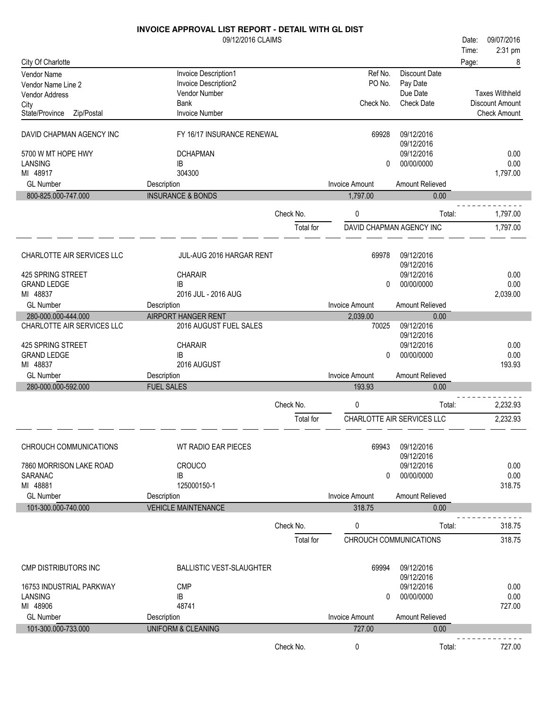| 09/12/2016 CLAIMS<br>09/07/2016<br>Date:<br>2:31 pm<br>Time:<br>City Of Charlotte<br>Page:<br>8<br>Ref No.<br>Invoice Description1<br>Discount Date<br><b>Vendor Name</b><br>PO No.<br>Invoice Description2<br>Pay Date<br>Vendor Name Line 2<br>Due Date<br><b>Taxes Withheld</b><br>Vendor Number<br>Vendor Address<br>Check No.<br><b>Bank</b><br><b>Check Date</b><br>Discount Amount<br>City<br><b>Invoice Number</b><br><b>Check Amount</b><br>State/Province<br>Zip/Postal<br>09/12/2016<br>DAVID CHAPMAN AGENCY INC<br>FY 16/17 INSURANCE RENEWAL<br>69928<br>09/12/2016<br>09/12/2016<br>0.00<br>5700 W MT HOPE HWY<br><b>DCHAPMAN</b><br>0.00<br>LANSING<br>00/00/0000<br>IB<br>0<br>MI 48917<br>304300<br>1,797.00<br><b>GL Number</b><br><b>Invoice Amount</b><br>Amount Relieved<br>Description<br>800-825.000-747.000<br><b>INSURANCE &amp; BONDS</b><br>1,797.00<br>0.00<br>0<br>1,797.00<br>Check No.<br>Total:<br>DAVID CHAPMAN AGENCY INC<br>1,797.00<br>Total for<br>CHARLOTTE AIR SERVICES LLC<br>69978<br>09/12/2016<br>JUL-AUG 2016 HARGAR RENT<br>09/12/2016<br>425 SPRING STREET<br>CHARAIR<br>09/12/2016<br>0.00<br>0.00<br><b>GRAND LEDGE</b><br>00/00/0000<br>IB<br>0<br>2016 JUL - 2016 AUG<br>MI 48837<br>2,039.00<br><b>GL Number</b><br><b>Invoice Amount</b><br>Amount Relieved<br>Description<br><b>AIRPORT HANGER RENT</b><br>280-000.000-444.000<br>0.00<br>2,039.00<br>CHARLOTTE AIR SERVICES LLC<br>09/12/2016<br>2016 AUGUST FUEL SALES<br>70025<br>09/12/2016<br>CHARAIR<br>09/12/2016<br>0.00<br>425 SPRING STREET<br>IB<br>00/00/0000<br>0.00<br><b>GRAND LEDGE</b><br>0<br>MI 48837<br>193.93<br>2016 AUGUST<br><b>GL Number</b><br><b>Invoice Amount</b><br>Amount Relieved<br>Description<br>280-000.000-592.000<br><b>FUEL SALES</b><br>193.93<br>0.00<br>0<br>Check No.<br>Total:<br>2,232.93<br>CHARLOTTE AIR SERVICES LLC<br>2,232.93<br>Total for<br>09/12/2016<br>CHROUCH COMMUNICATIONS<br>WT RADIO EAR PIECES<br>69943<br>09/12/2016<br>09/12/2016<br>0.00<br>7860 MORRISON LAKE ROAD<br><b>CROUCO</b><br>00/00/0000<br>0.00<br>SARANAC<br>IB<br>$\Omega$<br>MI 48881<br>125000150-1<br>318.75<br><b>GL Number</b><br><b>Invoice Amount</b><br>Amount Relieved<br>Description<br>101-300.000-740.000<br><b>VEHICLE MAINTENANCE</b><br>318.75<br>0.00<br>Check No.<br>0<br>318.75<br>Total:<br>CHROUCH COMMUNICATIONS<br>318.75<br>Total for<br><b>CMP DISTRIBUTORS INC</b><br><b>BALLISTIC VEST-SLAUGHTER</b><br>69994<br>09/12/2016<br>09/12/2016<br><b>CMP</b><br>09/12/2016<br>0.00<br>16753 INDUSTRIAL PARKWAY<br>IB<br>00/00/0000<br>0.00<br>LANSING<br>0<br>MI 48906<br>48741<br>727.00<br><b>GL Number</b><br><b>Invoice Amount</b><br>Amount Relieved<br>Description<br>101-300.000-733.000<br><b>UNIFORM &amp; CLEANING</b><br>727.00<br>0.00<br>Check No.<br>0<br>727.00<br>Total: | <b>INVOICE APPROVAL LIST REPORT - DETAIL WITH GL DIST</b> |  |  |  |
|--------------------------------------------------------------------------------------------------------------------------------------------------------------------------------------------------------------------------------------------------------------------------------------------------------------------------------------------------------------------------------------------------------------------------------------------------------------------------------------------------------------------------------------------------------------------------------------------------------------------------------------------------------------------------------------------------------------------------------------------------------------------------------------------------------------------------------------------------------------------------------------------------------------------------------------------------------------------------------------------------------------------------------------------------------------------------------------------------------------------------------------------------------------------------------------------------------------------------------------------------------------------------------------------------------------------------------------------------------------------------------------------------------------------------------------------------------------------------------------------------------------------------------------------------------------------------------------------------------------------------------------------------------------------------------------------------------------------------------------------------------------------------------------------------------------------------------------------------------------------------------------------------------------------------------------------------------------------------------------------------------------------------------------------------------------------------------------------------------------------------------------------------------------------------------------------------------------------------------------------------------------------------------------------------------------------------------------------------------------------------------------------------------------------------------------------------------------------------------------------------------------------------------------------------------------------------------------------------------------------------------------------------------------------------------------------------------------------------------------------------------------------------------------------------------------------------------------------------|-----------------------------------------------------------|--|--|--|
|                                                                                                                                                                                                                                                                                                                                                                                                                                                                                                                                                                                                                                                                                                                                                                                                                                                                                                                                                                                                                                                                                                                                                                                                                                                                                                                                                                                                                                                                                                                                                                                                                                                                                                                                                                                                                                                                                                                                                                                                                                                                                                                                                                                                                                                                                                                                                                                                                                                                                                                                                                                                                                                                                                                                                                                                                                                  |                                                           |  |  |  |
|                                                                                                                                                                                                                                                                                                                                                                                                                                                                                                                                                                                                                                                                                                                                                                                                                                                                                                                                                                                                                                                                                                                                                                                                                                                                                                                                                                                                                                                                                                                                                                                                                                                                                                                                                                                                                                                                                                                                                                                                                                                                                                                                                                                                                                                                                                                                                                                                                                                                                                                                                                                                                                                                                                                                                                                                                                                  |                                                           |  |  |  |
|                                                                                                                                                                                                                                                                                                                                                                                                                                                                                                                                                                                                                                                                                                                                                                                                                                                                                                                                                                                                                                                                                                                                                                                                                                                                                                                                                                                                                                                                                                                                                                                                                                                                                                                                                                                                                                                                                                                                                                                                                                                                                                                                                                                                                                                                                                                                                                                                                                                                                                                                                                                                                                                                                                                                                                                                                                                  |                                                           |  |  |  |
|                                                                                                                                                                                                                                                                                                                                                                                                                                                                                                                                                                                                                                                                                                                                                                                                                                                                                                                                                                                                                                                                                                                                                                                                                                                                                                                                                                                                                                                                                                                                                                                                                                                                                                                                                                                                                                                                                                                                                                                                                                                                                                                                                                                                                                                                                                                                                                                                                                                                                                                                                                                                                                                                                                                                                                                                                                                  |                                                           |  |  |  |
|                                                                                                                                                                                                                                                                                                                                                                                                                                                                                                                                                                                                                                                                                                                                                                                                                                                                                                                                                                                                                                                                                                                                                                                                                                                                                                                                                                                                                                                                                                                                                                                                                                                                                                                                                                                                                                                                                                                                                                                                                                                                                                                                                                                                                                                                                                                                                                                                                                                                                                                                                                                                                                                                                                                                                                                                                                                  |                                                           |  |  |  |
|                                                                                                                                                                                                                                                                                                                                                                                                                                                                                                                                                                                                                                                                                                                                                                                                                                                                                                                                                                                                                                                                                                                                                                                                                                                                                                                                                                                                                                                                                                                                                                                                                                                                                                                                                                                                                                                                                                                                                                                                                                                                                                                                                                                                                                                                                                                                                                                                                                                                                                                                                                                                                                                                                                                                                                                                                                                  |                                                           |  |  |  |
|                                                                                                                                                                                                                                                                                                                                                                                                                                                                                                                                                                                                                                                                                                                                                                                                                                                                                                                                                                                                                                                                                                                                                                                                                                                                                                                                                                                                                                                                                                                                                                                                                                                                                                                                                                                                                                                                                                                                                                                                                                                                                                                                                                                                                                                                                                                                                                                                                                                                                                                                                                                                                                                                                                                                                                                                                                                  |                                                           |  |  |  |
|                                                                                                                                                                                                                                                                                                                                                                                                                                                                                                                                                                                                                                                                                                                                                                                                                                                                                                                                                                                                                                                                                                                                                                                                                                                                                                                                                                                                                                                                                                                                                                                                                                                                                                                                                                                                                                                                                                                                                                                                                                                                                                                                                                                                                                                                                                                                                                                                                                                                                                                                                                                                                                                                                                                                                                                                                                                  |                                                           |  |  |  |
|                                                                                                                                                                                                                                                                                                                                                                                                                                                                                                                                                                                                                                                                                                                                                                                                                                                                                                                                                                                                                                                                                                                                                                                                                                                                                                                                                                                                                                                                                                                                                                                                                                                                                                                                                                                                                                                                                                                                                                                                                                                                                                                                                                                                                                                                                                                                                                                                                                                                                                                                                                                                                                                                                                                                                                                                                                                  |                                                           |  |  |  |
|                                                                                                                                                                                                                                                                                                                                                                                                                                                                                                                                                                                                                                                                                                                                                                                                                                                                                                                                                                                                                                                                                                                                                                                                                                                                                                                                                                                                                                                                                                                                                                                                                                                                                                                                                                                                                                                                                                                                                                                                                                                                                                                                                                                                                                                                                                                                                                                                                                                                                                                                                                                                                                                                                                                                                                                                                                                  |                                                           |  |  |  |
|                                                                                                                                                                                                                                                                                                                                                                                                                                                                                                                                                                                                                                                                                                                                                                                                                                                                                                                                                                                                                                                                                                                                                                                                                                                                                                                                                                                                                                                                                                                                                                                                                                                                                                                                                                                                                                                                                                                                                                                                                                                                                                                                                                                                                                                                                                                                                                                                                                                                                                                                                                                                                                                                                                                                                                                                                                                  |                                                           |  |  |  |
|                                                                                                                                                                                                                                                                                                                                                                                                                                                                                                                                                                                                                                                                                                                                                                                                                                                                                                                                                                                                                                                                                                                                                                                                                                                                                                                                                                                                                                                                                                                                                                                                                                                                                                                                                                                                                                                                                                                                                                                                                                                                                                                                                                                                                                                                                                                                                                                                                                                                                                                                                                                                                                                                                                                                                                                                                                                  |                                                           |  |  |  |
|                                                                                                                                                                                                                                                                                                                                                                                                                                                                                                                                                                                                                                                                                                                                                                                                                                                                                                                                                                                                                                                                                                                                                                                                                                                                                                                                                                                                                                                                                                                                                                                                                                                                                                                                                                                                                                                                                                                                                                                                                                                                                                                                                                                                                                                                                                                                                                                                                                                                                                                                                                                                                                                                                                                                                                                                                                                  |                                                           |  |  |  |
|                                                                                                                                                                                                                                                                                                                                                                                                                                                                                                                                                                                                                                                                                                                                                                                                                                                                                                                                                                                                                                                                                                                                                                                                                                                                                                                                                                                                                                                                                                                                                                                                                                                                                                                                                                                                                                                                                                                                                                                                                                                                                                                                                                                                                                                                                                                                                                                                                                                                                                                                                                                                                                                                                                                                                                                                                                                  |                                                           |  |  |  |
|                                                                                                                                                                                                                                                                                                                                                                                                                                                                                                                                                                                                                                                                                                                                                                                                                                                                                                                                                                                                                                                                                                                                                                                                                                                                                                                                                                                                                                                                                                                                                                                                                                                                                                                                                                                                                                                                                                                                                                                                                                                                                                                                                                                                                                                                                                                                                                                                                                                                                                                                                                                                                                                                                                                                                                                                                                                  |                                                           |  |  |  |
|                                                                                                                                                                                                                                                                                                                                                                                                                                                                                                                                                                                                                                                                                                                                                                                                                                                                                                                                                                                                                                                                                                                                                                                                                                                                                                                                                                                                                                                                                                                                                                                                                                                                                                                                                                                                                                                                                                                                                                                                                                                                                                                                                                                                                                                                                                                                                                                                                                                                                                                                                                                                                                                                                                                                                                                                                                                  |                                                           |  |  |  |
|                                                                                                                                                                                                                                                                                                                                                                                                                                                                                                                                                                                                                                                                                                                                                                                                                                                                                                                                                                                                                                                                                                                                                                                                                                                                                                                                                                                                                                                                                                                                                                                                                                                                                                                                                                                                                                                                                                                                                                                                                                                                                                                                                                                                                                                                                                                                                                                                                                                                                                                                                                                                                                                                                                                                                                                                                                                  |                                                           |  |  |  |
|                                                                                                                                                                                                                                                                                                                                                                                                                                                                                                                                                                                                                                                                                                                                                                                                                                                                                                                                                                                                                                                                                                                                                                                                                                                                                                                                                                                                                                                                                                                                                                                                                                                                                                                                                                                                                                                                                                                                                                                                                                                                                                                                                                                                                                                                                                                                                                                                                                                                                                                                                                                                                                                                                                                                                                                                                                                  |                                                           |  |  |  |
|                                                                                                                                                                                                                                                                                                                                                                                                                                                                                                                                                                                                                                                                                                                                                                                                                                                                                                                                                                                                                                                                                                                                                                                                                                                                                                                                                                                                                                                                                                                                                                                                                                                                                                                                                                                                                                                                                                                                                                                                                                                                                                                                                                                                                                                                                                                                                                                                                                                                                                                                                                                                                                                                                                                                                                                                                                                  |                                                           |  |  |  |
|                                                                                                                                                                                                                                                                                                                                                                                                                                                                                                                                                                                                                                                                                                                                                                                                                                                                                                                                                                                                                                                                                                                                                                                                                                                                                                                                                                                                                                                                                                                                                                                                                                                                                                                                                                                                                                                                                                                                                                                                                                                                                                                                                                                                                                                                                                                                                                                                                                                                                                                                                                                                                                                                                                                                                                                                                                                  |                                                           |  |  |  |
|                                                                                                                                                                                                                                                                                                                                                                                                                                                                                                                                                                                                                                                                                                                                                                                                                                                                                                                                                                                                                                                                                                                                                                                                                                                                                                                                                                                                                                                                                                                                                                                                                                                                                                                                                                                                                                                                                                                                                                                                                                                                                                                                                                                                                                                                                                                                                                                                                                                                                                                                                                                                                                                                                                                                                                                                                                                  |                                                           |  |  |  |
|                                                                                                                                                                                                                                                                                                                                                                                                                                                                                                                                                                                                                                                                                                                                                                                                                                                                                                                                                                                                                                                                                                                                                                                                                                                                                                                                                                                                                                                                                                                                                                                                                                                                                                                                                                                                                                                                                                                                                                                                                                                                                                                                                                                                                                                                                                                                                                                                                                                                                                                                                                                                                                                                                                                                                                                                                                                  |                                                           |  |  |  |
|                                                                                                                                                                                                                                                                                                                                                                                                                                                                                                                                                                                                                                                                                                                                                                                                                                                                                                                                                                                                                                                                                                                                                                                                                                                                                                                                                                                                                                                                                                                                                                                                                                                                                                                                                                                                                                                                                                                                                                                                                                                                                                                                                                                                                                                                                                                                                                                                                                                                                                                                                                                                                                                                                                                                                                                                                                                  |                                                           |  |  |  |
|                                                                                                                                                                                                                                                                                                                                                                                                                                                                                                                                                                                                                                                                                                                                                                                                                                                                                                                                                                                                                                                                                                                                                                                                                                                                                                                                                                                                                                                                                                                                                                                                                                                                                                                                                                                                                                                                                                                                                                                                                                                                                                                                                                                                                                                                                                                                                                                                                                                                                                                                                                                                                                                                                                                                                                                                                                                  |                                                           |  |  |  |
|                                                                                                                                                                                                                                                                                                                                                                                                                                                                                                                                                                                                                                                                                                                                                                                                                                                                                                                                                                                                                                                                                                                                                                                                                                                                                                                                                                                                                                                                                                                                                                                                                                                                                                                                                                                                                                                                                                                                                                                                                                                                                                                                                                                                                                                                                                                                                                                                                                                                                                                                                                                                                                                                                                                                                                                                                                                  |                                                           |  |  |  |
|                                                                                                                                                                                                                                                                                                                                                                                                                                                                                                                                                                                                                                                                                                                                                                                                                                                                                                                                                                                                                                                                                                                                                                                                                                                                                                                                                                                                                                                                                                                                                                                                                                                                                                                                                                                                                                                                                                                                                                                                                                                                                                                                                                                                                                                                                                                                                                                                                                                                                                                                                                                                                                                                                                                                                                                                                                                  |                                                           |  |  |  |
|                                                                                                                                                                                                                                                                                                                                                                                                                                                                                                                                                                                                                                                                                                                                                                                                                                                                                                                                                                                                                                                                                                                                                                                                                                                                                                                                                                                                                                                                                                                                                                                                                                                                                                                                                                                                                                                                                                                                                                                                                                                                                                                                                                                                                                                                                                                                                                                                                                                                                                                                                                                                                                                                                                                                                                                                                                                  |                                                           |  |  |  |
|                                                                                                                                                                                                                                                                                                                                                                                                                                                                                                                                                                                                                                                                                                                                                                                                                                                                                                                                                                                                                                                                                                                                                                                                                                                                                                                                                                                                                                                                                                                                                                                                                                                                                                                                                                                                                                                                                                                                                                                                                                                                                                                                                                                                                                                                                                                                                                                                                                                                                                                                                                                                                                                                                                                                                                                                                                                  |                                                           |  |  |  |
|                                                                                                                                                                                                                                                                                                                                                                                                                                                                                                                                                                                                                                                                                                                                                                                                                                                                                                                                                                                                                                                                                                                                                                                                                                                                                                                                                                                                                                                                                                                                                                                                                                                                                                                                                                                                                                                                                                                                                                                                                                                                                                                                                                                                                                                                                                                                                                                                                                                                                                                                                                                                                                                                                                                                                                                                                                                  |                                                           |  |  |  |
|                                                                                                                                                                                                                                                                                                                                                                                                                                                                                                                                                                                                                                                                                                                                                                                                                                                                                                                                                                                                                                                                                                                                                                                                                                                                                                                                                                                                                                                                                                                                                                                                                                                                                                                                                                                                                                                                                                                                                                                                                                                                                                                                                                                                                                                                                                                                                                                                                                                                                                                                                                                                                                                                                                                                                                                                                                                  |                                                           |  |  |  |
|                                                                                                                                                                                                                                                                                                                                                                                                                                                                                                                                                                                                                                                                                                                                                                                                                                                                                                                                                                                                                                                                                                                                                                                                                                                                                                                                                                                                                                                                                                                                                                                                                                                                                                                                                                                                                                                                                                                                                                                                                                                                                                                                                                                                                                                                                                                                                                                                                                                                                                                                                                                                                                                                                                                                                                                                                                                  |                                                           |  |  |  |
|                                                                                                                                                                                                                                                                                                                                                                                                                                                                                                                                                                                                                                                                                                                                                                                                                                                                                                                                                                                                                                                                                                                                                                                                                                                                                                                                                                                                                                                                                                                                                                                                                                                                                                                                                                                                                                                                                                                                                                                                                                                                                                                                                                                                                                                                                                                                                                                                                                                                                                                                                                                                                                                                                                                                                                                                                                                  |                                                           |  |  |  |
|                                                                                                                                                                                                                                                                                                                                                                                                                                                                                                                                                                                                                                                                                                                                                                                                                                                                                                                                                                                                                                                                                                                                                                                                                                                                                                                                                                                                                                                                                                                                                                                                                                                                                                                                                                                                                                                                                                                                                                                                                                                                                                                                                                                                                                                                                                                                                                                                                                                                                                                                                                                                                                                                                                                                                                                                                                                  |                                                           |  |  |  |
|                                                                                                                                                                                                                                                                                                                                                                                                                                                                                                                                                                                                                                                                                                                                                                                                                                                                                                                                                                                                                                                                                                                                                                                                                                                                                                                                                                                                                                                                                                                                                                                                                                                                                                                                                                                                                                                                                                                                                                                                                                                                                                                                                                                                                                                                                                                                                                                                                                                                                                                                                                                                                                                                                                                                                                                                                                                  |                                                           |  |  |  |
|                                                                                                                                                                                                                                                                                                                                                                                                                                                                                                                                                                                                                                                                                                                                                                                                                                                                                                                                                                                                                                                                                                                                                                                                                                                                                                                                                                                                                                                                                                                                                                                                                                                                                                                                                                                                                                                                                                                                                                                                                                                                                                                                                                                                                                                                                                                                                                                                                                                                                                                                                                                                                                                                                                                                                                                                                                                  |                                                           |  |  |  |
|                                                                                                                                                                                                                                                                                                                                                                                                                                                                                                                                                                                                                                                                                                                                                                                                                                                                                                                                                                                                                                                                                                                                                                                                                                                                                                                                                                                                                                                                                                                                                                                                                                                                                                                                                                                                                                                                                                                                                                                                                                                                                                                                                                                                                                                                                                                                                                                                                                                                                                                                                                                                                                                                                                                                                                                                                                                  |                                                           |  |  |  |
|                                                                                                                                                                                                                                                                                                                                                                                                                                                                                                                                                                                                                                                                                                                                                                                                                                                                                                                                                                                                                                                                                                                                                                                                                                                                                                                                                                                                                                                                                                                                                                                                                                                                                                                                                                                                                                                                                                                                                                                                                                                                                                                                                                                                                                                                                                                                                                                                                                                                                                                                                                                                                                                                                                                                                                                                                                                  |                                                           |  |  |  |
|                                                                                                                                                                                                                                                                                                                                                                                                                                                                                                                                                                                                                                                                                                                                                                                                                                                                                                                                                                                                                                                                                                                                                                                                                                                                                                                                                                                                                                                                                                                                                                                                                                                                                                                                                                                                                                                                                                                                                                                                                                                                                                                                                                                                                                                                                                                                                                                                                                                                                                                                                                                                                                                                                                                                                                                                                                                  |                                                           |  |  |  |
|                                                                                                                                                                                                                                                                                                                                                                                                                                                                                                                                                                                                                                                                                                                                                                                                                                                                                                                                                                                                                                                                                                                                                                                                                                                                                                                                                                                                                                                                                                                                                                                                                                                                                                                                                                                                                                                                                                                                                                                                                                                                                                                                                                                                                                                                                                                                                                                                                                                                                                                                                                                                                                                                                                                                                                                                                                                  |                                                           |  |  |  |
|                                                                                                                                                                                                                                                                                                                                                                                                                                                                                                                                                                                                                                                                                                                                                                                                                                                                                                                                                                                                                                                                                                                                                                                                                                                                                                                                                                                                                                                                                                                                                                                                                                                                                                                                                                                                                                                                                                                                                                                                                                                                                                                                                                                                                                                                                                                                                                                                                                                                                                                                                                                                                                                                                                                                                                                                                                                  |                                                           |  |  |  |
|                                                                                                                                                                                                                                                                                                                                                                                                                                                                                                                                                                                                                                                                                                                                                                                                                                                                                                                                                                                                                                                                                                                                                                                                                                                                                                                                                                                                                                                                                                                                                                                                                                                                                                                                                                                                                                                                                                                                                                                                                                                                                                                                                                                                                                                                                                                                                                                                                                                                                                                                                                                                                                                                                                                                                                                                                                                  |                                                           |  |  |  |
|                                                                                                                                                                                                                                                                                                                                                                                                                                                                                                                                                                                                                                                                                                                                                                                                                                                                                                                                                                                                                                                                                                                                                                                                                                                                                                                                                                                                                                                                                                                                                                                                                                                                                                                                                                                                                                                                                                                                                                                                                                                                                                                                                                                                                                                                                                                                                                                                                                                                                                                                                                                                                                                                                                                                                                                                                                                  |                                                           |  |  |  |
|                                                                                                                                                                                                                                                                                                                                                                                                                                                                                                                                                                                                                                                                                                                                                                                                                                                                                                                                                                                                                                                                                                                                                                                                                                                                                                                                                                                                                                                                                                                                                                                                                                                                                                                                                                                                                                                                                                                                                                                                                                                                                                                                                                                                                                                                                                                                                                                                                                                                                                                                                                                                                                                                                                                                                                                                                                                  |                                                           |  |  |  |
|                                                                                                                                                                                                                                                                                                                                                                                                                                                                                                                                                                                                                                                                                                                                                                                                                                                                                                                                                                                                                                                                                                                                                                                                                                                                                                                                                                                                                                                                                                                                                                                                                                                                                                                                                                                                                                                                                                                                                                                                                                                                                                                                                                                                                                                                                                                                                                                                                                                                                                                                                                                                                                                                                                                                                                                                                                                  |                                                           |  |  |  |
|                                                                                                                                                                                                                                                                                                                                                                                                                                                                                                                                                                                                                                                                                                                                                                                                                                                                                                                                                                                                                                                                                                                                                                                                                                                                                                                                                                                                                                                                                                                                                                                                                                                                                                                                                                                                                                                                                                                                                                                                                                                                                                                                                                                                                                                                                                                                                                                                                                                                                                                                                                                                                                                                                                                                                                                                                                                  |                                                           |  |  |  |
|                                                                                                                                                                                                                                                                                                                                                                                                                                                                                                                                                                                                                                                                                                                                                                                                                                                                                                                                                                                                                                                                                                                                                                                                                                                                                                                                                                                                                                                                                                                                                                                                                                                                                                                                                                                                                                                                                                                                                                                                                                                                                                                                                                                                                                                                                                                                                                                                                                                                                                                                                                                                                                                                                                                                                                                                                                                  |                                                           |  |  |  |
|                                                                                                                                                                                                                                                                                                                                                                                                                                                                                                                                                                                                                                                                                                                                                                                                                                                                                                                                                                                                                                                                                                                                                                                                                                                                                                                                                                                                                                                                                                                                                                                                                                                                                                                                                                                                                                                                                                                                                                                                                                                                                                                                                                                                                                                                                                                                                                                                                                                                                                                                                                                                                                                                                                                                                                                                                                                  |                                                           |  |  |  |
|                                                                                                                                                                                                                                                                                                                                                                                                                                                                                                                                                                                                                                                                                                                                                                                                                                                                                                                                                                                                                                                                                                                                                                                                                                                                                                                                                                                                                                                                                                                                                                                                                                                                                                                                                                                                                                                                                                                                                                                                                                                                                                                                                                                                                                                                                                                                                                                                                                                                                                                                                                                                                                                                                                                                                                                                                                                  |                                                           |  |  |  |
|                                                                                                                                                                                                                                                                                                                                                                                                                                                                                                                                                                                                                                                                                                                                                                                                                                                                                                                                                                                                                                                                                                                                                                                                                                                                                                                                                                                                                                                                                                                                                                                                                                                                                                                                                                                                                                                                                                                                                                                                                                                                                                                                                                                                                                                                                                                                                                                                                                                                                                                                                                                                                                                                                                                                                                                                                                                  |                                                           |  |  |  |
|                                                                                                                                                                                                                                                                                                                                                                                                                                                                                                                                                                                                                                                                                                                                                                                                                                                                                                                                                                                                                                                                                                                                                                                                                                                                                                                                                                                                                                                                                                                                                                                                                                                                                                                                                                                                                                                                                                                                                                                                                                                                                                                                                                                                                                                                                                                                                                                                                                                                                                                                                                                                                                                                                                                                                                                                                                                  |                                                           |  |  |  |
|                                                                                                                                                                                                                                                                                                                                                                                                                                                                                                                                                                                                                                                                                                                                                                                                                                                                                                                                                                                                                                                                                                                                                                                                                                                                                                                                                                                                                                                                                                                                                                                                                                                                                                                                                                                                                                                                                                                                                                                                                                                                                                                                                                                                                                                                                                                                                                                                                                                                                                                                                                                                                                                                                                                                                                                                                                                  |                                                           |  |  |  |
|                                                                                                                                                                                                                                                                                                                                                                                                                                                                                                                                                                                                                                                                                                                                                                                                                                                                                                                                                                                                                                                                                                                                                                                                                                                                                                                                                                                                                                                                                                                                                                                                                                                                                                                                                                                                                                                                                                                                                                                                                                                                                                                                                                                                                                                                                                                                                                                                                                                                                                                                                                                                                                                                                                                                                                                                                                                  |                                                           |  |  |  |
|                                                                                                                                                                                                                                                                                                                                                                                                                                                                                                                                                                                                                                                                                                                                                                                                                                                                                                                                                                                                                                                                                                                                                                                                                                                                                                                                                                                                                                                                                                                                                                                                                                                                                                                                                                                                                                                                                                                                                                                                                                                                                                                                                                                                                                                                                                                                                                                                                                                                                                                                                                                                                                                                                                                                                                                                                                                  |                                                           |  |  |  |
|                                                                                                                                                                                                                                                                                                                                                                                                                                                                                                                                                                                                                                                                                                                                                                                                                                                                                                                                                                                                                                                                                                                                                                                                                                                                                                                                                                                                                                                                                                                                                                                                                                                                                                                                                                                                                                                                                                                                                                                                                                                                                                                                                                                                                                                                                                                                                                                                                                                                                                                                                                                                                                                                                                                                                                                                                                                  |                                                           |  |  |  |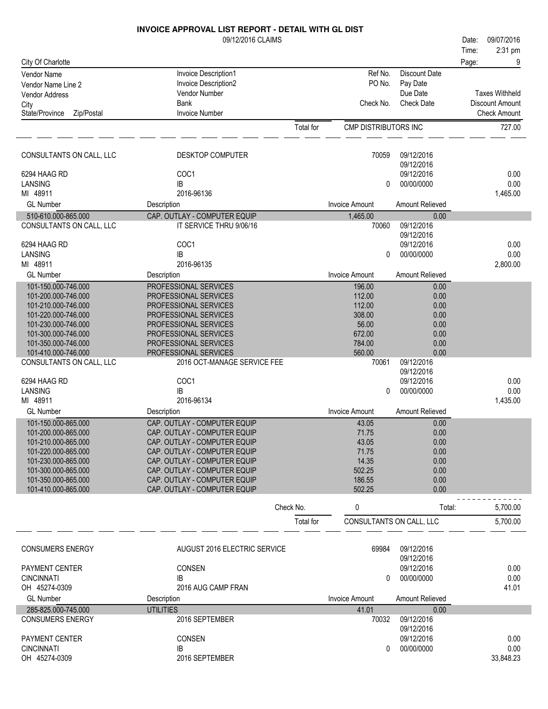|                                            | 09/12/2016 CLAIMS                                            |           |                          |                          | Date: | 09/07/2016            |
|--------------------------------------------|--------------------------------------------------------------|-----------|--------------------------|--------------------------|-------|-----------------------|
|                                            |                                                              |           |                          |                          | Time: | 2:31 pm               |
| City Of Charlotte                          |                                                              |           |                          |                          | Page: | 9                     |
| <b>Vendor Name</b>                         | Invoice Description1                                         |           | Ref No.                  | <b>Discount Date</b>     |       |                       |
| Vendor Name Line 2                         | <b>Invoice Description2</b><br>Vendor Number                 |           | PO No.                   | Pay Date<br>Due Date     |       | <b>Taxes Withheld</b> |
| Vendor Address                             | <b>Bank</b>                                                  |           | Check No.                | <b>Check Date</b>        |       | Discount Amount       |
| City<br>State/Province<br>Zip/Postal       | <b>Invoice Number</b>                                        |           |                          |                          |       | <b>Check Amount</b>   |
|                                            |                                                              | Total for | CMP DISTRIBUTORS INC     |                          |       | 727.00                |
|                                            |                                                              |           |                          |                          |       |                       |
| CONSULTANTS ON CALL, LLC                   | <b>DESKTOP COMPUTER</b>                                      |           | 70059                    | 09/12/2016               |       |                       |
|                                            |                                                              |           |                          | 09/12/2016               |       |                       |
| 6294 HAAG RD                               | COC1                                                         |           |                          | 09/12/2016               |       | 0.00                  |
| LANSING<br>MI 48911                        | IB<br>2016-96136                                             |           | 0                        | 00/00/0000               |       | 0.00<br>1,465.00      |
| <b>GL Number</b>                           | Description                                                  |           | <b>Invoice Amount</b>    | Amount Relieved          |       |                       |
| 510-610.000-865.000                        | CAP. OUTLAY - COMPUTER EQUIP                                 |           | 1,465.00                 | 0.00                     |       |                       |
| CONSULTANTS ON CALL, LLC                   | IT SERVICE THRU 9/06/16                                      |           | 70060                    | 09/12/2016               |       |                       |
|                                            |                                                              |           |                          | 09/12/2016               |       |                       |
| 6294 HAAG RD                               | COC1                                                         |           |                          | 09/12/2016               |       | 0.00                  |
| LANSING                                    | IB                                                           |           | $\mathbf{0}$             | 00/00/0000               |       | 0.00                  |
| MI 48911                                   | 2016-96135                                                   |           |                          |                          |       | 2,800.00              |
| <b>GL Number</b>                           | Description                                                  |           | <b>Invoice Amount</b>    | Amount Relieved          |       |                       |
| 101-150.000-746.000                        | PROFESSIONAL SERVICES                                        |           | 196.00                   | 0.00                     |       |                       |
| 101-200.000-746.000                        | PROFESSIONAL SERVICES                                        |           | 112.00                   | 0.00                     |       |                       |
| 101-210.000-746.000                        | PROFESSIONAL SERVICES                                        |           | 112.00                   | 0.00                     |       |                       |
| 101-220.000-746.000                        | PROFESSIONAL SERVICES                                        |           | 308.00<br>56.00          | 0.00                     |       |                       |
| 101-230.000-746.000<br>101-300.000-746.000 | PROFESSIONAL SERVICES<br>PROFESSIONAL SERVICES               |           | 672.00                   | 0.00<br>0.00             |       |                       |
| 101-350.000-746.000                        | PROFESSIONAL SERVICES                                        |           | 784.00                   | 0.00                     |       |                       |
| 101-410.000-746.000                        | PROFESSIONAL SERVICES                                        |           | 560.00                   | 0.00                     |       |                       |
| CONSULTANTS ON CALL, LLC                   | 2016 OCT-MANAGE SERVICE FEE                                  |           | 70061                    | 09/12/2016<br>09/12/2016 |       |                       |
| 6294 HAAG RD                               | COC1                                                         |           |                          | 09/12/2016               |       | 0.00                  |
| LANSING                                    | IB                                                           |           | $\pmb{0}$                | 00/00/0000               |       | 0.00                  |
| MI 48911                                   | 2016-96134                                                   |           |                          |                          |       | 1,435.00              |
| <b>GL</b> Number                           | Description                                                  |           | <b>Invoice Amount</b>    | Amount Relieved          |       |                       |
| 101-150.000-865.000                        | CAP. OUTLAY - COMPUTER EQUIP                                 |           | 43.05                    | 0.00                     |       |                       |
| 101-200.000-865.000                        | CAP. OUTLAY - COMPUTER EQUIP                                 |           | 71.75                    | 0.00                     |       |                       |
| 101-210.000-865.000                        | CAP. OUTLAY - COMPUTER EQUIP                                 |           | 43.05                    | 0.00                     |       |                       |
| 101-220.000-865.000<br>101-230.000-865.000 | CAP. OUTLAY - COMPUTER EQUIP<br>CAP. OUTLAY - COMPUTER EQUIP |           | 71.75<br>14.35           | 0.00<br>0.00             |       |                       |
| 101-300.000-865.000                        | CAP. OUTLAY - COMPUTER EQUIP                                 |           | 502.25                   | 0.00                     |       |                       |
| 101-350.000-865.000                        | CAP. OUTLAY - COMPUTER EQUIP                                 |           | 186.55                   | 0.00                     |       |                       |
| 101-410.000-865.000                        | CAP. OUTLAY - COMPUTER EQUIP                                 |           | 502.25                   | 0.00                     |       |                       |
|                                            |                                                              | Check No. | 0                        | Total:                   |       | 5,700.00              |
|                                            |                                                              | Total for | CONSULTANTS ON CALL, LLC |                          |       | 5,700.00              |
|                                            |                                                              |           |                          |                          |       |                       |
| <b>CONSUMERS ENERGY</b>                    | AUGUST 2016 ELECTRIC SERVICE                                 |           | 69984                    | 09/12/2016<br>09/12/2016 |       |                       |
| <b>PAYMENT CENTER</b>                      | CONSEN                                                       |           |                          | 09/12/2016               |       | 0.00                  |
| <b>CINCINNATI</b>                          | IB                                                           |           | 0                        | 00/00/0000               |       | 0.00                  |
| OH 45274-0309                              | 2016 AUG CAMP FRAN                                           |           |                          |                          |       | 41.01                 |
| <b>GL Number</b>                           | Description                                                  |           | <b>Invoice Amount</b>    | Amount Relieved          |       |                       |
| 285-825.000-745.000                        | <b>UTILITIES</b>                                             |           | 41.01                    | 0.00                     |       |                       |
| <b>CONSUMERS ENERGY</b>                    | 2016 SEPTEMBER                                               |           | 70032                    | 09/12/2016               |       |                       |
| <b>PAYMENT CENTER</b>                      | <b>CONSEN</b>                                                |           |                          | 09/12/2016<br>09/12/2016 |       | 0.00                  |
| <b>CINCINNATI</b>                          | IB                                                           |           | 0                        | 00/00/0000               |       | 0.00                  |
| OH 45274-0309                              | 2016 SEPTEMBER                                               |           |                          |                          |       | 33,848.23             |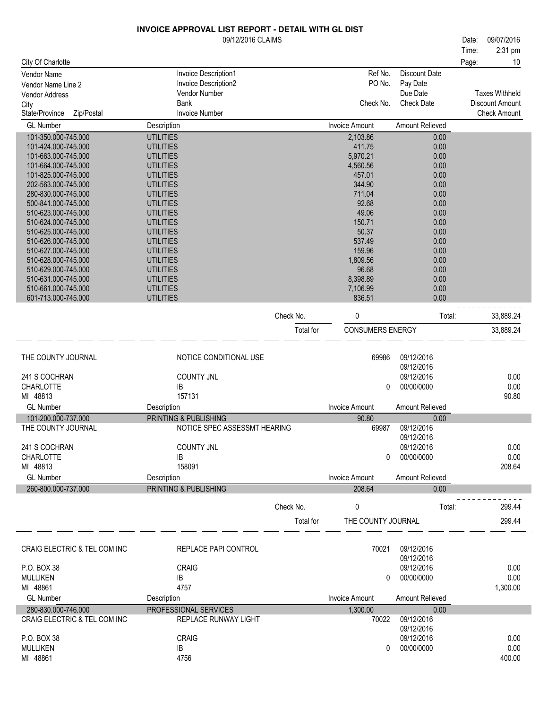#### 2:31 pm 09/12/2016 CLAIMS 09/07/2016 City Of Charlotte Time: Date: Page: 10 Check Amount Check Date Vendor Name Invoice Description 1 (Vendor Name Invoice Description 1 and 1990) Nef No. Discount Date<br>Vendor Name I ine 2 (Invoice Description 2 and 1990) No. Pay Date Vendor Name Line 2 Invoice Description<br>1999 - Vendor Address Politics Politics Politics Politics Politics Politics Politics Politics Politics Politic<br>2 Politics Politics Politics Politics Politics Politics Politics Politic Due Date Invoice Number Vendor Address Vendor Address Vendor Number of the Vendor Vendor Vendor Vendor Vendor Vendor Vendor Vendor Vendor Vendor Vendor Vendor Vendor Vendor Vendor Vendor Vendor Vendor Vendor Vendor Vendor Vendor Vendor Vendor Ven City **Bank** State/Province Zip/Postal Check No. Check Date Discount Amount Taxes Withheld GL Number **Invoice Amount Relieved** Description **Invoice Amount Amount Relieved** Burger Controller Amount Relieved 101-350.000-745.000 UTILITIES 2,103.86 0.00 101-424.000-745.000 101-663.000-745.000 UTILITIES 5.970.21 0.00 101-664.000-745.000 UTILITIES 4.560.56 0.00 101-825.000-745.000 UTILITIES 457.01 0.00 202-563.000-745.000 UTILITIES 344.90 0.00 280-830.000-745.000 UTILITIES 711.04 0.00 500-841.000-745.000 UTILITIES 92.68 0.00 510-623.000-745.000 UTILITIES 49.06 0.00 510-624.000-745.000 UTILITIES 150.71 0.00 510-625.000-745.000 UTILITIES 50.37 0.00 510-626.000-745.000 UTILITIES 537.49 0.00 510-627.000-745.000 UTILITIES 159.96 0.00 510-628.000-745.000 510-629.000-745.000 UTILITIES 96.68 0.00 510-631.000-745.000 UTILITIES 8,398.89 0.00 510-661.000-745.000 UTILITIES 7,106.99 0.00 601-713.000-745.000 UTILITIES 836.51 0.00 Check No. 0 0 Total: 33,889.24 Total for CONSUMERS ENERGY 33,889.24 MI 48813 **IB** 0.000 0.000 0.000 0.000 0.000 0.000 0.000 0.000 0.000 0.000 0.000 0.000 0.000 0.000 0.000 0.000 0.000 0.000 0.000 0.000 0.000 0.000 0.000 0.000 0.000 0.000 0.000 0.000 0.000 0.000 0.000 0.000 0.000 0.000 0.000 0.000 0 COUNTY JNL 09/12/2016 09/12/2016 THE COUNTY JOURNAL **NOTICE CONDITIONAL USE** 69986 09/12/2016 157131 90.80 241 S COCHRAN 0.00 **CHARLOTTE** GL Number **Invoice Amount Relieved** Description **Invoice Amount Amount Relieved** Burger Controller Amount Relieved 101-200.000-737.000 PRINTING & PUBLISHING 90.80 0.00 MI 48813 **IB** 0.000 0.000 0.000 0.000 0.000 0.000 0.000 0.000 0.000 0.000 0.000 0.000 0.000 0.000 0.000 0.000 0.000 0.000 0.000 0.000 0.000 0.000 0.000 0.000 0.000 0.000 0.000 0.000 0.000 0.000 0.000 0.000 0.000 0.000 0.000 0.000 0 COUNTY JNL 09/12/2016 09/12/2016 NOTICE SPEC ASSESSMT HEARING 158091 208.64 241 S COCHRAN 0.00 **CHARLOTTE** GL Number **Container Container Container Container Container Container Amount Amount Relieved** Container Property 260-800.000-737.000 PRINTING & PUBLISHING 208.64 0.00 Check No. 0 0 Total: 299.44 Total for THE COUNTY JOURNAL 299.44

| CRAIG ELECTRIC & TEL COM INC | REPLACE PAPI CONTROL  | 70021          | 09/12/2016<br>09/12/2016 |          |
|------------------------------|-----------------------|----------------|--------------------------|----------|
| P.O. BOX 38                  | <b>CRAIG</b>          |                | 09/12/2016               | 0.00     |
| <b>MULLIKEN</b>              | ΙB                    | 0              | 00/00/0000               | 0.00     |
|                              |                       |                |                          |          |
| MI 48861                     | 4757                  |                |                          | 1,300.00 |
| <b>GL Number</b>             | Description           | Invoice Amount | Amount Relieved          |          |
| 280-830.000-746.000          | PROFFSSIONAL SERVICES | 1.300.00       | 0.00                     |          |
| CRAIG ELECTRIC & TEL COM INC | REPLACE RUNWAY LIGHT  | 70022          | 09/12/2016               |          |
|                              |                       |                | 09/12/2016               |          |
| P.O. BOX 38                  | <b>CRAIG</b>          |                | 09/12/2016               | 0.00     |
| <b>MULLIKEN</b>              | IB                    |                | 00/00/0000               | 0.00     |
| 48861<br>ML                  | 4756                  |                |                          | 400.00   |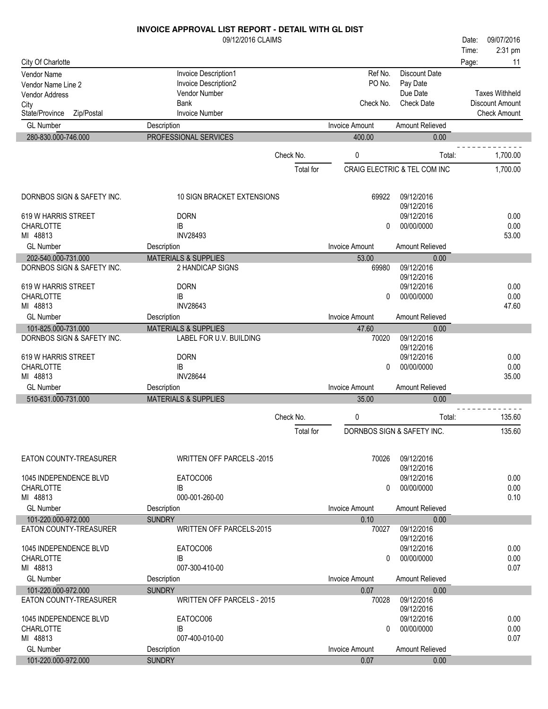## 09/12/2016 CLAIMS **INVOICE APPROVAL LIST REPORT - DETAIL WITH GL DIST** Time: Date: 09/07/2016

|                                                   |                                                            |           |                       |                               | Time: | 2:31 pm                                         |
|---------------------------------------------------|------------------------------------------------------------|-----------|-----------------------|-------------------------------|-------|-------------------------------------------------|
| City Of Charlotte                                 |                                                            |           |                       |                               | Page: | 11                                              |
| Vendor Name                                       | Invoice Description1                                       |           | Ref No.               | <b>Discount Date</b>          |       |                                                 |
| Vendor Name Line 2                                | Invoice Description2                                       |           | PO No.                | Pay Date                      |       |                                                 |
| <b>Vendor Address</b>                             | Vendor Number<br><b>Bank</b>                               |           | Check No.             | Due Date<br><b>Check Date</b> |       | <b>Taxes Withheld</b><br><b>Discount Amount</b> |
| City<br>State/Province<br>Zip/Postal              | <b>Invoice Number</b>                                      |           |                       |                               |       | <b>Check Amount</b>                             |
| <b>GL Number</b>                                  | Description                                                |           | <b>Invoice Amount</b> | Amount Relieved               |       |                                                 |
| 280-830.000-746.000                               | PROFESSIONAL SERVICES                                      |           | 400.00                | 0.00                          |       |                                                 |
|                                                   |                                                            |           |                       |                               |       |                                                 |
|                                                   |                                                            | Check No. | 0                     | Total:                        |       | 1,700.00                                        |
|                                                   |                                                            | Total for |                       | CRAIG ELECTRIC & TEL COM INC  |       | 1,700.00                                        |
|                                                   |                                                            |           |                       |                               |       |                                                 |
|                                                   |                                                            |           |                       |                               |       |                                                 |
| DORNBOS SIGN & SAFETY INC.                        | <b>10 SIGN BRACKET EXTENSIONS</b>                          |           | 69922                 | 09/12/2016<br>09/12/2016      |       |                                                 |
| 619 W HARRIS STREET                               | <b>DORN</b>                                                |           |                       | 09/12/2016                    |       | 0.00                                            |
| <b>CHARLOTTE</b>                                  | IB                                                         |           | 0                     | 00/00/0000                    |       | 0.00                                            |
| MI 48813                                          | <b>INV28493</b>                                            |           |                       |                               |       | 53.00                                           |
| <b>GL Number</b>                                  | Description                                                |           | <b>Invoice Amount</b> | Amount Relieved               |       |                                                 |
| 202-540.000-731.000                               | <b>MATERIALS &amp; SUPPLIES</b>                            |           | 53.00                 | 0.00                          |       |                                                 |
| DORNBOS SIGN & SAFETY INC.                        | 2 HANDICAP SIGNS                                           |           | 69980                 | 09/12/2016                    |       |                                                 |
|                                                   |                                                            |           |                       | 09/12/2016                    |       |                                                 |
| 619 W HARRIS STREET                               | <b>DORN</b>                                                |           |                       | 09/12/2016                    |       | 0.00                                            |
| <b>CHARLOTTE</b>                                  | <b>IB</b>                                                  |           | 0                     | 00/00/0000                    |       | 0.00                                            |
| MI 48813                                          | <b>INV28643</b>                                            |           |                       |                               |       | 47.60                                           |
| <b>GL Number</b>                                  | Description                                                |           | <b>Invoice Amount</b> | <b>Amount Relieved</b>        |       |                                                 |
| 101-825.000-731.000<br>DORNBOS SIGN & SAFETY INC. | <b>MATERIALS &amp; SUPPLIES</b><br>LABEL FOR U.V. BUILDING |           | 47.60<br>70020        | 0.00<br>09/12/2016            |       |                                                 |
|                                                   |                                                            |           |                       | 09/12/2016                    |       |                                                 |
| 619 W HARRIS STREET                               | <b>DORN</b>                                                |           |                       | 09/12/2016                    |       | 0.00                                            |
| <b>CHARLOTTE</b>                                  | IB                                                         |           | 0                     | 00/00/0000                    |       | 0.00                                            |
| MI 48813                                          | <b>INV28644</b>                                            |           |                       |                               |       | 35.00                                           |
| <b>GL Number</b>                                  | Description                                                |           | <b>Invoice Amount</b> | Amount Relieved               |       |                                                 |
| 510-631.000-731.000                               | <b>MATERIALS &amp; SUPPLIES</b>                            |           | 35.00                 | 0.00                          |       |                                                 |
|                                                   |                                                            |           |                       |                               |       |                                                 |
|                                                   |                                                            | Check No. | 0                     | Total:                        |       | 135.60                                          |
|                                                   |                                                            | Total for |                       | DORNBOS SIGN & SAFETY INC.    |       | 135.60                                          |
|                                                   |                                                            |           |                       |                               |       |                                                 |
| EATON COUNTY-TREASURER                            | <b>WRITTEN OFF PARCELS -2015</b>                           |           | 70026                 | 09/12/2016                    |       |                                                 |
|                                                   |                                                            |           |                       | 09/12/2016                    |       |                                                 |
| 1045 INDEPENDENCE BLVD                            | EATOCO06                                                   |           |                       | 09/12/2016                    |       | 0.00                                            |
| <b>CHARLOTTE</b>                                  | IB                                                         |           | 0                     | 00/00/0000                    |       | 0.00                                            |
| MI 48813                                          | 000-001-260-00                                             |           |                       |                               |       | 0.10                                            |
| <b>GL Number</b>                                  | Description                                                |           | Invoice Amount        | Amount Relieved               |       |                                                 |
| 101-220.000-972.000<br>EATON COUNTY-TREASURER     | <b>SUNDRY</b><br><b>WRITTEN OFF PARCELS-2015</b>           |           | 0.10<br>70027         | 0.00<br>09/12/2016            |       |                                                 |
|                                                   |                                                            |           |                       | 09/12/2016                    |       |                                                 |
| 1045 INDEPENDENCE BLVD                            | EATOCO06                                                   |           |                       | 09/12/2016                    |       | 0.00                                            |
| <b>CHARLOTTE</b>                                  | IB                                                         |           | 0                     | 00/00/0000                    |       | 0.00                                            |
| MI 48813                                          | 007-300-410-00                                             |           |                       |                               |       | 0.07                                            |
| <b>GL Number</b>                                  | Description                                                |           | <b>Invoice Amount</b> | <b>Amount Relieved</b>        |       |                                                 |
| 101-220.000-972.000                               | <b>SUNDRY</b>                                              |           | 0.07                  | 0.00                          |       |                                                 |
| EATON COUNTY-TREASURER                            | <b>WRITTEN OFF PARCELS - 2015</b>                          |           | 70028                 | 09/12/2016                    |       |                                                 |
|                                                   |                                                            |           |                       | 09/12/2016                    |       |                                                 |
| 1045 INDEPENDENCE BLVD                            | EATOCO06                                                   |           |                       | 09/12/2016                    |       | 0.00                                            |
| <b>CHARLOTTE</b>                                  | IB                                                         |           | 0                     | 00/00/0000                    |       | 0.00                                            |
| MI 48813                                          | 007-400-010-00                                             |           |                       |                               |       | 0.07                                            |
| <b>GL Number</b><br>101-220.000-972.000           | Description                                                |           | <b>Invoice Amount</b> | Amount Relieved               |       |                                                 |
|                                                   | <b>SUNDRY</b>                                              |           | 0.07                  | 0.00                          |       |                                                 |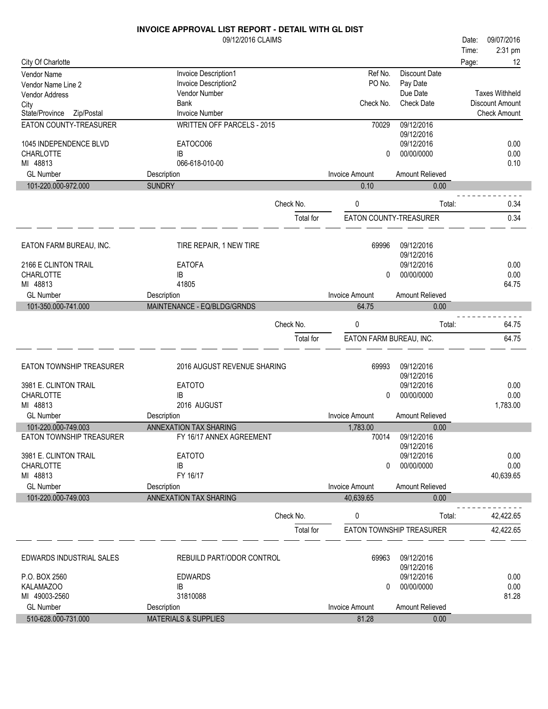|                              | 09/12/2016 CLAIMS                 |           |                         |                          | Date: | 09/07/2016            |
|------------------------------|-----------------------------------|-----------|-------------------------|--------------------------|-------|-----------------------|
|                              |                                   |           |                         |                          | Time: | 2:31 pm               |
| City Of Charlotte            |                                   |           |                         |                          | Page: | 12                    |
| <b>Vendor Name</b>           | Invoice Description1              |           | Ref No.                 | <b>Discount Date</b>     |       |                       |
| Vendor Name Line 2           | Invoice Description2              |           | PO No.                  | Pay Date                 |       |                       |
| <b>Vendor Address</b>        | Vendor Number                     |           |                         | Due Date                 |       | <b>Taxes Withheld</b> |
| City                         | <b>Bank</b>                       |           | Check No.               | <b>Check Date</b>        |       | Discount Amount       |
| Zip/Postal<br>State/Province | <b>Invoice Number</b>             |           |                         |                          |       | <b>Check Amount</b>   |
| EATON COUNTY-TREASURER       | <b>WRITTEN OFF PARCELS - 2015</b> |           | 70029                   | 09/12/2016               |       |                       |
|                              |                                   |           |                         | 09/12/2016               |       |                       |
| 1045 INDEPENDENCE BLVD       | EATOCO06                          |           |                         | 09/12/2016               |       | 0.00                  |
| <b>CHARLOTTE</b>             | IB                                |           | 0                       | 00/00/0000               |       | 0.00                  |
| MI 48813                     | 066-618-010-00                    |           |                         |                          |       | 0.10                  |
| <b>GL Number</b>             | Description                       |           | <b>Invoice Amount</b>   | Amount Relieved          |       |                       |
| 101-220.000-972.000          | <b>SUNDRY</b>                     |           | 0.10                    | 0.00                     |       |                       |
|                              |                                   | Check No. | 0                       | Total:                   |       | 0.34                  |
|                              |                                   | Total for | EATON COUNTY-TREASURER  |                          |       | 0.34                  |
|                              |                                   |           |                         |                          |       |                       |
|                              |                                   |           |                         |                          |       |                       |
| EATON FARM BUREAU, INC.      | TIRE REPAIR, 1 NEW TIRE           |           | 69996                   | 09/12/2016<br>09/12/2016 |       |                       |
| 2166 E CLINTON TRAIL         | <b>EATOFA</b>                     |           |                         | 09/12/2016               |       | 0.00                  |
| <b>CHARLOTTE</b>             | IB                                |           | 0                       | 00/00/0000               |       | 0.00                  |
| MI 48813                     | 41805                             |           |                         |                          |       | 64.75                 |
| <b>GL Number</b>             | Description                       |           | <b>Invoice Amount</b>   | Amount Relieved          |       |                       |
| 101-350.000-741.000          | MAINTENANCE - EQ/BLDG/GRNDS       |           | 64.75                   | 0.00                     |       |                       |
|                              |                                   |           |                         |                          |       |                       |
|                              |                                   | Check No. | 0                       | Total:                   |       | 64.75                 |
|                              |                                   | Total for | EATON FARM BUREAU, INC. |                          |       | 64.75                 |
|                              |                                   |           |                         |                          |       |                       |
| EATON TOWNSHIP TREASURER     | 2016 AUGUST REVENUE SHARING       |           | 69993                   | 09/12/2016               |       |                       |
|                              |                                   |           |                         | 09/12/2016               |       |                       |
| 3981 E. CLINTON TRAIL        | <b>EATOTO</b>                     |           |                         | 09/12/2016               |       | 0.00                  |
| CHARLOTTE                    | IB                                |           | 0                       | 00/00/0000               |       | 0.00                  |
| MI 48813                     | 2016 AUGUST                       |           |                         |                          |       | 1,783.00              |
| <b>GL Number</b>             | Description                       |           | <b>Invoice Amount</b>   | Amount Relieved          |       |                       |
| 101-220.000-749.003          | ANNEXATION TAX SHARING            |           | 1,783.00                | 0.00                     |       |                       |
| EATON TOWNSHIP TREASURER     | FY 16/17 ANNEX AGREEMENT          |           | 70014                   | 09/12/2016               |       |                       |
|                              |                                   |           |                         | 09/12/2016               |       |                       |
| 3981 E. CLINTON TRAIL        | <b>EATOTO</b>                     |           |                         | 09/12/2016               |       | 0.00                  |
| <b>CHARLOTTE</b>             | IB                                |           | 0                       | 00/00/0000               |       | 0.00                  |
| MI 48813                     | FY 16/17                          |           |                         |                          |       | 40,639.65             |
| <b>GL Number</b>             | Description                       |           | <b>Invoice Amount</b>   | Amount Relieved          |       |                       |
| 101-220.000-749.003          | ANNEXATION TAX SHARING            |           | 40,639.65               | 0.00                     |       |                       |
|                              |                                   | Check No. | 0                       | Total:                   |       | 42,422.65             |
|                              |                                   | Total for |                         | EATON TOWNSHIP TREASURER |       | 42,422.65             |
|                              |                                   |           |                         |                          |       |                       |
|                              |                                   |           |                         |                          |       |                       |
| EDWARDS INDUSTRIAL SALES     | REBUILD PART/ODOR CONTROL         |           | 69963                   | 09/12/2016               |       |                       |
| P.O. BOX 2560                | <b>EDWARDS</b>                    |           |                         | 09/12/2016<br>09/12/2016 |       | 0.00                  |
| <b>KALAMAZOO</b>             | IB                                |           | 0                       | 00/00/0000               |       | 0.00                  |
| MI 49003-2560                | 31810088                          |           |                         |                          |       | 81.28                 |
| <b>GL Number</b>             | Description                       |           | <b>Invoice Amount</b>   | Amount Relieved          |       |                       |
| 510-628.000-731.000          | <b>MATERIALS &amp; SUPPLIES</b>   |           | 81.28                   | 0.00                     |       |                       |
|                              |                                   |           |                         |                          |       |                       |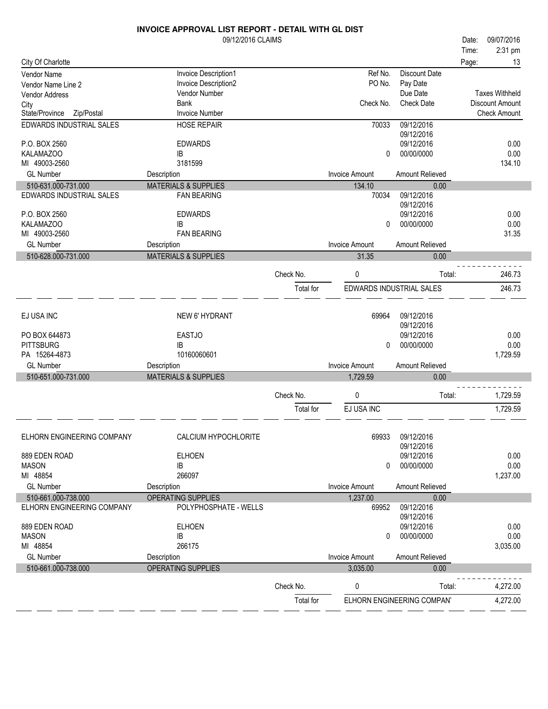|                              | <b>INVOICE APPROVAL LIST REPORT - DETAIL WITH GL DIST</b> |           |                       |                            |                 |                       |
|------------------------------|-----------------------------------------------------------|-----------|-----------------------|----------------------------|-----------------|-----------------------|
|                              | 09/12/2016 CLAIMS                                         |           |                       |                            | Date:           | 09/07/2016            |
|                              |                                                           |           |                       |                            | Time:           | 2:31 pm               |
| City Of Charlotte            |                                                           |           |                       |                            | Page:           | 13                    |
| Vendor Name                  | Invoice Description1                                      |           | Ref No.               | <b>Discount Date</b>       |                 |                       |
| Vendor Name Line 2           | Invoice Description2                                      |           | PO No.                | Pay Date                   |                 |                       |
| <b>Vendor Address</b>        | Vendor Number                                             |           |                       | Due Date                   |                 | <b>Taxes Withheld</b> |
| City                         | <b>Bank</b>                                               |           | Check No.             | <b>Check Date</b>          | Discount Amount |                       |
| State/Province<br>Zip/Postal | <b>Invoice Number</b>                                     |           |                       |                            |                 | <b>Check Amount</b>   |
| EDWARDS INDUSTRIAL SALES     | <b>HOSE REPAIR</b>                                        |           | 70033                 | 09/12/2016                 |                 |                       |
|                              |                                                           |           |                       | 09/12/2016                 |                 |                       |
| P.O. BOX 2560                | <b>EDWARDS</b>                                            |           |                       | 09/12/2016                 |                 | 0.00                  |
| KALAMAZOO                    | IB                                                        |           | 0                     | 00/00/0000                 |                 | 0.00                  |
| MI 49003-2560                | 3181599                                                   |           |                       |                            |                 | 134.10                |
| <b>GL Number</b>             | Description                                               |           | <b>Invoice Amount</b> | Amount Relieved            |                 |                       |
| 510-631.000-731.000          | <b>MATERIALS &amp; SUPPLIES</b>                           |           | 134.10                | 0.00                       |                 |                       |
| EDWARDS INDUSTRIAL SALES     | <b>FAN BEARING</b>                                        |           | 70034                 | 09/12/2016                 |                 |                       |
|                              |                                                           |           |                       | 09/12/2016                 |                 |                       |
| P.O. BOX 2560                | <b>EDWARDS</b>                                            |           |                       | 09/12/2016                 |                 | 0.00                  |
| <b>KALAMAZOO</b>             | IB                                                        |           | $\Omega$              | 00/00/0000                 |                 | 0.00                  |
| MI 49003-2560                | <b>FAN BEARING</b>                                        |           |                       |                            |                 | 31.35                 |
| <b>GL Number</b>             | Description                                               |           | <b>Invoice Amount</b> | Amount Relieved            |                 |                       |
| 510-628.000-731.000          | <b>MATERIALS &amp; SUPPLIES</b>                           |           | 31.35                 | 0.00                       |                 |                       |
|                              |                                                           | Check No. | 0                     | Total:                     |                 | 246.73                |
|                              |                                                           |           |                       |                            |                 |                       |
|                              |                                                           | Total for |                       | EDWARDS INDUSTRIAL SALES   |                 | 246.73                |
|                              |                                                           |           |                       |                            |                 |                       |
| EJ USA INC                   | <b>NEW 6' HYDRANT</b>                                     |           | 69964                 | 09/12/2016                 |                 |                       |
|                              |                                                           |           |                       | 09/12/2016                 |                 |                       |
| PO BOX 644873                | <b>EASTJO</b>                                             |           |                       | 09/12/2016                 |                 | 0.00                  |
| <b>PITTSBURG</b>             | IB                                                        |           | 0                     | 00/00/0000                 |                 | 0.00                  |
| PA 15264-4873                | 10160060601                                               |           |                       |                            |                 | 1,729.59              |
| <b>GL Number</b>             | Description                                               |           | <b>Invoice Amount</b> | Amount Relieved            |                 |                       |
| 510-651.000-731.000          | <b>MATERIALS &amp; SUPPLIES</b>                           |           | 1,729.59              | 0.00                       |                 |                       |
|                              |                                                           |           |                       |                            |                 |                       |
|                              |                                                           | Check No. | 0                     | Total:                     |                 | 1,729.59              |
|                              |                                                           | Total for | EJ USA INC            |                            |                 | 1,729.59              |
|                              |                                                           |           |                       |                            |                 |                       |
|                              |                                                           |           |                       |                            |                 |                       |
| ELHORN ENGINEERING COMPANY   | CALCIUM HYPOCHLORITE                                      |           | 69933                 | 09/12/2016                 |                 |                       |
|                              |                                                           |           |                       | 09/12/2016                 |                 |                       |
| 889 EDEN ROAD                | <b>ELHOEN</b>                                             |           |                       | 09/12/2016                 |                 | 0.00                  |
| <b>MASON</b>                 | IB                                                        |           | 0                     | 00/00/0000                 |                 | 0.00                  |
| MI 48854                     | 266097                                                    |           |                       |                            |                 | 1,237.00              |
| <b>GL Number</b>             | Description                                               |           | <b>Invoice Amount</b> | Amount Relieved            |                 |                       |
| 510-661.000-738.000          | OPERATING SUPPLIES                                        |           | 1,237.00              | 0.00                       |                 |                       |
| ELHORN ENGINEERING COMPANY   | POLYPHOSPHATE - WELLS                                     |           | 69952                 | 09/12/2016                 |                 |                       |
|                              |                                                           |           |                       | 09/12/2016                 |                 |                       |
| 889 EDEN ROAD                | <b>ELHOEN</b>                                             |           |                       | 09/12/2016                 |                 | 0.00                  |
| <b>MASON</b>                 | IB                                                        |           | 0                     | 00/00/0000                 |                 | 0.00                  |
| MI 48854                     | 266175                                                    |           |                       |                            |                 | 3,035.00              |
| <b>GL Number</b>             | Description                                               |           | <b>Invoice Amount</b> | Amount Relieved            |                 |                       |
| 510-661.000-738.000          | OPERATING SUPPLIES                                        |           | 3,035.00              | 0.00                       |                 |                       |
|                              |                                                           | Check No. | 0                     | Total:                     |                 | 4,272.00              |
|                              |                                                           |           |                       |                            |                 |                       |
|                              |                                                           | Total for |                       | ELHORN ENGINEERING COMPAN' |                 | 4,272.00              |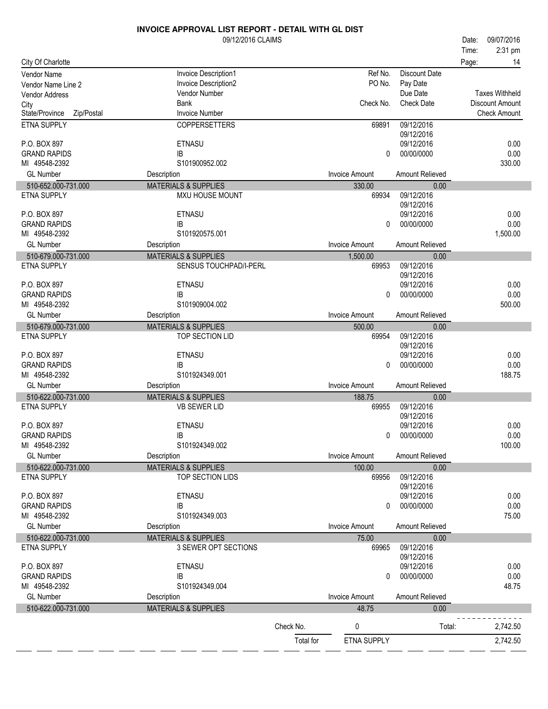|                                      | 09/12/2016 CLAIMS                              |           |                       |                          | Date: | 09/07/2016                             |
|--------------------------------------|------------------------------------------------|-----------|-----------------------|--------------------------|-------|----------------------------------------|
|                                      |                                                |           |                       |                          | Time: | 2:31 pm                                |
| City Of Charlotte                    |                                                |           |                       |                          | Page: | 14                                     |
| Vendor Name                          | Invoice Description1                           |           | Ref No.               | <b>Discount Date</b>     |       |                                        |
| Vendor Name Line 2                   | Invoice Description2                           |           | PO No.                | Pay Date                 |       |                                        |
| Vendor Address                       | Vendor Number                                  |           |                       | Due Date                 |       | <b>Taxes Withheld</b>                  |
| City<br>State/Province<br>Zip/Postal | <b>Bank</b><br><b>Invoice Number</b>           |           | Check No.             | <b>Check Date</b>        |       | Discount Amount<br><b>Check Amount</b> |
| ETNA SUPPLY                          | <b>COPPERSETTERS</b>                           |           | 69891                 | 09/12/2016               |       |                                        |
|                                      |                                                |           |                       | 09/12/2016               |       |                                        |
| P.O. BOX 897                         | <b>ETNASU</b>                                  |           |                       | 09/12/2016               |       | 0.00                                   |
| <b>GRAND RAPIDS</b>                  | IB                                             |           | 0                     | 00/00/0000               |       | 0.00                                   |
| MI 49548-2392                        | S101900952.002                                 |           |                       |                          |       | 330.00                                 |
| <b>GL Number</b>                     | Description                                    |           | <b>Invoice Amount</b> | Amount Relieved          |       |                                        |
| 510-652.000-731.000                  | <b>MATERIALS &amp; SUPPLIES</b>                |           | 330.00                | 0.00                     |       |                                        |
| <b>ETNA SUPPLY</b>                   | <b>MXU HOUSE MOUNT</b>                         |           | 69934                 | 09/12/2016<br>09/12/2016 |       |                                        |
| P.O. BOX 897                         | <b>ETNASU</b>                                  |           |                       | 09/12/2016               |       | 0.00                                   |
| <b>GRAND RAPIDS</b>                  | IB                                             |           | 0                     | 00/00/0000               |       | 0.00                                   |
| MI 49548-2392                        | S101920575.001                                 |           |                       |                          |       | 1,500.00                               |
| <b>GL Number</b>                     | Description                                    |           | <b>Invoice Amount</b> | Amount Relieved          |       |                                        |
| 510-679.000-731.000                  | <b>MATERIALS &amp; SUPPLIES</b>                |           | 1,500.00              | 0.00                     |       |                                        |
| <b>ETNA SUPPLY</b>                   | SENSUS TOUCHPAD/I-PERL                         |           | 69953                 | 09/12/2016               |       |                                        |
| P.O. BOX 897                         | <b>ETNASU</b>                                  |           |                       | 09/12/2016<br>09/12/2016 |       | 0.00                                   |
| <b>GRAND RAPIDS</b>                  | <b>IB</b>                                      |           | 0                     | 00/00/0000               |       | 0.00                                   |
| MI 49548-2392                        | S101909004.002                                 |           |                       |                          |       | 500.00                                 |
| <b>GL Number</b>                     | Description                                    |           | <b>Invoice Amount</b> | Amount Relieved          |       |                                        |
| 510-679.000-731.000                  | <b>MATERIALS &amp; SUPPLIES</b>                |           | 500.00                | 0.00                     |       |                                        |
| <b>ETNA SUPPLY</b>                   | TOP SECTION LID                                |           | 69954                 | 09/12/2016               |       |                                        |
|                                      |                                                |           |                       | 09/12/2016               |       |                                        |
| P.O. BOX 897                         | <b>ETNASU</b>                                  |           |                       | 09/12/2016               |       | 0.00                                   |
| <b>GRAND RAPIDS</b><br>MI 49548-2392 | IB<br>S101924349.001                           |           | 0                     | 00/00/0000               |       | 0.00<br>188.75                         |
| <b>GL Number</b>                     | Description                                    |           | <b>Invoice Amount</b> | Amount Relieved          |       |                                        |
| 510-622.000-731.000                  | <b>MATERIALS &amp; SUPPLIES</b>                |           | 188.75                | 0.00                     |       |                                        |
| <b>ETNA SUPPLY</b>                   | <b>VB SEWER LID</b>                            |           | 69955                 | 09/12/2016               |       |                                        |
|                                      |                                                |           |                       | 09/12/2016               |       |                                        |
| P.O. BOX 897                         | <b>ETNASU</b>                                  |           |                       | 09/12/2016               |       | 0.00                                   |
| <b>GRAND RAPIDS</b>                  | IB                                             |           |                       | 0 00/00/0000             |       | 0.00                                   |
| MI 49548-2392                        | S101924349.002                                 |           |                       |                          |       | 100.00                                 |
| <b>GL Number</b>                     | Description<br><b>MATERIALS &amp; SUPPLIES</b> |           | <b>Invoice Amount</b> | Amount Relieved          |       |                                        |
| 510-622.000-731.000<br>ETNA SUPPLY   | TOP SECTION LIDS                               |           | 100.00<br>69956       | 0.00<br>09/12/2016       |       |                                        |
|                                      |                                                |           |                       | 09/12/2016               |       |                                        |
| P.O. BOX 897                         | <b>ETNASU</b>                                  |           |                       | 09/12/2016               |       | 0.00                                   |
| <b>GRAND RAPIDS</b>                  | IB                                             |           | 0                     | 00/00/0000               |       | 0.00                                   |
| MI 49548-2392                        | S101924349.003                                 |           |                       |                          |       | 75.00                                  |
| <b>GL Number</b>                     | Description                                    |           | <b>Invoice Amount</b> | Amount Relieved          |       |                                        |
| 510-622.000-731.000                  | <b>MATERIALS &amp; SUPPLIES</b>                |           | 75.00                 | 0.00                     |       |                                        |
| ETNA SUPPLY                          | 3 SEWER OPT SECTIONS                           |           | 69965                 | 09/12/2016<br>09/12/2016 |       |                                        |
| P.O. BOX 897                         | ETNASU                                         |           |                       | 09/12/2016               |       | 0.00                                   |
| <b>GRAND RAPIDS</b>                  | IB                                             |           | 0                     | 00/00/0000               |       | 0.00                                   |
| MI 49548-2392                        | S101924349.004                                 |           |                       |                          |       | 48.75                                  |
| <b>GL Number</b>                     | Description                                    |           | <b>Invoice Amount</b> | <b>Amount Relieved</b>   |       |                                        |
| 510-622.000-731.000                  | <b>MATERIALS &amp; SUPPLIES</b>                |           | 48.75                 | 0.00                     |       |                                        |
|                                      |                                                | Check No. | 0                     | Total:                   |       | 2,742.50                               |
|                                      |                                                | Total for | ETNA SUPPLY           |                          |       | 2,742.50                               |
|                                      |                                                |           |                       |                          |       |                                        |

- -

 $\overline{a}$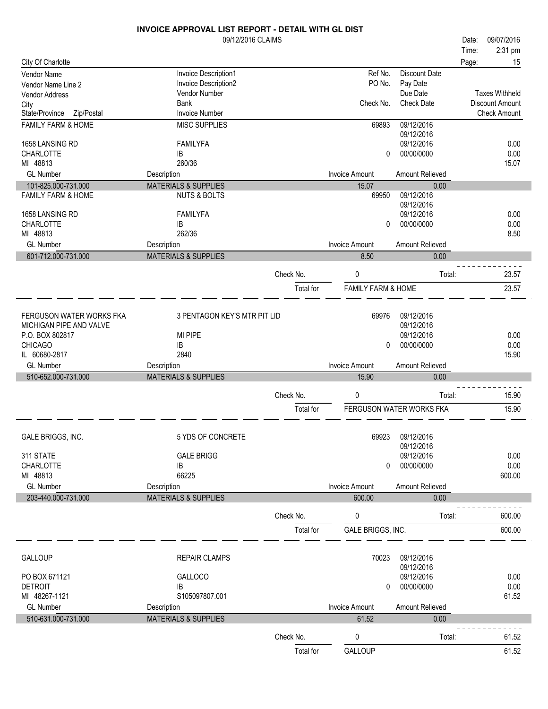|                               | <b>INVOICE APPROVAL LIST REPORT - DETAIL WITH GL DIST</b> |           |                               |                          |       |                        |
|-------------------------------|-----------------------------------------------------------|-----------|-------------------------------|--------------------------|-------|------------------------|
|                               | 09/12/2016 CLAIMS                                         |           |                               |                          | Date: | 09/07/2016             |
|                               |                                                           |           |                               |                          | Time: | 2:31 pm                |
| City Of Charlotte             |                                                           |           |                               |                          | Page: | 15                     |
| Vendor Name                   | Invoice Description1                                      |           | Ref No.                       | Discount Date            |       |                        |
| Vendor Name Line 2            | Invoice Description2                                      |           | PO No.                        | Pay Date                 |       |                        |
| Vendor Address                | Vendor Number                                             |           |                               | Due Date                 |       | <b>Taxes Withheld</b>  |
| City                          | <b>Bank</b>                                               |           | Check No.                     | <b>Check Date</b>        |       | <b>Discount Amount</b> |
| State/Province<br>Zip/Postal  | <b>Invoice Number</b>                                     |           |                               |                          |       | <b>Check Amount</b>    |
| FAMILY FARM & HOME            | <b>MISC SUPPLIES</b>                                      |           | 69893                         | 09/12/2016               |       |                        |
|                               |                                                           |           |                               | 09/12/2016               |       |                        |
| 1658 LANSING RD               | <b>FAMILYFA</b>                                           |           |                               | 09/12/2016               |       | 0.00                   |
| <b>CHARLOTTE</b>              | IB                                                        |           | 0                             | 00/00/0000               |       | 0.00                   |
| MI 48813                      | 260/36                                                    |           |                               |                          |       | 15.07                  |
| <b>GL Number</b>              | Description                                               |           | <b>Invoice Amount</b>         | Amount Relieved          |       |                        |
| 101-825.000-731.000           | <b>MATERIALS &amp; SUPPLIES</b>                           |           | 15.07                         | 0.00                     |       |                        |
| <b>FAMILY FARM &amp; HOME</b> | <b>NUTS &amp; BOLTS</b>                                   |           | 69950                         | 09/12/2016               |       |                        |
|                               |                                                           |           |                               | 09/12/2016               |       |                        |
| 1658 LANSING RD               | <b>FAMILYFA</b>                                           |           |                               | 09/12/2016<br>00/00/0000 |       | 0.00                   |
| <b>CHARLOTTE</b><br>MI 48813  | IB<br>262/36                                              |           | $\Omega$                      |                          |       | 0.00<br>8.50           |
| <b>GL Number</b>              |                                                           |           | <b>Invoice Amount</b>         | Amount Relieved          |       |                        |
|                               | Description                                               |           |                               |                          |       |                        |
| 601-712.000-731.000           | <b>MATERIALS &amp; SUPPLIES</b>                           |           | 8.50                          | 0.00                     |       |                        |
|                               |                                                           | Check No. | 0                             | Total:                   |       | 23.57                  |
|                               |                                                           |           |                               |                          |       |                        |
|                               |                                                           | Total for | <b>FAMILY FARM &amp; HOME</b> |                          |       | 23.57                  |
|                               |                                                           |           |                               |                          |       |                        |
| FERGUSON WATER WORKS FKA      | 3 PENTAGON KEY'S MTR PIT LID                              |           | 69976                         | 09/12/2016               |       |                        |
| MICHIGAN PIPE AND VALVE       |                                                           |           |                               | 09/12/2016               |       |                        |
| P.O. BOX 802817               | MI PIPE                                                   |           |                               | 09/12/2016               |       | 0.00                   |
| <b>CHICAGO</b>                | IB                                                        |           | 0                             | 00/00/0000               |       | 0.00                   |
| IL 60680-2817                 | 2840                                                      |           |                               |                          |       | 15.90                  |
| <b>GL Number</b>              | Description                                               |           | <b>Invoice Amount</b>         | Amount Relieved          |       |                        |
| 510-652.000-731.000           | <b>MATERIALS &amp; SUPPLIES</b>                           |           | 15.90                         | 0.00                     |       |                        |
|                               |                                                           |           |                               |                          |       |                        |
|                               |                                                           | Check No. | 0                             | Total:                   |       | 15.90                  |
|                               |                                                           | Total for |                               | FERGUSON WATER WORKS FKA |       | 15.90                  |
|                               |                                                           |           |                               |                          |       |                        |
| GALE BRIGGS, INC.             | 5 YDS OF CONCRETE                                         |           | 69923                         | 09/12/2016               |       |                        |
|                               |                                                           |           |                               | 09/12/2016               |       |                        |
| 311 STATE                     | <b>GALE BRIGG</b>                                         |           |                               | 09/12/2016               |       | 0.00                   |
| CHARLOTTE                     | IB                                                        |           | $\Omega$                      | 00/00/0000               |       | 0.00                   |
| MI 48813                      | 66225                                                     |           |                               |                          |       | 600.00                 |
| <b>GL Number</b>              | Description                                               |           | <b>Invoice Amount</b>         | Amount Relieved          |       |                        |
| 203-440.000-731.000           | <b>MATERIALS &amp; SUPPLIES</b>                           |           | 600.00                        | 0.00                     |       |                        |
|                               |                                                           |           |                               |                          |       |                        |
|                               |                                                           | Check No. | 0                             | Total:                   |       | 600.00                 |
|                               |                                                           | Total for | GALE BRIGGS, INC.             |                          |       | 600.00                 |
|                               |                                                           |           |                               |                          |       |                        |
|                               |                                                           |           |                               |                          |       |                        |
| <b>GALLOUP</b>                | <b>REPAIR CLAMPS</b>                                      |           | 70023                         | 09/12/2016<br>09/12/2016 |       |                        |
| PO BOX 671121                 | GALLOCO                                                   |           |                               | 09/12/2016               |       | 0.00                   |
| <b>DETROIT</b>                | IB                                                        |           | 0                             | 00/00/0000               |       | 0.00                   |
| MI 48267-1121                 | S105097807.001                                            |           |                               |                          |       | 61.52                  |
| <b>GL Number</b>              | Description                                               |           | <b>Invoice Amount</b>         | Amount Relieved          |       |                        |
| 510-631.000-731.000           | <b>MATERIALS &amp; SUPPLIES</b>                           |           | 61.52                         | 0.00                     |       |                        |
|                               |                                                           |           |                               |                          |       |                        |
|                               |                                                           | Check No. | 0                             | Total:                   |       | 61.52                  |
|                               |                                                           | Total for | GALLOUP                       |                          |       | 61.52                  |
|                               |                                                           |           |                               |                          |       |                        |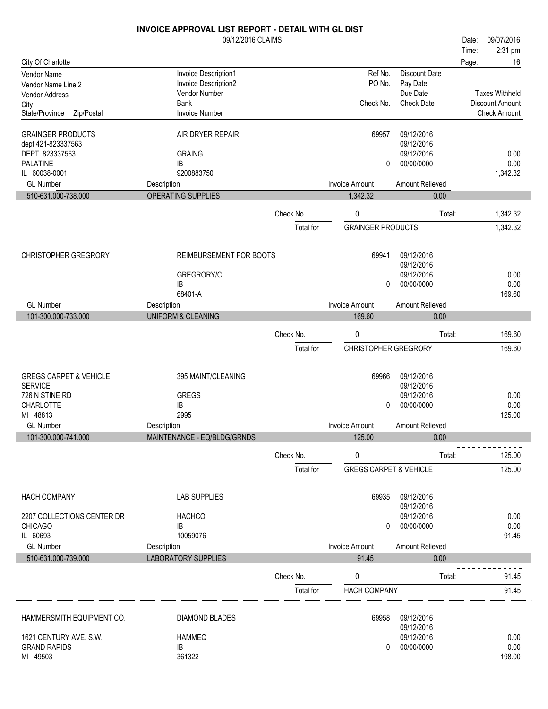|                                                     | INVOICE APPROVAL LIST REPORT - DETAIL WITH GL DIST |           |                                   |                          |       |                       |
|-----------------------------------------------------|----------------------------------------------------|-----------|-----------------------------------|--------------------------|-------|-----------------------|
|                                                     | 09/12/2016 CLAIMS                                  |           |                                   |                          | Date: | 09/07/2016            |
|                                                     |                                                    |           |                                   |                          | Time: | 2:31 pm               |
| City Of Charlotte                                   |                                                    |           |                                   |                          | Page: | 16                    |
| Vendor Name                                         | Invoice Description1                               |           | Ref No.                           | <b>Discount Date</b>     |       |                       |
| Vendor Name Line 2                                  | Invoice Description2                               |           | PO No.                            | Pay Date                 |       |                       |
| Vendor Address                                      | Vendor Number                                      |           |                                   | Due Date                 |       | <b>Taxes Withheld</b> |
| City                                                | <b>Bank</b>                                        |           | Check No.                         | <b>Check Date</b>        |       | Discount Amount       |
| State/Province<br>Zip/Postal                        | <b>Invoice Number</b>                              |           |                                   |                          |       | <b>Check Amount</b>   |
| <b>GRAINGER PRODUCTS</b><br>dept 421-823337563      | AIR DRYER REPAIR                                   |           | 69957                             | 09/12/2016<br>09/12/2016 |       |                       |
| DEPT 823337563                                      | <b>GRAING</b>                                      |           |                                   | 09/12/2016               |       | 0.00                  |
| <b>PALATINE</b>                                     | IB                                                 |           | 0                                 | 00/00/0000               |       | 0.00                  |
| IL 60038-0001                                       | 9200883750                                         |           |                                   |                          |       | 1,342.32              |
| <b>GL Number</b>                                    | Description                                        |           | <b>Invoice Amount</b>             | Amount Relieved          |       |                       |
| 510-631.000-738.000                                 | <b>OPERATING SUPPLIES</b>                          |           | 1,342.32                          | 0.00                     |       |                       |
|                                                     |                                                    | Check No. | 0                                 | Total:                   |       | 1,342.32              |
|                                                     |                                                    | Total for | <b>GRAINGER PRODUCTS</b>          |                          |       | 1,342.32              |
|                                                     |                                                    |           |                                   |                          |       |                       |
| <b>CHRISTOPHER GREGRORY</b>                         | REIMBURSEMENT FOR BOOTS                            |           | 69941                             | 09/12/2016               |       |                       |
|                                                     |                                                    |           |                                   | 09/12/2016               |       |                       |
|                                                     | GREGRORY/C                                         |           |                                   | 09/12/2016               |       | 0.00                  |
|                                                     | IB                                                 |           | 0                                 | 00/00/0000               |       | 0.00                  |
|                                                     | 68401-A                                            |           |                                   |                          |       | 169.60                |
| <b>GL Number</b>                                    | Description                                        |           | <b>Invoice Amount</b>             | Amount Relieved          |       |                       |
| 101-300.000-733.000                                 | <b>UNIFORM &amp; CLEANING</b>                      |           | 169.60                            | 0.00                     |       |                       |
|                                                     |                                                    | Check No. | 0                                 | Total:                   |       | 169.60                |
|                                                     |                                                    | Total for | <b>CHRISTOPHER GREGRORY</b>       |                          |       | 169.60                |
|                                                     |                                                    |           |                                   |                          |       |                       |
| <b>GREGS CARPET &amp; VEHICLE</b><br><b>SERVICE</b> | 395 MAINT/CLEANING                                 |           | 69966                             | 09/12/2016<br>09/12/2016 |       |                       |
| 726 N STINE RD                                      | <b>GREGS</b>                                       |           |                                   | 09/12/2016               |       | 0.00                  |
| <b>CHARLOTTE</b>                                    | IB                                                 |           | 0                                 | 00/00/0000               |       | 0.00                  |
| MI 48813                                            | 2995                                               |           |                                   |                          |       | 125.00                |
| <b>GL Number</b>                                    | Description                                        |           | <b>Invoice Amount</b>             | Amount Relieved          |       |                       |
| 101-300.000-741.000                                 | MAINTENANCE - EQ/BLDG/GRNDS                        |           | 125.00                            | 0.00                     |       |                       |
|                                                     |                                                    |           |                                   |                          |       |                       |
|                                                     |                                                    | Check No. | 0                                 | Total:                   |       | 125.00                |
|                                                     |                                                    | Total for | <b>GREGS CARPET &amp; VEHICLE</b> |                          |       | 125.00                |
| <b>HACH COMPANY</b>                                 | <b>LAB SUPPLIES</b>                                |           | 69935                             | 09/12/2016               |       |                       |
|                                                     |                                                    |           |                                   | 09/12/2016               |       |                       |
| 2207 COLLECTIONS CENTER DR                          | <b>HACHCO</b>                                      |           |                                   | 09/12/2016               |       | 0.00                  |
| <b>CHICAGO</b>                                      | IB                                                 |           | 0                                 | 00/00/0000               |       | 0.00                  |
| IL 60693                                            | 10059076                                           |           |                                   |                          |       | 91.45                 |
| <b>GL Number</b>                                    | Description                                        |           | <b>Invoice Amount</b>             | Amount Relieved          |       |                       |
| 510-631.000-739.000                                 | <b>LABORATORY SUPPLIES</b>                         |           | 91.45                             | 0.00                     |       |                       |
|                                                     |                                                    | Check No. | 0                                 | Total:                   |       | 91.45                 |
|                                                     |                                                    | Total for | <b>HACH COMPANY</b>               |                          |       | 91.45                 |
|                                                     |                                                    |           |                                   |                          |       |                       |
| HAMMERSMITH EQUIPMENT CO.                           | <b>DIAMOND BLADES</b>                              |           | 69958                             | 09/12/2016               |       |                       |
| 1621 CENTURY AVE. S.W.                              | <b>HAMMEQ</b>                                      |           |                                   | 09/12/2016<br>09/12/2016 |       | 0.00                  |
| <b>GRAND RAPIDS</b>                                 | IB                                                 |           | 0                                 | 00/00/0000               |       | 0.00                  |
| MI 49503                                            | 361322                                             |           |                                   |                          |       | 198.00                |
|                                                     |                                                    |           |                                   |                          |       |                       |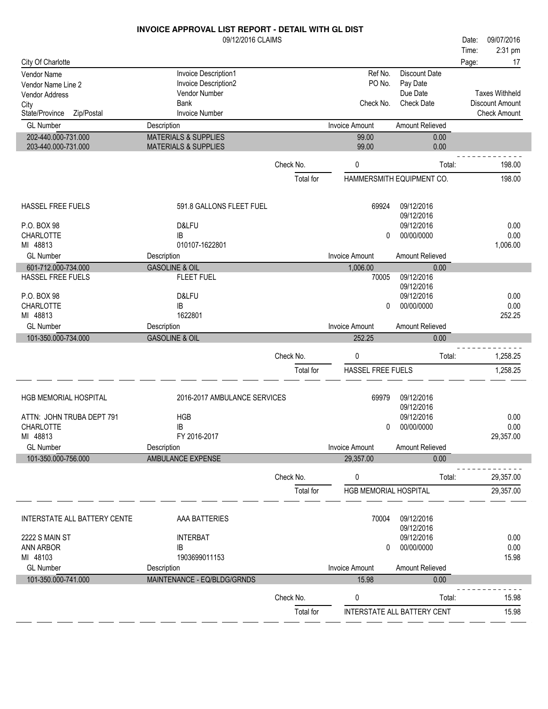|                                            | <b>INVOICE APPROVAL LIST REPORT - DETAIL WITH GL DIST</b>          |           |                              |                           |       |                        |
|--------------------------------------------|--------------------------------------------------------------------|-----------|------------------------------|---------------------------|-------|------------------------|
|                                            | 09/12/2016 CLAIMS                                                  |           |                              |                           | Date: | 09/07/2016             |
|                                            |                                                                    |           |                              |                           | Time: | 2:31 pm                |
| City Of Charlotte                          |                                                                    |           |                              |                           | Page: | 17                     |
| Vendor Name                                | Invoice Description1                                               |           | Ref No.                      | <b>Discount Date</b>      |       |                        |
| Vendor Name Line 2                         | Invoice Description2                                               |           | PO No.                       | Pay Date                  |       |                        |
| Vendor Address                             | Vendor Number                                                      |           |                              | Due Date                  |       | <b>Taxes Withheld</b>  |
| City                                       | Bank                                                               |           | Check No.                    | <b>Check Date</b>         |       | <b>Discount Amount</b> |
| State/Province<br>Zip/Postal               | <b>Invoice Number</b>                                              |           |                              |                           |       | <b>Check Amount</b>    |
| <b>GL Number</b>                           | Description                                                        |           | <b>Invoice Amount</b>        | Amount Relieved           |       |                        |
| 202-440.000-731.000<br>203-440.000-731.000 | <b>MATERIALS &amp; SUPPLIES</b><br><b>MATERIALS &amp; SUPPLIES</b> |           | 99.00<br>99.00               | 0.00<br>0.00              |       |                        |
|                                            |                                                                    | Check No. | 0                            | Total:                    |       | 198.00                 |
|                                            |                                                                    | Total for |                              | HAMMERSMITH EQUIPMENT CO. |       | 198.00                 |
|                                            |                                                                    |           |                              |                           |       |                        |
| HASSEL FREE FUELS                          | 591.8 GALLONS FLEET FUEL                                           |           | 69924                        | 09/12/2016<br>09/12/2016  |       |                        |
| P.O. BOX 98                                | D&LFU                                                              |           |                              | 09/12/2016                |       | 0.00                   |
| <b>CHARLOTTE</b>                           | IB                                                                 |           | 0                            | 00/00/0000                |       | 0.00                   |
| MI 48813                                   | 010107-1622801                                                     |           |                              |                           |       | 1,006.00               |
| <b>GL Number</b>                           | Description                                                        |           | <b>Invoice Amount</b>        | Amount Relieved           |       |                        |
| 601-712.000-734.000                        | <b>GASOLINE &amp; OIL</b>                                          |           | 1,006.00                     | 0.00                      |       |                        |
| HASSEL FREE FUELS                          | <b>FLEET FUEL</b>                                                  |           | 70005                        | 09/12/2016<br>09/12/2016  |       |                        |
| P.O. BOX 98                                | D&LFU                                                              |           |                              | 09/12/2016                |       | 0.00                   |
| <b>CHARLOTTE</b>                           | IB                                                                 |           | 0                            | 00/00/0000                |       | 0.00                   |
| MI 48813                                   | 1622801                                                            |           |                              |                           |       | 252.25                 |
| <b>GL Number</b>                           | Description                                                        |           | <b>Invoice Amount</b>        | Amount Relieved           |       |                        |
| 101-350.000-734.000                        | <b>GASOLINE &amp; OIL</b>                                          |           | 252.25                       | 0.00                      |       |                        |
|                                            |                                                                    |           |                              |                           |       |                        |
|                                            |                                                                    | Check No. | $\pmb{0}$                    | Total:                    |       | 1,258.25               |
|                                            |                                                                    | Total for | HASSEL FREE FUELS            |                           |       | 1,258.25               |
| HGB MEMORIAL HOSPITAL                      | 2016-2017 AMBULANCE SERVICES                                       |           | 69979                        | 09/12/2016                |       |                        |
|                                            |                                                                    |           |                              | 09/12/2016                |       |                        |
| ATTN: JOHN TRUBA DEPT 791                  | <b>HGB</b>                                                         |           |                              | 09/12/2016                |       | 0.00                   |
| CHARLOTTE                                  | IB                                                                 |           | $\mathbf 0$                  | 00/00/0000                |       | 0.00                   |
| MI 48813                                   | FY 2016-2017                                                       |           |                              |                           |       | 29,357.00              |
| <b>GL Number</b>                           | Description                                                        |           | <b>Invoice Amount</b>        | Amount Relieved           |       |                        |
| 101-350.000-756.000                        | AMBULANCE EXPENSE                                                  |           | 29,357.00                    | 0.00                      |       |                        |
|                                            |                                                                    | Check No. | 0                            | Total:                    |       | 29,357.00              |
|                                            |                                                                    | Total for | <b>HGB MEMORIAL HOSPITAL</b> |                           |       | 29,357.00              |
|                                            | <b>DATTEDIES</b>                                                   |           | 7000 L                       | 0014010040                |       |                        |

INTERSTATE ALL BATTERY CENTE AAA BATTERIES AAA BATTERIES AAA BATTERIES AAA BATTERIES AAN DISPOSE AAN DISPOSE A 09/12/2016 INTERBAT 09/12/2016 2222 S MAIN ST 0.00 ANN ARBOR IB 0 00/00/0000 0.000 0.000 0.000 0.000 0.000 0.000 0.000 0.000 0.000 0.000 0.000 0.000 0.000 0.000 0.000 0.00<br>1903699011153 MI 48103 1903699011153 GL Number **Invoice Amount Relieved** Description **Invoice Amount Amount Relieved** Burger and Description **Contract Amount Relieved** 101-350.000-741.000 MAINTENANCE - EQ/BLDG/GRNDS 15.98 0.00 <u> - - - - - - - - - - - -</u> Check No. 0 Total: 15.98 Total for INTERSTATE ALL BATTERY CENT 15.98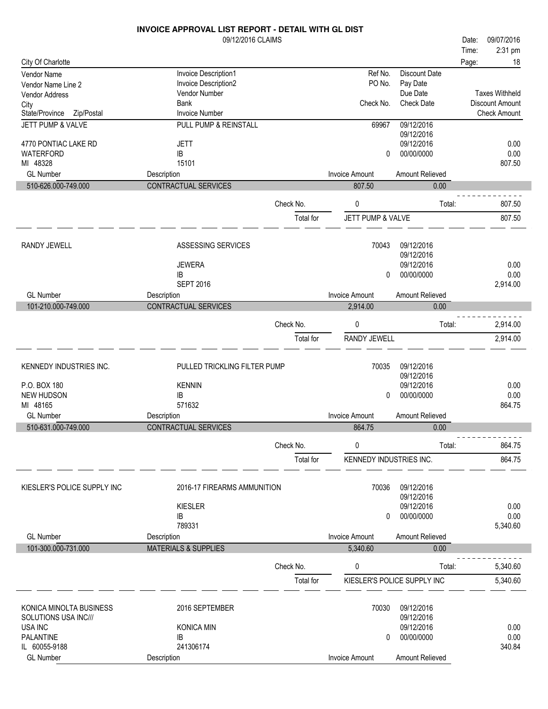|                                             | 09/12/2016 CLAIMS                            |           |                         |                                  | Date: | 09/07/2016            |
|---------------------------------------------|----------------------------------------------|-----------|-------------------------|----------------------------------|-------|-----------------------|
|                                             |                                              |           |                         |                                  | Time: | 2:31 pm               |
| City Of Charlotte                           |                                              |           |                         |                                  | Page: | 18                    |
| Vendor Name                                 | Invoice Description1<br>Invoice Description2 |           | Ref No.<br>PO No.       | <b>Discount Date</b><br>Pay Date |       |                       |
| Vendor Name Line 2<br><b>Vendor Address</b> | Vendor Number                                |           |                         | Due Date                         |       | <b>Taxes Withheld</b> |
| City                                        | <b>Bank</b>                                  |           | Check No.               | <b>Check Date</b>                |       | Discount Amount       |
| State/Province<br>Zip/Postal                | <b>Invoice Number</b>                        |           |                         |                                  |       | <b>Check Amount</b>   |
| JETT PUMP & VALVE                           | PULL PUMP & REINSTALL                        |           | 69967                   | 09/12/2016<br>09/12/2016         |       |                       |
| 4770 PONTIAC LAKE RD                        | <b>JETT</b>                                  |           |                         | 09/12/2016                       |       | 0.00                  |
| WATERFORD                                   | IB                                           |           | 0                       | 00/00/0000                       |       | 0.00                  |
| MI 48328<br><b>GL Number</b>                | 15101                                        |           | <b>Invoice Amount</b>   | Amount Relieved                  |       | 807.50                |
| 510-626.000-749.000                         | Description<br>CONTRACTUAL SERVICES          |           | 807.50                  | 0.00                             |       |                       |
|                                             |                                              |           |                         |                                  |       |                       |
|                                             |                                              | Check No. | 0                       | Total:                           |       | 807.50                |
|                                             |                                              | Total for | JETT PUMP & VALVE       |                                  |       | 807.50                |
|                                             |                                              |           |                         |                                  |       |                       |
| RANDY JEWELL                                | ASSESSING SERVICES                           |           | 70043                   | 09/12/2016<br>09/12/2016         |       |                       |
|                                             | <b>JEWERA</b>                                |           |                         | 09/12/2016                       |       | 0.00                  |
|                                             | IB                                           |           | 0                       | 00/00/0000                       |       | 0.00                  |
|                                             | <b>SEPT 2016</b>                             |           |                         |                                  |       | 2,914.00              |
| <b>GL Number</b>                            | Description                                  |           | <b>Invoice Amount</b>   | Amount Relieved                  |       |                       |
| 101-210.000-749.000                         | <b>CONTRACTUAL SERVICES</b>                  |           | 2,914.00                | 0.00                             |       |                       |
|                                             |                                              | Check No. | 0                       | Total:                           |       | 2,914.00              |
|                                             |                                              | Total for | RANDY JEWELL            |                                  |       | 2,914.00              |
|                                             |                                              |           |                         |                                  |       |                       |
| KENNEDY INDUSTRIES INC.                     | PULLED TRICKLING FILTER PUMP                 |           | 70035                   | 09/12/2016                       |       |                       |
| P.O. BOX 180                                | <b>KENNIN</b>                                |           |                         | 09/12/2016<br>09/12/2016         |       | 0.00                  |
| NEW HUDSON                                  | IB                                           |           | 0                       | 00/00/0000                       |       | 0.00                  |
| MI 48165                                    | 571632                                       |           |                         |                                  |       | 864.75                |
| <b>GL</b> Number                            | Description                                  |           | <b>Invoice Amount</b>   | Amount Relieved                  |       |                       |
| 510-631.000-749.000                         | CONTRACTUAL SERVICES                         |           | 864.75                  | 0.00                             |       |                       |
|                                             |                                              | Check No. | 0                       | Total:                           |       | 864.75                |
|                                             |                                              | Total for | KENNEDY INDUSTRIES INC. |                                  |       | 864.75                |
|                                             |                                              |           |                         |                                  |       |                       |
| KIESLER'S POLICE SUPPLY INC                 | 2016-17 FIREARMS AMMUNITION                  |           | 70036                   | 09/12/2016<br>09/12/2016         |       |                       |
|                                             | <b>KIESLER</b>                               |           |                         | 09/12/2016                       |       | 0.00                  |
|                                             | IB                                           |           | 0                       | 00/00/0000                       |       | 0.00                  |
|                                             | 789331                                       |           |                         |                                  |       | 5,340.60              |
| <b>GL Number</b>                            | Description                                  |           | <b>Invoice Amount</b>   | Amount Relieved                  |       |                       |
| 101-300.000-731.000                         | <b>MATERIALS &amp; SUPPLIES</b>              |           | 5,340.60                | 0.00                             |       |                       |
|                                             |                                              | Check No. | 0                       | Total:                           |       | 5,340.60              |
|                                             |                                              | Total for |                         | KIESLER'S POLICE SUPPLY INC      |       | 5,340.60              |
|                                             |                                              |           |                         |                                  |       |                       |
| KONICA MINOLTA BUSINESS                     | 2016 SEPTEMBER                               |           | 70030                   | 09/12/2016                       |       |                       |
| SOLUTIONS USA INC///                        |                                              |           |                         | 09/12/2016                       |       |                       |
| USA INC<br><b>PALANTINE</b>                 | <b>KONICA MIN</b><br>IB                      |           | 0                       | 09/12/2016<br>00/00/0000         |       | 0.00<br>0.00          |
| IL 60055-9188                               | 241306174                                    |           |                         |                                  |       | 340.84                |
| <b>GL Number</b>                            | Description                                  |           | Invoice Amount          | Amount Relieved                  |       |                       |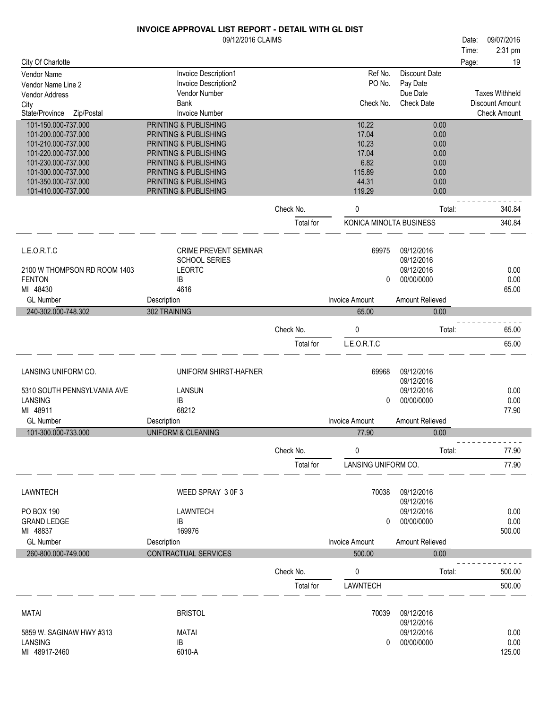#### 2:31 pm 09/12/2016 CLAIMS **INVOICE APPROVAL LIST REPORT - DETAIL WITH GL DIST** City Of Charlotte Time: Date: 09/07/2016 Page: 19 Check Amount Check Date Vendor Name **Invoice Description1** Allem and the Unit of No. Discount Date Vendor Name Line 2<br>
Vendor Name Line 2 **Allem and Structure Description2** Allem and the Unit Of No. Pay Date Vendor Name Line 2 Invoice Description<br>1991 Vendor Address Politics Poince Poince Poince Poince Poince Poince Poince Poince Poince Poince Poince Poince Poince Poince Poince Poince Poince Poince Poince Poince Poince Poince Due Date Invoice Number Vendor Address Vendor Number of Vendor Number of Vendor Vendor Number of Vendor Number of Vendor Number of Vendo<br>
City Sank City **Bank** State/Province Zip/Postal Check No. Check Date Discount Amount Taxes Withheld 101-150.000-737.000 PRINTING & PUBLISHING 10.00 101-200.000-737.000 PRINTING & PUBLISHING 17.04 0.00 PRINTING & PUBLISHING 10.23 0.000<br>17.04 0.000 PRINTING & PUBLISHING 10.000 PRINTING 2.000 101-220.000-737.000 PRINTING & PUBLISHING 17.04 0.00

| 101-230.000-737.000<br>101-300.000-737.000 | PRINTING & PUBLISHING<br>PRINTING & PUBLISHING |           | 6.82<br>115.89          | 0.00<br>0.00             |        |
|--------------------------------------------|------------------------------------------------|-----------|-------------------------|--------------------------|--------|
| 101-350.000-737.000<br>101-410.000-737.000 | PRINTING & PUBLISHING<br>PRINTING & PUBLISHING |           | 44.31<br>119.29         | 0.00<br>0.00             |        |
|                                            |                                                | Check No. | 0                       | Total:                   | 340.84 |
|                                            |                                                | Total for | KONICA MINOLTA BUSINESS |                          | 340.84 |
| L.E.O.R.T.C                                | CRIME PREVENT SEMINAR                          |           | 69975                   | 09/12/2016               |        |
| 2100 W THOMPSON RD ROOM 1403               | <b>SCHOOL SERIES</b><br><b>LEORTC</b>          |           |                         | 09/12/2016<br>09/12/2016 | 0.00   |
| <b>FENTON</b>                              | IB.                                            |           | 0                       | 00/00/0000               | 0.00   |
| MI 48430                                   | 4616                                           |           |                         |                          | 65.00  |
| <b>GL Number</b>                           | Description                                    |           | <b>Invoice Amount</b>   | Amount Relieved          |        |
| 240-302.000-748.302                        | 302 TRAINING                                   |           | 65.00                   | 0.00                     |        |
|                                            |                                                | Check No. | 0                       | Total:                   | 65.00  |
|                                            |                                                | Total for | L.E.O.R.T.C             |                          | 65.00  |
| LANSING UNIFORM CO.                        | UNIFORM SHIRST-HAFNER                          |           | 69968                   | 09/12/2016<br>09/12/2016 |        |
| 5310 SOUTH PENNSYLVANIA AVE                | LANSUN                                         |           |                         | 09/12/2016               | 0.00   |
| <b>LANSING</b>                             | IB                                             |           | 0                       | 00/00/0000               | 0.00   |
| MI 48911                                   | 68212                                          |           |                         |                          | 77.90  |
| <b>GL Number</b>                           | Description                                    |           | <b>Invoice Amount</b>   | Amount Relieved          |        |
| 101-300.000-733.000                        | <b>UNIFORM &amp; CLEANING</b>                  |           | 77.90                   | 0.00                     |        |
|                                            |                                                | Check No. | 0                       | Total:                   | 77.90  |
|                                            |                                                | Total for | LANSING UNIFORM CO.     |                          | 77.90  |
| <b>LAWNTECH</b>                            | WEED SPRAY 3 0F 3                              |           | 70038                   | 09/12/2016<br>09/12/2016 |        |
| <b>PO BOX 190</b>                          | LAWNTECH                                       |           |                         | 09/12/2016               | 0.00   |
| <b>GRAND LEDGE</b>                         | IB                                             |           | 0                       | 00/00/0000               | 0.00   |
| MI 48837<br><b>GL Number</b>               | 169976<br>Description                          |           | <b>Invoice Amount</b>   | Amount Relieved          | 500.00 |
| 260-800.000-749.000                        | CONTRACTUAL SERVICES                           |           | 500.00                  | 0.00                     |        |
|                                            |                                                |           |                         |                          |        |
|                                            |                                                | Check No. | 0                       | Total:                   | 500.00 |
|                                            |                                                | Total for | LAWNTECH                |                          | 500.00 |
| <b>MATAI</b>                               | <b>BRISTOL</b>                                 |           | 70039                   | 09/12/2016<br>09/12/2016 |        |

MI 48917-2460 5859 W. SAGINAW HWY #313 0.00 LANSING

IB 0 00/00/0000 0.00 MATAI 09/12/2016 6010-A 125.00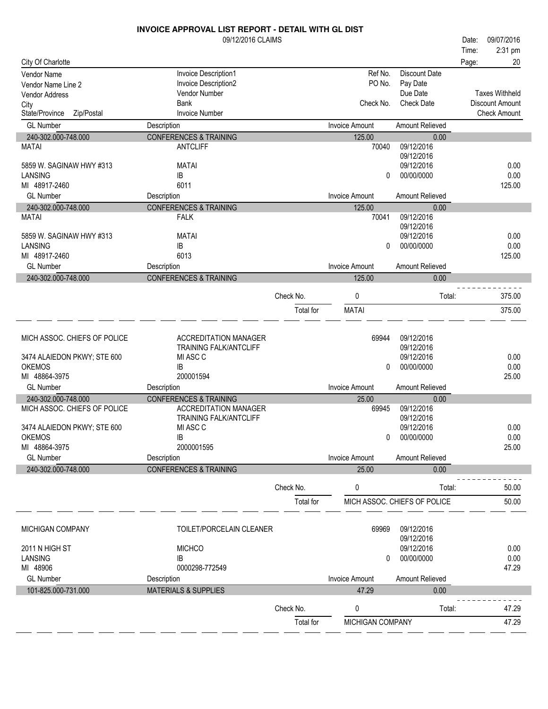|                              | <b>INVOICE APPROVAL LIST REPORT - DETAIL WITH GL DIST</b> |           |                         |                              |       |                       |
|------------------------------|-----------------------------------------------------------|-----------|-------------------------|------------------------------|-------|-----------------------|
|                              | 09/12/2016 CLAIMS                                         |           |                         |                              | Date: | 09/07/2016            |
|                              |                                                           |           |                         |                              | Time: | 2:31 pm               |
| City Of Charlotte            |                                                           |           |                         |                              | Page: | 20                    |
| Vendor Name                  | Invoice Description1                                      |           | Ref No.                 | <b>Discount Date</b>         |       |                       |
| Vendor Name Line 2           | Invoice Description2                                      |           | PO No.                  | Pay Date                     |       |                       |
| Vendor Address               | Vendor Number                                             |           |                         | Due Date                     |       | <b>Taxes Withheld</b> |
| City                         | <b>Bank</b>                                               |           | Check No.               | <b>Check Date</b>            |       | Discount Amount       |
| State/Province<br>Zip/Postal | <b>Invoice Number</b>                                     |           |                         |                              |       | <b>Check Amount</b>   |
| <b>GL Number</b>             | Description                                               |           | <b>Invoice Amount</b>   | Amount Relieved              |       |                       |
| 240-302.000-748.000          | <b>CONFERENCES &amp; TRAINING</b>                         |           | 125.00                  | 0.00                         |       |                       |
| <b>MATAI</b>                 | <b>ANTCLIFF</b>                                           |           | 70040                   | 09/12/2016                   |       |                       |
|                              |                                                           |           |                         | 09/12/2016                   |       |                       |
| 5859 W. SAGINAW HWY #313     | <b>MATAI</b>                                              |           |                         | 09/12/2016                   |       | 0.00                  |
| <b>LANSING</b>               | IB                                                        |           | 0                       | 00/00/0000                   |       | 0.00                  |
| MI 48917-2460                | 6011                                                      |           |                         |                              |       | 125.00                |
| <b>GL Number</b>             | Description                                               |           | <b>Invoice Amount</b>   | <b>Amount Relieved</b>       |       |                       |
| 240-302.000-748.000          | <b>CONFERENCES &amp; TRAINING</b>                         |           | 125.00                  | 0.00                         |       |                       |
| MATAI                        | <b>FALK</b>                                               |           | 70041                   | 09/12/2016                   |       |                       |
|                              |                                                           |           |                         | 09/12/2016                   |       |                       |
| 5859 W. SAGINAW HWY #313     | <b>MATAI</b>                                              |           |                         | 09/12/2016                   |       | 0.00                  |
| <b>LANSING</b>               | IB                                                        |           | $\Omega$                | 00/00/0000                   |       | 0.00                  |
| MI 48917-2460                | 6013                                                      |           |                         |                              |       | 125.00                |
| <b>GL Number</b>             | Description                                               |           | <b>Invoice Amount</b>   | Amount Relieved              |       |                       |
|                              |                                                           |           |                         |                              |       |                       |
| 240-302.000-748.000          | <b>CONFERENCES &amp; TRAINING</b>                         |           | 125.00                  | 0.00                         |       |                       |
|                              |                                                           | Check No. | 0                       | Total:                       |       | 375.00                |
|                              |                                                           |           |                         |                              |       |                       |
|                              |                                                           | Total for | <b>MATAI</b>            |                              |       | 375.00                |
|                              |                                                           |           |                         |                              |       |                       |
| MICH ASSOC. CHIEFS OF POLICE | <b>ACCREDITATION MANAGER</b>                              |           | 69944                   | 09/12/2016                   |       |                       |
|                              | <b>TRAINING FALK/ANTCLIFF</b>                             |           |                         | 09/12/2016                   |       |                       |
| 3474 ALAIEDON PKWY; STE 600  | MI ASC C                                                  |           |                         | 09/12/2016                   |       | 0.00                  |
| <b>OKEMOS</b>                | IB                                                        |           | 0                       | 00/00/0000                   |       | 0.00                  |
| MI 48864-3975                | 200001594                                                 |           |                         |                              |       | 25.00                 |
| <b>GL Number</b>             | Description                                               |           | <b>Invoice Amount</b>   | Amount Relieved              |       |                       |
| 240-302.000-748.000          | <b>CONFERENCES &amp; TRAINING</b>                         |           | 25.00                   | 0.00                         |       |                       |
| MICH ASSOC. CHIEFS OF POLICE | <b>ACCREDITATION MANAGER</b>                              |           | 69945                   | 09/12/2016                   |       |                       |
|                              | <b>TRAINING FALK/ANTCLIFF</b>                             |           |                         | 09/12/2016                   |       |                       |
| 3474 ALAIEDON PKWY; STE 600  | MI ASC C                                                  |           |                         | 09/12/2016                   |       | 0.00                  |
| <b>OKEMOS</b>                | IB                                                        |           | 0                       | 00/00/0000                   |       | 0.00                  |
| MI 48864-3975                | 2000001595                                                |           |                         |                              |       | 25.00                 |
| <b>GL Number</b>             | Description                                               |           | <b>Invoice Amount</b>   | Amount Relieved              |       |                       |
| 240-302.000-748.000          | <b>CONFERENCES &amp; TRAINING</b>                         |           | 25.00                   | 0.00                         |       |                       |
|                              |                                                           |           |                         |                              |       |                       |
|                              |                                                           | Check No. | 0                       | Total:                       |       | 50.00                 |
|                              |                                                           |           |                         |                              |       | 50.00                 |
|                              |                                                           | Total for |                         | MICH ASSOC. CHIEFS OF POLICE |       |                       |
|                              |                                                           |           |                         |                              |       |                       |
| <b>MICHIGAN COMPANY</b>      | TOILET/PORCELAIN CLEANER                                  |           | 69969                   | 09/12/2016                   |       |                       |
|                              |                                                           |           |                         | 09/12/2016                   |       |                       |
| 2011 N HIGH ST               | <b>MICHCO</b>                                             |           |                         | 09/12/2016                   |       | 0.00                  |
| <b>LANSING</b>               | IB                                                        |           | 0                       | 00/00/0000                   |       | 0.00                  |
| MI 48906                     | 0000298-772549                                            |           |                         |                              |       | 47.29                 |
| <b>GL Number</b>             | Description                                               |           | <b>Invoice Amount</b>   | Amount Relieved              |       |                       |
| 101-825.000-731.000          |                                                           |           |                         | 0.00                         |       |                       |
|                              |                                                           |           |                         |                              |       |                       |
|                              | <b>MATERIALS &amp; SUPPLIES</b>                           |           | 47.29                   |                              |       |                       |
|                              |                                                           | Check No. | 0                       | Total:                       |       | 47.29                 |
|                              |                                                           | Total for | <b>MICHIGAN COMPANY</b> |                              |       | 47.29                 |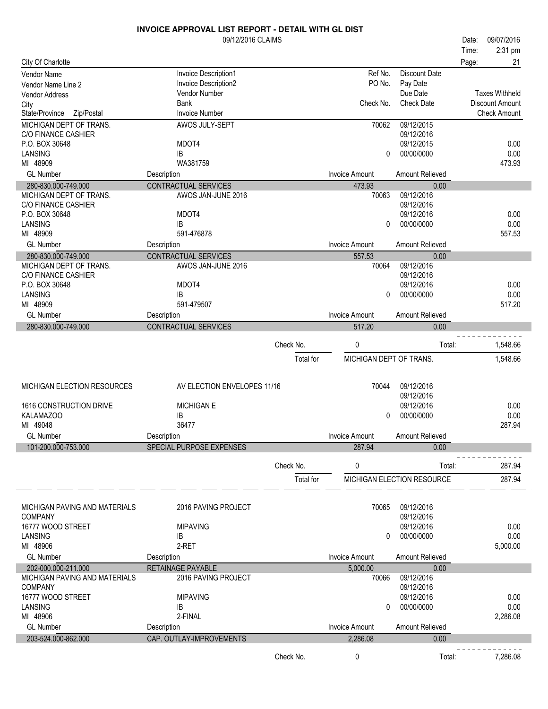|                                              | 09/12/2016 CLAIMS           |           |                         |                            | Date: | 09/07/2016            |
|----------------------------------------------|-----------------------------|-----------|-------------------------|----------------------------|-------|-----------------------|
|                                              |                             |           |                         |                            | Time: | 2:31 pm               |
| City Of Charlotte                            |                             |           |                         |                            | Page: | 21                    |
| Vendor Name                                  | Invoice Description1        |           | Ref No.                 | <b>Discount Date</b>       |       |                       |
| Vendor Name Line 2                           | Invoice Description2        |           | PO No.                  | Pay Date                   |       |                       |
| Vendor Address                               | Vendor Number               |           |                         | Due Date                   |       | <b>Taxes Withheld</b> |
| City                                         | <b>Bank</b>                 |           | Check No.               | <b>Check Date</b>          |       | Discount Amount       |
| State/Province<br>Zip/Postal                 | <b>Invoice Number</b>       |           |                         |                            |       | <b>Check Amount</b>   |
| <b>MICHIGAN DEPT OF TRANS.</b>               | AWOS JULY-SEPT              |           | 70062                   | 09/12/2015                 |       |                       |
| <b>C/O FINANCE CASHIER</b><br>P.O. BOX 30648 | MDOT4                       |           |                         | 09/12/2016<br>09/12/2015   |       | 0.00                  |
| LANSING                                      | IB                          |           | 0                       | 00/00/0000                 |       | 0.00                  |
| MI 48909                                     | WA381759                    |           |                         |                            |       | 473.93                |
| <b>GL Number</b>                             | Description                 |           | <b>Invoice Amount</b>   | Amount Relieved            |       |                       |
| 280-830.000-749.000                          | CONTRACTUAL SERVICES        |           | 473.93                  | 0.00                       |       |                       |
| MICHIGAN DEPT OF TRANS.                      | AWOS JAN-JUNE 2016          |           | 70063                   | 09/12/2016                 |       |                       |
| C/O FINANCE CASHIER                          |                             |           |                         | 09/12/2016                 |       |                       |
| P.O. BOX 30648                               | MDOT4                       |           |                         | 09/12/2016                 |       | 0.00                  |
| <b>LANSING</b>                               | IB                          |           | $\Omega$                | 00/00/0000                 |       | 0.00                  |
| MI 48909                                     | 591-476878                  |           |                         |                            |       | 557.53                |
| <b>GL Number</b>                             | Description                 |           | <b>Invoice Amount</b>   | Amount Relieved            |       |                       |
| 280-830.000-749.000                          | CONTRACTUAL SERVICES        |           | 557.53                  | 0.00                       |       |                       |
| MICHIGAN DEPT OF TRANS.                      | AWOS JAN-JUNE 2016          |           | 70064                   | 09/12/2016                 |       |                       |
| <b>C/O FINANCE CASHIER</b>                   |                             |           |                         | 09/12/2016                 |       |                       |
| P.O. BOX 30648                               | MDOT4                       |           |                         | 09/12/2016                 |       | 0.00                  |
| LANSING<br>MI 48909                          | IB<br>591-479507            |           | 0                       | 00/00/0000                 |       | 0.00<br>517.20        |
| <b>GL Number</b>                             |                             |           | <b>Invoice Amount</b>   | Amount Relieved            |       |                       |
|                                              | Description                 |           |                         |                            |       |                       |
| 280-830.000-749.000                          | CONTRACTUAL SERVICES        |           | 517.20                  | 0.00                       |       |                       |
|                                              |                             | Check No. | 0                       | Total:                     |       | 1,548.66              |
|                                              |                             | Total for | MICHIGAN DEPT OF TRANS. |                            |       | 1,548.66              |
|                                              |                             |           |                         |                            |       |                       |
|                                              |                             |           |                         |                            |       |                       |
| MICHIGAN ELECTION RESOURCES                  | AV ELECTION ENVELOPES 11/16 |           | 70044                   | 09/12/2016                 |       |                       |
|                                              |                             |           |                         | 09/12/2016                 |       |                       |
| 1616 CONSTRUCTION DRIVE                      | <b>MICHIGAN E</b><br>IB     |           | $\Omega$                | 09/12/2016                 |       | 0.00<br>0.00          |
| KALAMAZOO<br>MI 49048                        | 36477                       |           |                         | 00/00/0000                 |       | 287.94                |
| <b>GL Number</b>                             | Description                 |           | Invoice Amount          | Amount Relieved            |       |                       |
| 101-200.000-753.000                          | SPECIAL PURPOSE EXPENSES    |           | 287.94                  | 0.00                       |       |                       |
|                                              |                             |           |                         |                            |       |                       |
|                                              |                             | Check No. | 0                       | Total:                     |       | 287.94                |
|                                              |                             | Total for |                         | MICHIGAN ELECTION RESOURCE |       | 287.94                |
|                                              |                             |           |                         |                            |       |                       |
|                                              |                             |           |                         |                            |       |                       |
| MICHIGAN PAVING AND MATERIALS                | 2016 PAVING PROJECT         |           | 70065                   | 09/12/2016                 |       |                       |
| <b>COMPANY</b><br>16777 WOOD STREET          |                             |           |                         | 09/12/2016                 |       |                       |
| LANSING                                      | <b>MIPAVING</b><br>IB       |           | 0                       | 09/12/2016<br>00/00/0000   |       | 0.00<br>0.00          |
| MI 48906                                     | 2-RET                       |           |                         |                            |       | 5,000.00              |
| <b>GL Number</b>                             | Description                 |           | <b>Invoice Amount</b>   | Amount Relieved            |       |                       |
| 202-000.000-211.000                          | RETAINAGE PAYABLE           |           | 5,000.00                | 0.00                       |       |                       |
| MICHIGAN PAVING AND MATERIALS                | 2016 PAVING PROJECT         |           | 70066                   | 09/12/2016                 |       |                       |
| <b>COMPANY</b>                               |                             |           |                         | 09/12/2016                 |       |                       |
| 16777 WOOD STREET                            | <b>MIPAVING</b>             |           |                         | 09/12/2016                 |       | 0.00                  |
| <b>LANSING</b>                               | IB                          |           | 0                       | 00/00/0000                 |       | 0.00                  |
| MI 48906                                     | 2-FINAL                     |           |                         |                            |       | 2,286.08              |
| <b>GL Number</b>                             | Description                 |           | <b>Invoice Amount</b>   | Amount Relieved            |       |                       |
| 203-524.000-862.000                          |                             |           |                         |                            |       |                       |
|                                              | CAP. OUTLAY-IMPROVEMENTS    |           | 2,286.08                | 0.00                       |       |                       |
|                                              |                             | Check No. | 0                       | Total:                     |       | 7,286.08              |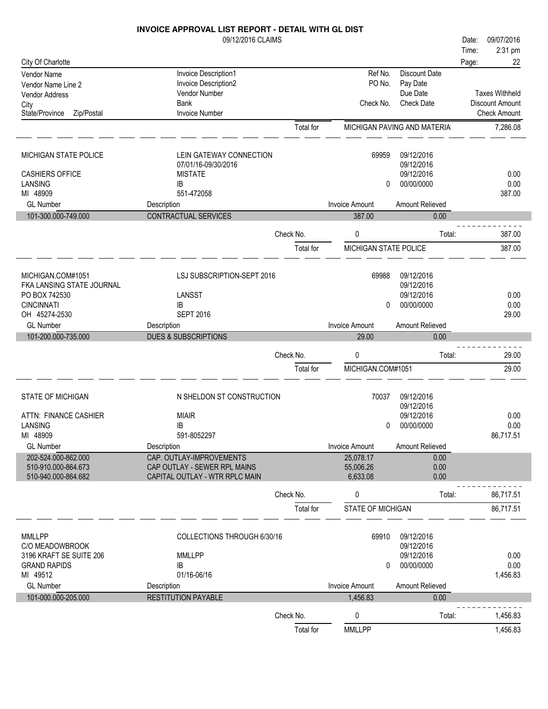|                                            | <b>INVOICE APPROVAL LIST REPORT - DETAIL WITH GL DIST</b>      |                        |                       |                              |                       |
|--------------------------------------------|----------------------------------------------------------------|------------------------|-----------------------|------------------------------|-----------------------|
|                                            | 09/12/2016 CLAIMS                                              |                        |                       |                              | 09/07/2016<br>Date:   |
|                                            |                                                                |                        |                       |                              | 2:31 pm<br>Time:      |
| City Of Charlotte                          |                                                                |                        |                       |                              | Page:<br>22           |
| Vendor Name                                | Invoice Description1                                           |                        | Ref No.               | Discount Date                |                       |
| Vendor Name Line 2                         | Invoice Description2                                           |                        | PO No.                | Pay Date                     |                       |
| Vendor Address                             | Vendor Number                                                  |                        |                       | Due Date                     | <b>Taxes Withheld</b> |
| City                                       | <b>Bank</b>                                                    |                        | Check No.             | <b>Check Date</b>            | Discount Amount       |
| State/Province<br>Zip/Postal               | <b>Invoice Number</b>                                          |                        |                       |                              | <b>Check Amount</b>   |
|                                            |                                                                | Total for              |                       | MICHIGAN PAVING AND MATERIAL | 7,286.08              |
| MICHIGAN STATE POLICE                      | LEIN GATEWAY CONNECTION                                        |                        | 69959                 | 09/12/2016                   |                       |
|                                            | 07/01/16-09/30/2016                                            |                        |                       | 09/12/2016                   |                       |
| <b>CASHIERS OFFICE</b>                     | <b>MISTATE</b>                                                 |                        |                       | 09/12/2016                   | 0.00                  |
| <b>LANSING</b>                             | IB                                                             |                        | 0                     | 00/00/0000                   | 0.00                  |
| MI 48909                                   | 551-472058                                                     |                        |                       |                              | 387.00                |
| <b>GL Number</b>                           | Description                                                    |                        | <b>Invoice Amount</b> | Amount Relieved              |                       |
| 101-300.000-749.000                        | <b>CONTRACTUAL SERVICES</b>                                    |                        | 387.00                | 0.00                         |                       |
|                                            |                                                                | Check No.              | 0                     | Total:                       | 387.00                |
|                                            |                                                                | Total for              | MICHIGAN STATE POLICE |                              | 387.00                |
|                                            |                                                                |                        |                       |                              |                       |
| MICHIGAN.COM#1051                          | LSJ SUBSCRIPTION-SEPT 2016                                     |                        | 69988                 | 09/12/2016                   |                       |
| FKA LANSING STATE JOURNAL                  |                                                                |                        |                       | 09/12/2016                   |                       |
| PO BOX 742530                              | LANSST                                                         |                        |                       | 09/12/2016                   | 0.00                  |
| <b>CINCINNATI</b>                          | ΙB                                                             |                        | 0                     | 00/00/0000                   | 0.00                  |
| OH 45274-2530                              | <b>SEPT 2016</b>                                               |                        |                       |                              | 29.00                 |
| <b>GL Number</b>                           | Description                                                    |                        | <b>Invoice Amount</b> | Amount Relieved              |                       |
|                                            |                                                                |                        |                       |                              |                       |
| 101-200.000-735.000                        | <b>DUES &amp; SUBSCRIPTIONS</b>                                |                        | 29.00                 | 0.00                         |                       |
|                                            |                                                                | Check No.              | 0                     | Total:                       | 29.00                 |
|                                            |                                                                | Total for              | MICHIGAN.COM#1051     |                              | 29.00                 |
|                                            |                                                                |                        |                       |                              |                       |
| <b>STATE OF MICHIGAN</b>                   | N SHELDON ST CONSTRUCTION                                      |                        | 70037                 | 09/12/2016                   |                       |
|                                            |                                                                |                        |                       | 09/12/2016                   |                       |
| ATTN: FINANCE CASHIER                      | <b>MIAIR</b>                                                   |                        |                       | 09/12/2016                   | 0.00                  |
| LANSING                                    | IB                                                             |                        | $\mathbf{0}$          | 00/00/0000                   | 0.00                  |
| MI 48909                                   | 591-8052297                                                    |                        |                       |                              | 86,717.51             |
| <b>GL Number</b>                           | Description                                                    |                        | <b>Invoice Amount</b> | Amount Relieved              |                       |
| 202-524.000-862.000                        | CAP. OUTLAY-IMPROVEMENTS                                       |                        | 25,078.17             | 0.00                         |                       |
| 510-910.000-864.673<br>510-940.000-864.682 | CAP OUTLAY - SEWER RPL MAINS<br>CAPITAL OUTLAY - WTR RPLC MAIN |                        | 55,006.26<br>6,633.08 | 0.00<br>0.00                 |                       |
|                                            |                                                                | Check No.              | 0                     | Total:                       | 86,717.51             |
|                                            |                                                                | Total for              | STATE OF MICHIGAN     |                              | 86,717.51             |
|                                            |                                                                |                        |                       |                              |                       |
| <b>MMLLPP</b>                              | COLLECTIONS THROUGH 6/30/16                                    |                        | 69910                 | 09/12/2016                   |                       |
| C/O MEADOWBROOK                            |                                                                |                        |                       | 09/12/2016                   |                       |
| 3196 KRAFT SE SUITE 206                    | <b>MMLLPP</b>                                                  |                        |                       | 09/12/2016                   | 0.00                  |
| <b>GRAND RAPIDS</b>                        | IB                                                             |                        | 0                     | 00/00/0000                   | 0.00                  |
| MI 49512                                   | 01/16-06/16                                                    |                        |                       |                              | 1,456.83              |
| <b>GL Number</b>                           | Description                                                    |                        | <b>Invoice Amount</b> | Amount Relieved              |                       |
| 101-000.000-205.000                        | <b>RESTITUTION PAYABLE</b>                                     |                        | 1,456.83              | 0.00                         |                       |
|                                            |                                                                | Check No.<br>Total for | 0<br><b>MMLLPP</b>    | Total:                       | 1,456.83<br>1,456.83  |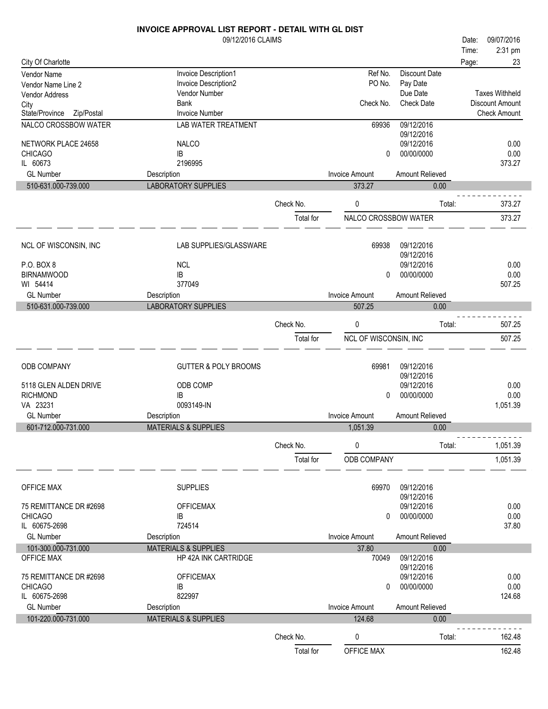|                              | 09/12/2016 CLAIMS               |                        |                       |                          | 09/07/2016<br>Date:    |                  |
|------------------------------|---------------------------------|------------------------|-----------------------|--------------------------|------------------------|------------------|
|                              |                                 |                        |                       |                          | Time:                  | 2:31 pm          |
| City Of Charlotte            |                                 |                        |                       |                          | Page:                  | 23               |
| <b>Vendor Name</b>           | Invoice Description1            |                        | Ref No.               | <b>Discount Date</b>     |                        |                  |
| Vendor Name Line 2           | Invoice Description2            |                        | PO No.                | Pay Date                 |                        |                  |
| Vendor Address               | Vendor Number                   |                        |                       | Due Date                 | <b>Taxes Withheld</b>  |                  |
| City                         | Bank                            |                        | Check No.             | <b>Check Date</b>        | <b>Discount Amount</b> |                  |
| State/Province<br>Zip/Postal | <b>Invoice Number</b>           |                        |                       |                          | <b>Check Amount</b>    |                  |
| NALCO CROSSBOW WATER         | <b>LAB WATER TREATMENT</b>      |                        | 69936                 | 09/12/2016<br>09/12/2016 |                        |                  |
| NETWORK PLACE 24658          | <b>NALCO</b>                    |                        |                       | 09/12/2016               |                        | 0.00             |
| <b>CHICAGO</b>               | IB                              |                        | 0                     | 00/00/0000               |                        | 0.00             |
| IL 60673                     | 2196995                         |                        |                       |                          |                        | 373.27           |
| <b>GL Number</b>             | Description                     |                        | <b>Invoice Amount</b> | Amount Relieved          |                        |                  |
| 510-631.000-739.000          | <b>LABORATORY SUPPLIES</b>      |                        | 373.27                | 0.00                     |                        |                  |
|                              |                                 |                        |                       |                          |                        |                  |
|                              |                                 | Check No.              | 0                     | Total:                   |                        | 373.27           |
|                              |                                 | Total for              | NALCO CROSSBOW WATER  |                          |                        | 373.27           |
|                              |                                 |                        |                       |                          |                        |                  |
|                              |                                 |                        |                       |                          |                        |                  |
| NCL OF WISCONSIN, INC        | <b>LAB SUPPLIES/GLASSWARE</b>   |                        | 69938                 | 09/12/2016               |                        |                  |
| P.O. BOX 8                   | <b>NCL</b>                      |                        |                       | 09/12/2016<br>09/12/2016 |                        | 0.00             |
| <b>BIRNAMWOOD</b>            | IB                              |                        | $\mathbf{0}$          | 00/00/0000               |                        | 0.00             |
| WI 54414                     | 377049                          |                        |                       |                          |                        | 507.25           |
| <b>GL Number</b>             |                                 |                        | <b>Invoice Amount</b> | Amount Relieved          |                        |                  |
|                              | Description                     |                        |                       |                          |                        |                  |
| 510-631.000-739.000          | <b>LABORATORY SUPPLIES</b>      |                        | 507.25                | 0.00                     |                        |                  |
|                              |                                 | Check No.              | 0                     | Total:                   |                        | 507.25           |
|                              |                                 |                        |                       |                          |                        |                  |
|                              |                                 | Total for              | NCL OF WISCONSIN, INC |                          |                        | 507.25           |
|                              |                                 |                        |                       |                          |                        |                  |
| ODB COMPANY                  | <b>GUTTER &amp; POLY BROOMS</b> |                        | 69981                 | 09/12/2016               |                        |                  |
|                              |                                 |                        |                       |                          |                        |                  |
|                              |                                 |                        |                       | 09/12/2016               |                        |                  |
| 5118 GLEN ALDEN DRIVE        | ODB COMP                        |                        |                       | 09/12/2016               |                        | 0.00             |
| <b>RICHMOND</b>              | IB                              |                        | 0                     | 00/00/0000               |                        | 0.00             |
| VA 23231                     | 0093149-IN                      |                        |                       |                          |                        | 1,051.39         |
| <b>GL Number</b>             | Description                     |                        | <b>Invoice Amount</b> | Amount Relieved          |                        |                  |
| 601-712.000-731.000          | <b>MATERIALS &amp; SUPPLIES</b> |                        | 1,051.39              | 0.00                     |                        |                  |
|                              |                                 |                        |                       |                          |                        |                  |
|                              |                                 | Check No.              | 0                     | Total:                   |                        | 1,051.39         |
|                              |                                 |                        |                       |                          |                        |                  |
|                              |                                 | Total for              | ODB COMPANY           |                          |                        | 1,051.39         |
|                              |                                 |                        |                       |                          |                        |                  |
| OFFICE MAX                   | <b>SUPPLIES</b>                 |                        | 69970                 | 09/12/2016               |                        |                  |
|                              |                                 |                        |                       | 09/12/2016               |                        |                  |
| 75 REMITTANCE DR #2698       | <b>OFFICEMAX</b>                |                        |                       | 09/12/2016               |                        | 0.00             |
| <b>CHICAGO</b>               | IB                              |                        | 0                     | 00/00/0000               |                        | 0.00             |
| IL 60675-2698                | 724514                          |                        |                       |                          |                        | 37.80            |
| <b>GL Number</b>             | Description                     |                        | <b>Invoice Amount</b> | Amount Relieved          |                        |                  |
| 101-300.000-731.000          | <b>MATERIALS &amp; SUPPLIES</b> |                        | 37.80                 | 0.00                     |                        |                  |
| <b>OFFICE MAX</b>            | HP 42A INK CARTRIDGE            |                        | 70049                 | 09/12/2016               |                        |                  |
|                              |                                 |                        |                       | 09/12/2016               |                        |                  |
| 75 REMITTANCE DR #2698       | <b>OFFICEMAX</b>                |                        |                       | 09/12/2016               |                        | 0.00             |
| <b>CHICAGO</b>               | IB                              |                        | 0                     | 00/00/0000               |                        | 0.00             |
| IL 60675-2698                | 822997                          |                        |                       |                          |                        | 124.68           |
| <b>GL Number</b>             | Description                     |                        | <b>Invoice Amount</b> | Amount Relieved          |                        |                  |
| 101-220.000-731.000          | <b>MATERIALS &amp; SUPPLIES</b> |                        | 124.68                | 0.00                     |                        |                  |
|                              |                                 |                        |                       |                          |                        |                  |
|                              |                                 | Check No.<br>Total for | 0<br>OFFICE MAX       | Total:                   |                        | 162.48<br>162.48 |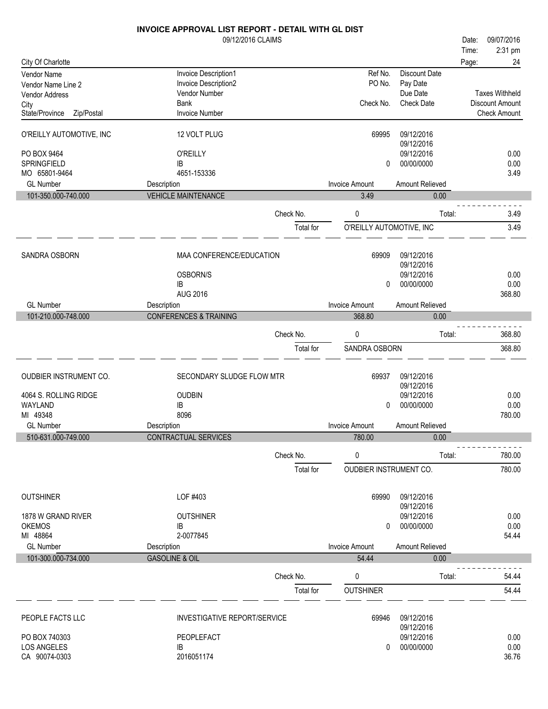|                                     | INVOICE APPROVAL LIST REPORT - DETAIL WITH GL DIST |           |                          |                          |       |                       |
|-------------------------------------|----------------------------------------------------|-----------|--------------------------|--------------------------|-------|-----------------------|
|                                     | 09/12/2016 CLAIMS                                  |           |                          |                          | Date: | 09/07/2016            |
|                                     |                                                    |           |                          |                          | Time: | 2:31 pm               |
| City Of Charlotte                   |                                                    |           |                          |                          | Page: | 24                    |
| Vendor Name                         | Invoice Description1                               |           | Ref No.                  | <b>Discount Date</b>     |       |                       |
| Vendor Name Line 2                  | Invoice Description2                               |           | PO No.                   | Pay Date                 |       |                       |
| <b>Vendor Address</b>               | Vendor Number                                      |           |                          | Due Date                 |       | <b>Taxes Withheld</b> |
| City                                | Bank                                               |           | Check No.                | <b>Check Date</b>        |       | Discount Amount       |
| State/Province<br>Zip/Postal        | <b>Invoice Number</b>                              |           |                          |                          |       | <b>Check Amount</b>   |
| O'REILLY AUTOMOTIVE, INC            | 12 VOLT PLUG                                       |           | 69995                    | 09/12/2016<br>09/12/2016 |       |                       |
| PO BOX 9464                         | <b>O'REILLY</b>                                    |           |                          | 09/12/2016               |       | 0.00                  |
| SPRINGFIELD                         | IB                                                 |           | 0                        | 00/00/0000               |       | 0.00                  |
| MO 65801-9464                       | 4651-153336                                        |           |                          |                          |       | 3.49                  |
| <b>GL Number</b>                    | Description                                        |           | <b>Invoice Amount</b>    | Amount Relieved          |       |                       |
| 101-350.000-740.000                 | <b>VEHICLE MAINTENANCE</b>                         |           | 3.49                     | 0.00                     |       |                       |
|                                     |                                                    | Check No. | 0                        | Total:                   |       | 3.49                  |
|                                     |                                                    | Total for | O'REILLY AUTOMOTIVE, INC |                          |       | 3.49                  |
|                                     |                                                    |           |                          |                          |       |                       |
| SANDRA OSBORN                       | MAA CONFERENCE/EDUCATION                           |           | 69909                    | 09/12/2016               |       |                       |
|                                     |                                                    |           |                          | 09/12/2016               |       |                       |
|                                     | OSBORN/S<br>IB                                     |           | 0                        | 09/12/2016<br>00/00/0000 |       | 0.00<br>0.00          |
|                                     | <b>AUG 2016</b>                                    |           |                          |                          |       | 368.80                |
| <b>GL Number</b>                    | Description                                        |           | <b>Invoice Amount</b>    | Amount Relieved          |       |                       |
| 101-210.000-748.000                 | <b>CONFERENCES &amp; TRAINING</b>                  |           | 368.80                   | 0.00                     |       |                       |
|                                     |                                                    |           |                          |                          |       |                       |
|                                     |                                                    | Check No. | 0                        | Total:                   |       | 368.80                |
|                                     |                                                    | Total for | SANDRA OSBORN            |                          |       | 368.80                |
| OUDBIER INSTRUMENT CO.              | SECONDARY SLUDGE FLOW MTR                          |           | 69937                    | 09/12/2016               |       |                       |
|                                     |                                                    |           |                          | 09/12/2016               |       |                       |
| 4064 S. ROLLING RIDGE               | <b>OUDBIN</b>                                      |           |                          | 09/12/2016               |       | 0.00                  |
| WAYLAND                             | IB                                                 |           | 0                        | 00/00/0000               |       | 0.00                  |
| MI 49348                            | 8096                                               |           |                          |                          |       | 780.00                |
| <b>GL Number</b>                    | Description                                        |           | <b>Invoice Amount</b>    | Amount Relieved          |       |                       |
| 510-631.000-749.000                 | CONTRACTUAL SERVICES                               |           | 780.00                   | 0.00                     |       |                       |
|                                     |                                                    | Check No. | 0                        | Total:                   |       | 780.00                |
|                                     |                                                    | Total for | OUDBIER INSTRUMENT CO.   |                          |       | 780.00                |
|                                     |                                                    |           |                          |                          |       |                       |
| <b>OUTSHINER</b>                    | LOF #403                                           |           | 69990                    | 09/12/2016               |       |                       |
|                                     |                                                    |           |                          | 09/12/2016               |       |                       |
| 1878 W GRAND RIVER<br><b>OKEMOS</b> | <b>OUTSHINER</b>                                   |           |                          | 09/12/2016<br>00/00/0000 |       | 0.00<br>0.00          |
| MI 48864                            | IB<br>2-0077845                                    |           | 0                        |                          |       | 54.44                 |
| <b>GL Number</b>                    | Description                                        |           | <b>Invoice Amount</b>    | Amount Relieved          |       |                       |
| 101-300.000-734.000                 | <b>GASOLINE &amp; OIL</b>                          |           | 54.44                    | 0.00                     |       |                       |
|                                     |                                                    |           |                          |                          |       |                       |
|                                     |                                                    | Check No. | 0                        | Total:                   |       | 54.44                 |
|                                     |                                                    | Total for | <b>OUTSHINER</b>         |                          |       | 54.44                 |
| PEOPLE FACTS LLC                    | <b>INVESTIGATIVE REPORT/SERVICE</b>                |           | 69946                    | 09/12/2016               |       |                       |
|                                     |                                                    |           |                          | 09/12/2016               |       |                       |
| PO BOX 740303                       | PEOPLEFACT                                         |           |                          | 09/12/2016               |       | 0.00                  |
| <b>LOS ANGELES</b>                  | IB                                                 |           | 0                        | 00/00/0000               |       | 0.00                  |
| CA 90074-0303                       | 2016051174                                         |           |                          |                          |       | 36.76                 |
|                                     |                                                    |           |                          |                          |       |                       |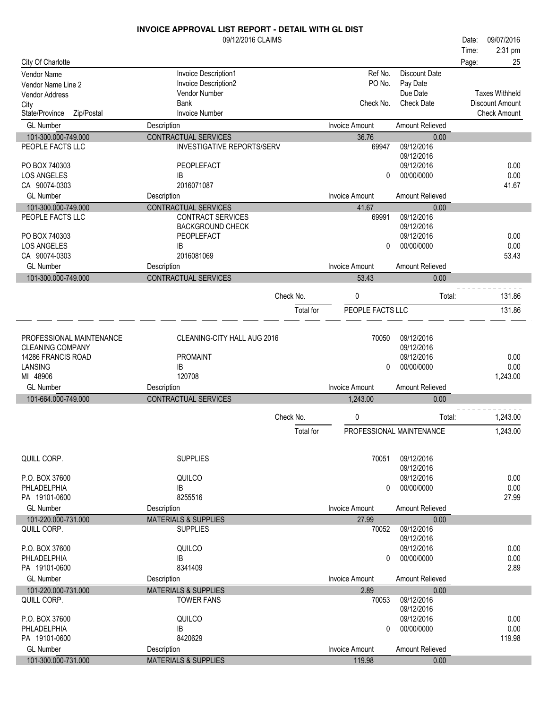|                              | <b>INVOICE APPROVAL LIST REPORT - DETAIL WITH GL DIST</b> |           |                       |                          |       |                       |
|------------------------------|-----------------------------------------------------------|-----------|-----------------------|--------------------------|-------|-----------------------|
|                              | 09/12/2016 CLAIMS                                         |           |                       |                          | Date: | 09/07/2016            |
|                              |                                                           |           |                       |                          | Time: | 2:31 pm               |
| City Of Charlotte            |                                                           |           |                       |                          | Page: | 25                    |
| Vendor Name                  | Invoice Description1                                      |           | Ref No.               | <b>Discount Date</b>     |       |                       |
| Vendor Name Line 2           | Invoice Description2                                      |           | PO No.                | Pay Date                 |       |                       |
| <b>Vendor Address</b>        | Vendor Number                                             |           |                       | Due Date                 |       | <b>Taxes Withheld</b> |
| City                         | <b>Bank</b>                                               |           | Check No.             | <b>Check Date</b>        |       | Discount Amount       |
| State/Province<br>Zip/Postal | <b>Invoice Number</b>                                     |           |                       |                          |       | <b>Check Amount</b>   |
| <b>GL Number</b>             | Description                                               |           | <b>Invoice Amount</b> | Amount Relieved          |       |                       |
| 101-300.000-749.000          | <b>CONTRACTUAL SERVICES</b>                               |           | 36.76                 | 0.00                     |       |                       |
| PEOPLE FACTS LLC             | <b>INVESTIGATIVE REPORTS/SERV</b>                         |           | 69947                 | 09/12/2016               |       |                       |
|                              |                                                           |           |                       | 09/12/2016               |       |                       |
| PO BOX 740303                | PEOPLEFACT                                                |           |                       | 09/12/2016               |       | 0.00                  |
| <b>LOS ANGELES</b>           | IB                                                        |           | 0                     | 00/00/0000               |       | 0.00                  |
| CA 90074-0303                | 2016071087                                                |           |                       |                          |       | 41.67                 |
| <b>GL Number</b>             | Description                                               |           | <b>Invoice Amount</b> | Amount Relieved          |       |                       |
| 101-300.000-749.000          | CONTRACTUAL SERVICES                                      |           | 41.67                 | 0.00                     |       |                       |
| PEOPLE FACTS LLC             | CONTRACT SERVICES                                         |           | 69991                 | 09/12/2016               |       |                       |
|                              | <b>BACKGROUND CHECK</b>                                   |           |                       | 09/12/2016               |       |                       |
| PO BOX 740303                | PEOPLEFACT                                                |           |                       | 09/12/2016               |       | 0.00                  |
| <b>LOS ANGELES</b>           | IB                                                        |           | 0                     | 00/00/0000               |       | 0.00                  |
| CA 90074-0303                | 2016081069                                                |           |                       |                          |       | 53.43                 |
| <b>GL Number</b>             | Description                                               |           | <b>Invoice Amount</b> | <b>Amount Relieved</b>   |       |                       |
| 101-300.000-749.000          | CONTRACTUAL SERVICES                                      |           | 53.43                 | 0.00                     |       |                       |
|                              |                                                           |           |                       |                          |       |                       |
|                              |                                                           | Check No. | 0                     | Total:                   |       | 131.86                |
|                              |                                                           | Total for | PEOPLE FACTS LLC      |                          |       | 131.86                |
|                              |                                                           |           |                       |                          |       |                       |
|                              |                                                           |           |                       |                          |       |                       |
| PROFESSIONAL MAINTENANCE     | CLEANING-CITY HALL AUG 2016                               |           | 70050                 | 09/12/2016               |       |                       |
| CLEANING COMPANY             |                                                           |           |                       | 09/12/2016               |       |                       |
| 14286 FRANCIS ROAD           | <b>PROMAINT</b>                                           |           |                       | 09/12/2016               |       | 0.00                  |
| LANSING                      | IB                                                        |           | 0                     | 00/00/0000               |       | 0.00                  |
| MI 48906                     | 120708                                                    |           |                       |                          |       | 1,243.00              |
| <b>GL Number</b>             | Description                                               |           | <b>Invoice Amount</b> | Amount Relieved          |       |                       |
| 101-664.000-749.000          | <b>CONTRACTUAL SERVICES</b>                               |           | 1,243.00              | 0.00                     |       |                       |
|                              |                                                           | Check No. | 0                     | Total:                   |       | 1,243.00              |
|                              |                                                           |           |                       |                          |       |                       |
|                              |                                                           | Total for |                       | PROFESSIONAL MAINTENANCE |       | 1,243.00              |
| QUILL CORP.                  | <b>SUPPLIES</b>                                           |           | 70051                 | 09/12/2016               |       |                       |
|                              |                                                           |           |                       | 09/12/2016               |       |                       |
| P.O. BOX 37600               | QUILCO                                                    |           |                       | 09/12/2016               |       | 0.00                  |
| PHLADELPHIA                  | IB                                                        |           | 0                     | 00/00/0000               |       | 0.00                  |
| PA 19101-0600                | 8255516                                                   |           |                       |                          |       | 27.99                 |
| <b>GL Number</b>             | Description                                               |           | <b>Invoice Amount</b> | Amount Relieved          |       |                       |
| 101-220.000-731.000          | <b>MATERIALS &amp; SUPPLIES</b>                           |           | 27.99                 | 0.00                     |       |                       |
| QUILL CORP.                  | <b>SUPPLIES</b>                                           |           | 70052                 | 09/12/2016               |       |                       |
|                              |                                                           |           |                       | 09/12/2016               |       |                       |
| P.O. BOX 37600               | QUILCO                                                    |           |                       | 09/12/2016               |       | 0.00                  |
| PHLADELPHIA                  | IB                                                        |           | 0                     | 00/00/0000               |       | 0.00                  |
| PA 19101-0600                | 8341409                                                   |           |                       |                          |       | 2.89                  |
| <b>GL Number</b>             | Description                                               |           | <b>Invoice Amount</b> | Amount Relieved          |       |                       |
| 101-220.000-731.000          | <b>MATERIALS &amp; SUPPLIES</b>                           |           | 2.89                  | 0.00                     |       |                       |
| QUILL CORP.                  | <b>TOWER FANS</b>                                         |           | 70053                 | 09/12/2016               |       |                       |
|                              |                                                           |           |                       | 09/12/2016               |       |                       |
| P.O. BOX 37600               | QUILCO                                                    |           |                       | 09/12/2016               |       | 0.00                  |
| PHLADELPHIA                  | IB                                                        |           | 0                     | 00/00/0000               |       | 0.00                  |
| PA 19101-0600                | 8420629                                                   |           |                       |                          |       | 119.98                |
| <b>GL Number</b>             | Description                                               |           | <b>Invoice Amount</b> | Amount Relieved          |       |                       |
| 101-300.000-731.000          | <b>MATERIALS &amp; SUPPLIES</b>                           |           | 119.98                | 0.00                     |       |                       |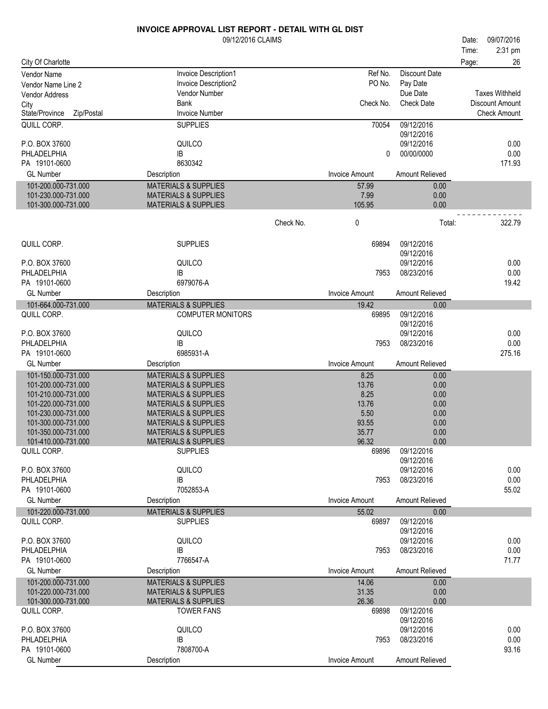|                                    | 09/12/2016 CLAIMS                                           |           |                       |                          | Date: | 09/07/2016            |
|------------------------------------|-------------------------------------------------------------|-----------|-----------------------|--------------------------|-------|-----------------------|
|                                    |                                                             |           |                       |                          | Time: | 2:31 pm               |
| City Of Charlotte                  |                                                             |           |                       |                          | Page: | 26                    |
| Vendor Name                        | Invoice Description1                                        |           | Ref No.               | Discount Date            |       |                       |
| Vendor Name Line 2                 | Invoice Description2                                        |           | PO No.                | Pay Date                 |       |                       |
| <b>Vendor Address</b>              | Vendor Number                                               |           |                       | Due Date                 |       | <b>Taxes Withheld</b> |
| City                               | Bank                                                        |           | Check No.             | <b>Check Date</b>        |       | Discount Amount       |
| Zip/Postal<br>State/Province       | <b>Invoice Number</b>                                       |           |                       |                          |       | <b>Check Amount</b>   |
| QUILL CORP.                        | <b>SUPPLIES</b>                                             |           | 70054                 | 09/12/2016<br>09/12/2016 |       |                       |
| P.O. BOX 37600                     | QUILCO                                                      |           |                       | 09/12/2016               |       | 0.00                  |
| PHLADELPHIA                        | IB                                                          |           | 0                     | 00/00/0000               |       | 0.00                  |
| PA 19101-0600                      | 8630342                                                     |           |                       |                          |       | 171.93                |
| <b>GL Number</b>                   | Description                                                 |           | <b>Invoice Amount</b> | Amount Relieved          |       |                       |
| 101-200.000-731.000                | <b>MATERIALS &amp; SUPPLIES</b>                             |           | 57.99                 | 0.00                     |       |                       |
| 101-230.000-731.000                | <b>MATERIALS &amp; SUPPLIES</b>                             |           | 7.99                  | 0.00                     |       |                       |
| 101-300.000-731.000                | <b>MATERIALS &amp; SUPPLIES</b>                             |           | 105.95                | 0.00                     |       |                       |
|                                    |                                                             |           |                       |                          |       |                       |
|                                    |                                                             | Check No. | 0                     | Total:                   |       | 322.79                |
| QUILL CORP.                        | <b>SUPPLIES</b>                                             |           | 69894                 | 09/12/2016               |       |                       |
|                                    |                                                             |           |                       | 09/12/2016               |       |                       |
| P.O. BOX 37600                     | QUILCO                                                      |           |                       | 09/12/2016               |       | 0.00                  |
| PHLADELPHIA<br>PA 19101-0600       | IB<br>6979076-A                                             |           | 7953                  | 08/23/2016               |       | 0.00<br>19.42         |
| <b>GL Number</b>                   |                                                             |           | <b>Invoice Amount</b> |                          |       |                       |
|                                    | Description                                                 |           |                       | Amount Relieved          |       |                       |
| 101-664.000-731.000<br>QUILL CORP. | <b>MATERIALS &amp; SUPPLIES</b><br><b>COMPUTER MONITORS</b> |           | 19.42<br>69895        | 0.00<br>09/12/2016       |       |                       |
|                                    |                                                             |           |                       | 09/12/2016               |       |                       |
| P.O. BOX 37600                     | QUILCO                                                      |           |                       | 09/12/2016               |       | 0.00                  |
| PHLADELPHIA                        | IB                                                          |           | 7953                  | 08/23/2016               |       | 0.00                  |
| PA 19101-0600                      | 6985931-A                                                   |           |                       |                          |       | 275.16                |
| <b>GL Number</b>                   | Description                                                 |           | <b>Invoice Amount</b> | Amount Relieved          |       |                       |
| 101-150.000-731.000                | <b>MATERIALS &amp; SUPPLIES</b>                             |           | 8.25                  | 0.00                     |       |                       |
| 101-200.000-731.000                | <b>MATERIALS &amp; SUPPLIES</b>                             |           | 13.76                 | 0.00                     |       |                       |
| 101-210.000-731.000                | <b>MATERIALS &amp; SUPPLIES</b>                             |           | 8.25                  | 0.00                     |       |                       |
| 101-220.000-731.000                | <b>MATERIALS &amp; SUPPLIES</b>                             |           | 13.76                 | 0.00                     |       |                       |
| 101-230.000-731.000                | <b>MATERIALS &amp; SUPPLIES</b>                             |           | 5.50                  | 0.00                     |       |                       |
| 101-300.000-731.000                | <b>MATERIALS &amp; SUPPLIES</b>                             |           | 93.55                 | 0.00                     |       |                       |
| 101-350.000-731.000                | <b>MATERIALS &amp; SUPPLIES</b>                             |           | 35.77                 | 0.00                     |       |                       |
| 101-410.000-731.000                | <b>MATERIALS &amp; SUPPLIES</b>                             |           | 96.32                 | 0.00                     |       |                       |
| QUILL CORP.                        | <b>SUPPLIES</b>                                             |           | 69896                 | 09/12/2016               |       |                       |
|                                    |                                                             |           |                       | 09/12/2016               |       |                       |
| P.O. BOX 37600<br>PHLADELPHIA      | QUILCO                                                      |           |                       | 09/12/2016<br>08/23/2016 |       | 0.00<br>0.00          |
| PA 19101-0600                      | IB<br>7052853-A                                             |           | 7953                  |                          |       | 55.02                 |
| <b>GL Number</b>                   | Description                                                 |           | <b>Invoice Amount</b> | Amount Relieved          |       |                       |
|                                    | <b>MATERIALS &amp; SUPPLIES</b>                             |           |                       |                          |       |                       |
| 101-220.000-731.000<br>QUILL CORP. | <b>SUPPLIES</b>                                             |           | 55.02<br>69897        | 0.00<br>09/12/2016       |       |                       |
|                                    |                                                             |           |                       | 09/12/2016               |       |                       |
| P.O. BOX 37600                     | QUILCO                                                      |           |                       | 09/12/2016               |       | 0.00                  |
| PHLADELPHIA                        | IB                                                          |           | 7953                  | 08/23/2016               |       | 0.00                  |
| PA 19101-0600                      | 7766547-A                                                   |           |                       |                          |       | 71.77                 |
| <b>GL Number</b>                   | Description                                                 |           | <b>Invoice Amount</b> | Amount Relieved          |       |                       |
| 101-200.000-731.000                | <b>MATERIALS &amp; SUPPLIES</b>                             |           | 14.06                 | 0.00                     |       |                       |
| 101-220.000-731.000                | <b>MATERIALS &amp; SUPPLIES</b>                             |           | 31.35                 | 0.00                     |       |                       |
| 101-300.000-731.000                | <b>MATERIALS &amp; SUPPLIES</b>                             |           | 26.36                 | 0.00                     |       |                       |
| QUILL CORP.                        | <b>TOWER FANS</b>                                           |           | 69898                 | 09/12/2016               |       |                       |
|                                    |                                                             |           |                       | 09/12/2016               |       |                       |
| P.O. BOX 37600                     | QUILCO                                                      |           |                       | 09/12/2016               |       | 0.00                  |
| PHLADELPHIA                        | IB                                                          |           | 7953                  | 08/23/2016               |       | 0.00                  |
| PA 19101-0600                      | 7808700-A                                                   |           |                       |                          |       | 93.16                 |
| <b>GL Number</b>                   | Description                                                 |           | <b>Invoice Amount</b> | Amount Relieved          |       |                       |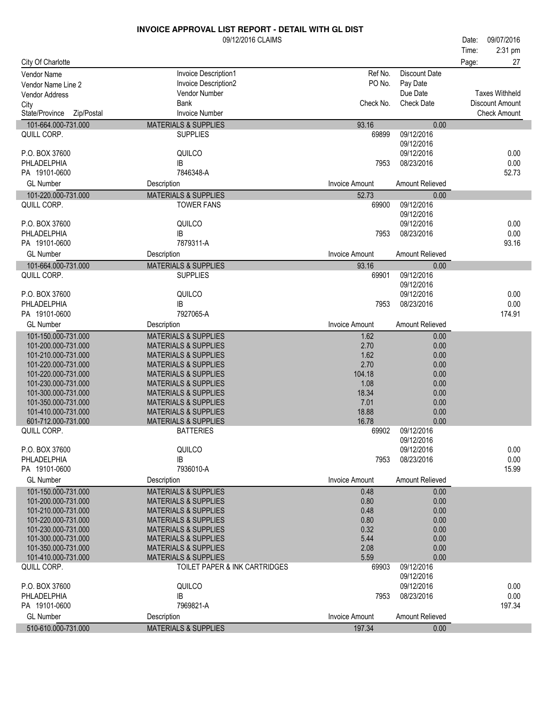|                                                                                                                                                  | 2:31 pm<br>Time:       |
|--------------------------------------------------------------------------------------------------------------------------------------------------|------------------------|
|                                                                                                                                                  |                        |
| City Of Charlotte<br>Page:                                                                                                                       | 27                     |
| Ref No.<br><b>Discount Date</b><br>Invoice Description1<br><b>Vendor Name</b>                                                                    |                        |
| PO No.<br>Invoice Description2<br>Pay Date<br>Vendor Name Line 2                                                                                 |                        |
| Vendor Number<br>Due Date<br>Vendor Address                                                                                                      | <b>Taxes Withheld</b>  |
| Check No.<br><b>Check Date</b><br>Bank<br>City                                                                                                   | <b>Discount Amount</b> |
| Zip/Postal<br><b>Invoice Number</b><br>State/Province                                                                                            | <b>Check Amount</b>    |
| 101-664.000-731.000<br><b>MATERIALS &amp; SUPPLIES</b><br>93.16<br>0.00                                                                          |                        |
| 09/12/2016<br>QUILL CORP.<br><b>SUPPLIES</b><br>69899                                                                                            |                        |
| 09/12/2016                                                                                                                                       |                        |
| QUILCO<br>P.O. BOX 37600<br>09/12/2016                                                                                                           | 0.00                   |
| PHLADELPHIA<br>IB<br>08/23/2016<br>7953                                                                                                          | 0.00                   |
| PA 19101-0600<br>7846348-A                                                                                                                       | 52.73                  |
| <b>GL Number</b><br><b>Invoice Amount</b><br>Amount Relieved<br>Description                                                                      |                        |
| 101-220.000-731.000<br><b>MATERIALS &amp; SUPPLIES</b><br>52.73<br>0.00                                                                          |                        |
| 09/12/2016<br>QUILL CORP.<br><b>TOWER FANS</b><br>69900                                                                                          |                        |
| 09/12/2016                                                                                                                                       |                        |
| P.O. BOX 37600<br>QUILCO<br>09/12/2016                                                                                                           | 0.00                   |
| PHLADELPHIA<br>IB<br>08/23/2016<br>7953                                                                                                          | 0.00                   |
| 7879311-A<br>PA 19101-0600                                                                                                                       | 93.16                  |
| <b>GL Number</b><br><b>Invoice Amount</b><br>Amount Relieved<br>Description                                                                      |                        |
| 101-664.000-731.000<br><b>MATERIALS &amp; SUPPLIES</b><br>93.16<br>0.00                                                                          |                        |
| 09/12/2016<br>QUILL CORP.<br><b>SUPPLIES</b><br>69901                                                                                            |                        |
| 09/12/2016                                                                                                                                       |                        |
| QUILCO<br>P.O. BOX 37600<br>09/12/2016                                                                                                           | 0.00                   |
| PHLADELPHIA<br>IB<br>08/23/2016<br>7953<br>7927065-A                                                                                             | 0.00                   |
| PA 19101-0600                                                                                                                                    | 174.91                 |
| <b>GL Number</b><br><b>Invoice Amount</b><br>Amount Relieved<br>Description                                                                      |                        |
| 101-150.000-731.000<br><b>MATERIALS &amp; SUPPLIES</b><br>1.62<br>0.00                                                                           |                        |
| 101-200.000-731.000<br>2.70<br>0.00<br><b>MATERIALS &amp; SUPPLIES</b>                                                                           |                        |
| 101-210.000-731.000<br><b>MATERIALS &amp; SUPPLIES</b><br>1.62<br>0.00<br>101-220.000-731.000<br>2.70<br>0.00<br><b>MATERIALS &amp; SUPPLIES</b> |                        |
| 104.18<br>101-220.000-731.000<br><b>MATERIALS &amp; SUPPLIES</b><br>0.00                                                                         |                        |
| 1.08<br>101-230.000-731.000<br><b>MATERIALS &amp; SUPPLIES</b><br>0.00                                                                           |                        |
| 101-300.000-731.000<br><b>MATERIALS &amp; SUPPLIES</b><br>18.34<br>0.00                                                                          |                        |
| 101-350.000-731.000<br><b>MATERIALS &amp; SUPPLIES</b><br>7.01<br>0.00                                                                           |                        |
| 101-410.000-731.000<br><b>MATERIALS &amp; SUPPLIES</b><br>18.88<br>0.00                                                                          |                        |
| 16.78<br>0.00<br>601-712.000-731.000<br><b>MATERIALS &amp; SUPPLIES</b>                                                                          |                        |
| 09/12/2016<br>QUILL CORP.<br><b>BATTERIES</b><br>69902                                                                                           |                        |
| 09/12/2016                                                                                                                                       |                        |
| QUILCO<br>P.O. BOX 37600<br>09/12/2016                                                                                                           | 0.00                   |
| PHLADELPHIA<br>08/23/2016<br>IB<br>7953                                                                                                          | 0.00                   |
| 7936010-A<br>PA 19101-0600                                                                                                                       | 15.99                  |
| <b>GL Number</b><br>Amount Relieved<br>Description<br><b>Invoice Amount</b>                                                                      |                        |
| 101-150.000-731.000<br><b>MATERIALS &amp; SUPPLIES</b><br>0.00<br>0.48                                                                           |                        |
| 101-200.000-731.000<br><b>MATERIALS &amp; SUPPLIES</b><br>0.80<br>0.00                                                                           |                        |
| 0.00<br>101-210.000-731.000<br><b>MATERIALS &amp; SUPPLIES</b><br>0.48                                                                           |                        |
| 0.00<br>101-220.000-731.000<br><b>MATERIALS &amp; SUPPLIES</b><br>0.80                                                                           |                        |
| 101-230.000-731.000<br>0.00<br><b>MATERIALS &amp; SUPPLIES</b><br>0.32<br>101-300.000-731.000<br><b>MATERIALS &amp; SUPPLIES</b><br>5.44<br>0.00 |                        |
| 101-350.000-731.000<br><b>MATERIALS &amp; SUPPLIES</b><br>2.08<br>0.00                                                                           |                        |
| 5.59<br>0.00<br>101-410.000-731.000<br><b>MATERIALS &amp; SUPPLIES</b>                                                                           |                        |
| 09/12/2016<br>QUILL CORP.<br>TOILET PAPER & INK CARTRIDGES<br>69903                                                                              |                        |
| 09/12/2016                                                                                                                                       |                        |
| QUILCO<br>09/12/2016<br>P.O. BOX 37600                                                                                                           | 0.00                   |
| PHLADELPHIA<br>IB<br>08/23/2016<br>7953                                                                                                          | 0.00                   |
| PA 19101-0600<br>7969821-A                                                                                                                       | 197.34                 |
| <b>GL Number</b><br>Amount Relieved<br>Description<br><b>Invoice Amount</b>                                                                      |                        |
| 510-610.000-731.000<br><b>MATERIALS &amp; SUPPLIES</b><br>197.34<br>0.00                                                                         |                        |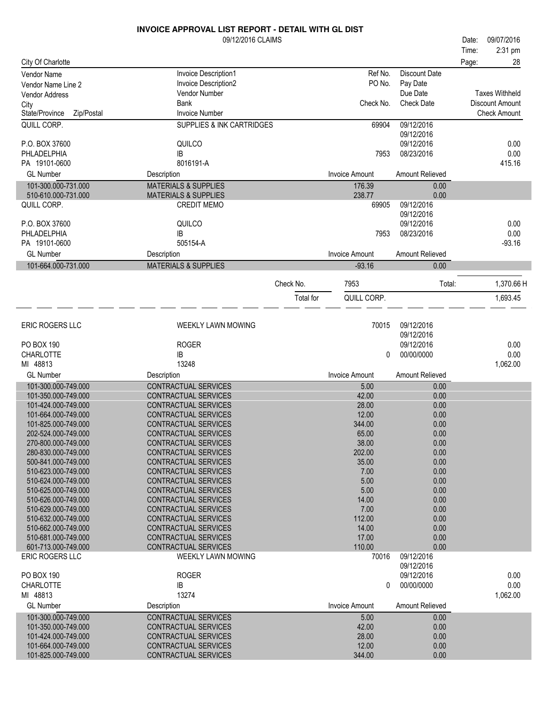| City Of Charlotte<br>28<br>Page:<br>Ref No.<br><b>Discount Date</b><br>Invoice Description1<br><b>Vendor Name</b><br>PO No.<br>Invoice Description2<br>Pay Date<br>Vendor Name Line 2<br>Due Date<br><b>Taxes Withheld</b><br><b>Vendor Number</b><br><b>Vendor Address</b><br>Check No.<br><b>Check Date</b><br><b>Bank</b><br>Discount Amount<br>City<br>Zip/Postal<br><b>Invoice Number</b><br><b>Check Amount</b><br>State/Province<br>QUILL CORP.<br><b>SUPPLIES &amp; INK CARTRIDGES</b><br>09/12/2016<br>69904<br>09/12/2016<br>QUILCO<br>09/12/2016<br>0.00<br>P.O. BOX 37600<br>PHLADELPHIA<br>0.00<br>IB<br>7953<br>08/23/2016<br>8016191-A<br>415.16<br>PA 19101-0600<br><b>GL Number</b><br><b>Invoice Amount</b><br>Amount Relieved<br>Description<br>101-300.000-731.000<br><b>MATERIALS &amp; SUPPLIES</b><br>176.39<br>0.00<br>510-610.000-731.000<br><b>MATERIALS &amp; SUPPLIES</b><br>238.77<br>0.00<br>09/12/2016<br>QUILL CORP.<br><b>CREDIT MEMO</b><br>69905<br>09/12/2016<br>QUILCO<br>P.O. BOX 37600<br>09/12/2016<br>0.00<br>0.00<br>IB<br>08/23/2016<br>PHLADELPHIA<br>7953<br>505154-A<br>PA 19101-0600<br>$-93.16$<br><b>GL Number</b><br><b>Invoice Amount</b><br>Amount Relieved<br>Description<br>101-664.000-731.000<br><b>MATERIALS &amp; SUPPLIES</b><br>$-93.16$<br>0.00<br>1,370.66 H<br>Check No.<br>7953<br>Total:<br>1,693.45<br>Total for<br>QUILL CORP.<br>ERIC ROGERS LLC<br>09/12/2016<br>WEEKLY LAWN MOWING<br>70015<br>09/12/2016<br><b>ROGER</b><br><b>PO BOX 190</b><br>09/12/2016<br>0.00<br>0.00<br>CHARLOTTE<br>00/00/0000<br>IB<br>0<br>MI 48813<br>13248<br>1,062.00<br><b>GL Number</b><br><b>Invoice Amount</b><br>Amount Relieved<br>Description<br>101-300.000-749.000<br>CONTRACTUAL SERVICES<br>5.00<br>0.00<br>101-350.000-749.000<br>CONTRACTUAL SERVICES<br>42.00<br>0.00<br>CONTRACTUAL SERVICES<br>28.00<br>0.00<br>101-424.000-749.000<br>12.00<br>101-664.000-749.000<br>CONTRACTUAL SERVICES<br>0.00<br>344.00<br>0.00<br>101-825.000-749.000<br><b>CONTRACTUAL SERVICES</b><br>65.00<br>0.00<br>202-524.000-749.000<br>CONTRACTUAL SERVICES<br>270-800.000-749.000<br><b>CONTRACTUAL SERVICES</b><br>38.00<br>0.00<br>202.00<br>280-830.000-749.000<br><b>CONTRACTUAL SERVICES</b><br>0.00<br>500-841.000-749.000<br><b>CONTRACTUAL SERVICES</b><br>35.00<br>0.00<br>510-623.000-749.000<br><b>CONTRACTUAL SERVICES</b><br>7.00<br>0.00<br>510-624.000-749.000<br>CONTRACTUAL SERVICES<br>5.00<br>0.00<br>510-625.000-749.000<br>CONTRACTUAL SERVICES<br>5.00<br>0.00<br>0.00<br>510-626.000-749.000<br>CONTRACTUAL SERVICES<br>14.00<br>7.00<br>0.00<br>510-629.000-749.000<br><b>CONTRACTUAL SERVICES</b><br>112.00<br>510-632.000-749.000<br><b>CONTRACTUAL SERVICES</b><br>0.00<br>14.00<br>510-662.000-749.000<br><b>CONTRACTUAL SERVICES</b><br>0.00<br>510-681.000-749.000<br>CONTRACTUAL SERVICES<br>17.00<br>0.00<br>110.00<br>0.00<br>601-713.000-749.000<br>CONTRACTUAL SERVICES<br>09/12/2016<br><b>ERIC ROGERS LLC</b><br>WEEKLY LAWN MOWING<br>70016<br>09/12/2016<br>PO BOX 190<br><b>ROGER</b><br>0.00<br>09/12/2016<br>0.00<br><b>CHARLOTTE</b><br>IB<br>00/00/0000<br>0<br>13274<br>MI 48813<br>1,062.00<br><b>GL Number</b><br>Amount Relieved<br><b>Invoice Amount</b><br>Description<br>101-300.000-749.000<br>CONTRACTUAL SERVICES<br>5.00<br>0.00<br>101-350.000-749.000<br>CONTRACTUAL SERVICES<br>42.00<br>0.00<br>0.00<br>101-424.000-749.000<br>CONTRACTUAL SERVICES<br>28.00<br>101-664.000-749.000<br>CONTRACTUAL SERVICES<br>12.00<br>0.00<br>344.00<br>0.00<br>101-825.000-749.000<br>CONTRACTUAL SERVICES | 09/12/2016 CLAIMS |  | Date: | 09/07/2016 |
|---------------------------------------------------------------------------------------------------------------------------------------------------------------------------------------------------------------------------------------------------------------------------------------------------------------------------------------------------------------------------------------------------------------------------------------------------------------------------------------------------------------------------------------------------------------------------------------------------------------------------------------------------------------------------------------------------------------------------------------------------------------------------------------------------------------------------------------------------------------------------------------------------------------------------------------------------------------------------------------------------------------------------------------------------------------------------------------------------------------------------------------------------------------------------------------------------------------------------------------------------------------------------------------------------------------------------------------------------------------------------------------------------------------------------------------------------------------------------------------------------------------------------------------------------------------------------------------------------------------------------------------------------------------------------------------------------------------------------------------------------------------------------------------------------------------------------------------------------------------------------------------------------------------------------------------------------------------------------------------------------------------------------------------------------------------------------------------------------------------------------------------------------------------------------------------------------------------------------------------------------------------------------------------------------------------------------------------------------------------------------------------------------------------------------------------------------------------------------------------------------------------------------------------------------------------------------------------------------------------------------------------------------------------------------------------------------------------------------------------------------------------------------------------------------------------------------------------------------------------------------------------------------------------------------------------------------------------------------------------------------------------------------------------------------------------------------------------------------------------------------------------------------------------------------------------------------------------------------------------------------------------------------------------------------------------------------------------------------------------------------------------------------------------------------------------------------------------------------------------------------------------------------------------------------------------------------------------------------------------|-------------------|--|-------|------------|
|                                                                                                                                                                                                                                                                                                                                                                                                                                                                                                                                                                                                                                                                                                                                                                                                                                                                                                                                                                                                                                                                                                                                                                                                                                                                                                                                                                                                                                                                                                                                                                                                                                                                                                                                                                                                                                                                                                                                                                                                                                                                                                                                                                                                                                                                                                                                                                                                                                                                                                                                                                                                                                                                                                                                                                                                                                                                                                                                                                                                                                                                                                                                                                                                                                                                                                                                                                                                                                                                                                                                                                                                               |                   |  | Time: | 2:31 pm    |
|                                                                                                                                                                                                                                                                                                                                                                                                                                                                                                                                                                                                                                                                                                                                                                                                                                                                                                                                                                                                                                                                                                                                                                                                                                                                                                                                                                                                                                                                                                                                                                                                                                                                                                                                                                                                                                                                                                                                                                                                                                                                                                                                                                                                                                                                                                                                                                                                                                                                                                                                                                                                                                                                                                                                                                                                                                                                                                                                                                                                                                                                                                                                                                                                                                                                                                                                                                                                                                                                                                                                                                                                               |                   |  |       |            |
|                                                                                                                                                                                                                                                                                                                                                                                                                                                                                                                                                                                                                                                                                                                                                                                                                                                                                                                                                                                                                                                                                                                                                                                                                                                                                                                                                                                                                                                                                                                                                                                                                                                                                                                                                                                                                                                                                                                                                                                                                                                                                                                                                                                                                                                                                                                                                                                                                                                                                                                                                                                                                                                                                                                                                                                                                                                                                                                                                                                                                                                                                                                                                                                                                                                                                                                                                                                                                                                                                                                                                                                                               |                   |  |       |            |
|                                                                                                                                                                                                                                                                                                                                                                                                                                                                                                                                                                                                                                                                                                                                                                                                                                                                                                                                                                                                                                                                                                                                                                                                                                                                                                                                                                                                                                                                                                                                                                                                                                                                                                                                                                                                                                                                                                                                                                                                                                                                                                                                                                                                                                                                                                                                                                                                                                                                                                                                                                                                                                                                                                                                                                                                                                                                                                                                                                                                                                                                                                                                                                                                                                                                                                                                                                                                                                                                                                                                                                                                               |                   |  |       |            |
|                                                                                                                                                                                                                                                                                                                                                                                                                                                                                                                                                                                                                                                                                                                                                                                                                                                                                                                                                                                                                                                                                                                                                                                                                                                                                                                                                                                                                                                                                                                                                                                                                                                                                                                                                                                                                                                                                                                                                                                                                                                                                                                                                                                                                                                                                                                                                                                                                                                                                                                                                                                                                                                                                                                                                                                                                                                                                                                                                                                                                                                                                                                                                                                                                                                                                                                                                                                                                                                                                                                                                                                                               |                   |  |       |            |
|                                                                                                                                                                                                                                                                                                                                                                                                                                                                                                                                                                                                                                                                                                                                                                                                                                                                                                                                                                                                                                                                                                                                                                                                                                                                                                                                                                                                                                                                                                                                                                                                                                                                                                                                                                                                                                                                                                                                                                                                                                                                                                                                                                                                                                                                                                                                                                                                                                                                                                                                                                                                                                                                                                                                                                                                                                                                                                                                                                                                                                                                                                                                                                                                                                                                                                                                                                                                                                                                                                                                                                                                               |                   |  |       |            |
|                                                                                                                                                                                                                                                                                                                                                                                                                                                                                                                                                                                                                                                                                                                                                                                                                                                                                                                                                                                                                                                                                                                                                                                                                                                                                                                                                                                                                                                                                                                                                                                                                                                                                                                                                                                                                                                                                                                                                                                                                                                                                                                                                                                                                                                                                                                                                                                                                                                                                                                                                                                                                                                                                                                                                                                                                                                                                                                                                                                                                                                                                                                                                                                                                                                                                                                                                                                                                                                                                                                                                                                                               |                   |  |       |            |
|                                                                                                                                                                                                                                                                                                                                                                                                                                                                                                                                                                                                                                                                                                                                                                                                                                                                                                                                                                                                                                                                                                                                                                                                                                                                                                                                                                                                                                                                                                                                                                                                                                                                                                                                                                                                                                                                                                                                                                                                                                                                                                                                                                                                                                                                                                                                                                                                                                                                                                                                                                                                                                                                                                                                                                                                                                                                                                                                                                                                                                                                                                                                                                                                                                                                                                                                                                                                                                                                                                                                                                                                               |                   |  |       |            |
|                                                                                                                                                                                                                                                                                                                                                                                                                                                                                                                                                                                                                                                                                                                                                                                                                                                                                                                                                                                                                                                                                                                                                                                                                                                                                                                                                                                                                                                                                                                                                                                                                                                                                                                                                                                                                                                                                                                                                                                                                                                                                                                                                                                                                                                                                                                                                                                                                                                                                                                                                                                                                                                                                                                                                                                                                                                                                                                                                                                                                                                                                                                                                                                                                                                                                                                                                                                                                                                                                                                                                                                                               |                   |  |       |            |
|                                                                                                                                                                                                                                                                                                                                                                                                                                                                                                                                                                                                                                                                                                                                                                                                                                                                                                                                                                                                                                                                                                                                                                                                                                                                                                                                                                                                                                                                                                                                                                                                                                                                                                                                                                                                                                                                                                                                                                                                                                                                                                                                                                                                                                                                                                                                                                                                                                                                                                                                                                                                                                                                                                                                                                                                                                                                                                                                                                                                                                                                                                                                                                                                                                                                                                                                                                                                                                                                                                                                                                                                               |                   |  |       |            |
|                                                                                                                                                                                                                                                                                                                                                                                                                                                                                                                                                                                                                                                                                                                                                                                                                                                                                                                                                                                                                                                                                                                                                                                                                                                                                                                                                                                                                                                                                                                                                                                                                                                                                                                                                                                                                                                                                                                                                                                                                                                                                                                                                                                                                                                                                                                                                                                                                                                                                                                                                                                                                                                                                                                                                                                                                                                                                                                                                                                                                                                                                                                                                                                                                                                                                                                                                                                                                                                                                                                                                                                                               |                   |  |       |            |
|                                                                                                                                                                                                                                                                                                                                                                                                                                                                                                                                                                                                                                                                                                                                                                                                                                                                                                                                                                                                                                                                                                                                                                                                                                                                                                                                                                                                                                                                                                                                                                                                                                                                                                                                                                                                                                                                                                                                                                                                                                                                                                                                                                                                                                                                                                                                                                                                                                                                                                                                                                                                                                                                                                                                                                                                                                                                                                                                                                                                                                                                                                                                                                                                                                                                                                                                                                                                                                                                                                                                                                                                               |                   |  |       |            |
|                                                                                                                                                                                                                                                                                                                                                                                                                                                                                                                                                                                                                                                                                                                                                                                                                                                                                                                                                                                                                                                                                                                                                                                                                                                                                                                                                                                                                                                                                                                                                                                                                                                                                                                                                                                                                                                                                                                                                                                                                                                                                                                                                                                                                                                                                                                                                                                                                                                                                                                                                                                                                                                                                                                                                                                                                                                                                                                                                                                                                                                                                                                                                                                                                                                                                                                                                                                                                                                                                                                                                                                                               |                   |  |       |            |
|                                                                                                                                                                                                                                                                                                                                                                                                                                                                                                                                                                                                                                                                                                                                                                                                                                                                                                                                                                                                                                                                                                                                                                                                                                                                                                                                                                                                                                                                                                                                                                                                                                                                                                                                                                                                                                                                                                                                                                                                                                                                                                                                                                                                                                                                                                                                                                                                                                                                                                                                                                                                                                                                                                                                                                                                                                                                                                                                                                                                                                                                                                                                                                                                                                                                                                                                                                                                                                                                                                                                                                                                               |                   |  |       |            |
|                                                                                                                                                                                                                                                                                                                                                                                                                                                                                                                                                                                                                                                                                                                                                                                                                                                                                                                                                                                                                                                                                                                                                                                                                                                                                                                                                                                                                                                                                                                                                                                                                                                                                                                                                                                                                                                                                                                                                                                                                                                                                                                                                                                                                                                                                                                                                                                                                                                                                                                                                                                                                                                                                                                                                                                                                                                                                                                                                                                                                                                                                                                                                                                                                                                                                                                                                                                                                                                                                                                                                                                                               |                   |  |       |            |
|                                                                                                                                                                                                                                                                                                                                                                                                                                                                                                                                                                                                                                                                                                                                                                                                                                                                                                                                                                                                                                                                                                                                                                                                                                                                                                                                                                                                                                                                                                                                                                                                                                                                                                                                                                                                                                                                                                                                                                                                                                                                                                                                                                                                                                                                                                                                                                                                                                                                                                                                                                                                                                                                                                                                                                                                                                                                                                                                                                                                                                                                                                                                                                                                                                                                                                                                                                                                                                                                                                                                                                                                               |                   |  |       |            |
|                                                                                                                                                                                                                                                                                                                                                                                                                                                                                                                                                                                                                                                                                                                                                                                                                                                                                                                                                                                                                                                                                                                                                                                                                                                                                                                                                                                                                                                                                                                                                                                                                                                                                                                                                                                                                                                                                                                                                                                                                                                                                                                                                                                                                                                                                                                                                                                                                                                                                                                                                                                                                                                                                                                                                                                                                                                                                                                                                                                                                                                                                                                                                                                                                                                                                                                                                                                                                                                                                                                                                                                                               |                   |  |       |            |
|                                                                                                                                                                                                                                                                                                                                                                                                                                                                                                                                                                                                                                                                                                                                                                                                                                                                                                                                                                                                                                                                                                                                                                                                                                                                                                                                                                                                                                                                                                                                                                                                                                                                                                                                                                                                                                                                                                                                                                                                                                                                                                                                                                                                                                                                                                                                                                                                                                                                                                                                                                                                                                                                                                                                                                                                                                                                                                                                                                                                                                                                                                                                                                                                                                                                                                                                                                                                                                                                                                                                                                                                               |                   |  |       |            |
|                                                                                                                                                                                                                                                                                                                                                                                                                                                                                                                                                                                                                                                                                                                                                                                                                                                                                                                                                                                                                                                                                                                                                                                                                                                                                                                                                                                                                                                                                                                                                                                                                                                                                                                                                                                                                                                                                                                                                                                                                                                                                                                                                                                                                                                                                                                                                                                                                                                                                                                                                                                                                                                                                                                                                                                                                                                                                                                                                                                                                                                                                                                                                                                                                                                                                                                                                                                                                                                                                                                                                                                                               |                   |  |       |            |
|                                                                                                                                                                                                                                                                                                                                                                                                                                                                                                                                                                                                                                                                                                                                                                                                                                                                                                                                                                                                                                                                                                                                                                                                                                                                                                                                                                                                                                                                                                                                                                                                                                                                                                                                                                                                                                                                                                                                                                                                                                                                                                                                                                                                                                                                                                                                                                                                                                                                                                                                                                                                                                                                                                                                                                                                                                                                                                                                                                                                                                                                                                                                                                                                                                                                                                                                                                                                                                                                                                                                                                                                               |                   |  |       |            |
|                                                                                                                                                                                                                                                                                                                                                                                                                                                                                                                                                                                                                                                                                                                                                                                                                                                                                                                                                                                                                                                                                                                                                                                                                                                                                                                                                                                                                                                                                                                                                                                                                                                                                                                                                                                                                                                                                                                                                                                                                                                                                                                                                                                                                                                                                                                                                                                                                                                                                                                                                                                                                                                                                                                                                                                                                                                                                                                                                                                                                                                                                                                                                                                                                                                                                                                                                                                                                                                                                                                                                                                                               |                   |  |       |            |
|                                                                                                                                                                                                                                                                                                                                                                                                                                                                                                                                                                                                                                                                                                                                                                                                                                                                                                                                                                                                                                                                                                                                                                                                                                                                                                                                                                                                                                                                                                                                                                                                                                                                                                                                                                                                                                                                                                                                                                                                                                                                                                                                                                                                                                                                                                                                                                                                                                                                                                                                                                                                                                                                                                                                                                                                                                                                                                                                                                                                                                                                                                                                                                                                                                                                                                                                                                                                                                                                                                                                                                                                               |                   |  |       |            |
|                                                                                                                                                                                                                                                                                                                                                                                                                                                                                                                                                                                                                                                                                                                                                                                                                                                                                                                                                                                                                                                                                                                                                                                                                                                                                                                                                                                                                                                                                                                                                                                                                                                                                                                                                                                                                                                                                                                                                                                                                                                                                                                                                                                                                                                                                                                                                                                                                                                                                                                                                                                                                                                                                                                                                                                                                                                                                                                                                                                                                                                                                                                                                                                                                                                                                                                                                                                                                                                                                                                                                                                                               |                   |  |       |            |
|                                                                                                                                                                                                                                                                                                                                                                                                                                                                                                                                                                                                                                                                                                                                                                                                                                                                                                                                                                                                                                                                                                                                                                                                                                                                                                                                                                                                                                                                                                                                                                                                                                                                                                                                                                                                                                                                                                                                                                                                                                                                                                                                                                                                                                                                                                                                                                                                                                                                                                                                                                                                                                                                                                                                                                                                                                                                                                                                                                                                                                                                                                                                                                                                                                                                                                                                                                                                                                                                                                                                                                                                               |                   |  |       |            |
|                                                                                                                                                                                                                                                                                                                                                                                                                                                                                                                                                                                                                                                                                                                                                                                                                                                                                                                                                                                                                                                                                                                                                                                                                                                                                                                                                                                                                                                                                                                                                                                                                                                                                                                                                                                                                                                                                                                                                                                                                                                                                                                                                                                                                                                                                                                                                                                                                                                                                                                                                                                                                                                                                                                                                                                                                                                                                                                                                                                                                                                                                                                                                                                                                                                                                                                                                                                                                                                                                                                                                                                                               |                   |  |       |            |
|                                                                                                                                                                                                                                                                                                                                                                                                                                                                                                                                                                                                                                                                                                                                                                                                                                                                                                                                                                                                                                                                                                                                                                                                                                                                                                                                                                                                                                                                                                                                                                                                                                                                                                                                                                                                                                                                                                                                                                                                                                                                                                                                                                                                                                                                                                                                                                                                                                                                                                                                                                                                                                                                                                                                                                                                                                                                                                                                                                                                                                                                                                                                                                                                                                                                                                                                                                                                                                                                                                                                                                                                               |                   |  |       |            |
|                                                                                                                                                                                                                                                                                                                                                                                                                                                                                                                                                                                                                                                                                                                                                                                                                                                                                                                                                                                                                                                                                                                                                                                                                                                                                                                                                                                                                                                                                                                                                                                                                                                                                                                                                                                                                                                                                                                                                                                                                                                                                                                                                                                                                                                                                                                                                                                                                                                                                                                                                                                                                                                                                                                                                                                                                                                                                                                                                                                                                                                                                                                                                                                                                                                                                                                                                                                                                                                                                                                                                                                                               |                   |  |       |            |
|                                                                                                                                                                                                                                                                                                                                                                                                                                                                                                                                                                                                                                                                                                                                                                                                                                                                                                                                                                                                                                                                                                                                                                                                                                                                                                                                                                                                                                                                                                                                                                                                                                                                                                                                                                                                                                                                                                                                                                                                                                                                                                                                                                                                                                                                                                                                                                                                                                                                                                                                                                                                                                                                                                                                                                                                                                                                                                                                                                                                                                                                                                                                                                                                                                                                                                                                                                                                                                                                                                                                                                                                               |                   |  |       |            |
|                                                                                                                                                                                                                                                                                                                                                                                                                                                                                                                                                                                                                                                                                                                                                                                                                                                                                                                                                                                                                                                                                                                                                                                                                                                                                                                                                                                                                                                                                                                                                                                                                                                                                                                                                                                                                                                                                                                                                                                                                                                                                                                                                                                                                                                                                                                                                                                                                                                                                                                                                                                                                                                                                                                                                                                                                                                                                                                                                                                                                                                                                                                                                                                                                                                                                                                                                                                                                                                                                                                                                                                                               |                   |  |       |            |
|                                                                                                                                                                                                                                                                                                                                                                                                                                                                                                                                                                                                                                                                                                                                                                                                                                                                                                                                                                                                                                                                                                                                                                                                                                                                                                                                                                                                                                                                                                                                                                                                                                                                                                                                                                                                                                                                                                                                                                                                                                                                                                                                                                                                                                                                                                                                                                                                                                                                                                                                                                                                                                                                                                                                                                                                                                                                                                                                                                                                                                                                                                                                                                                                                                                                                                                                                                                                                                                                                                                                                                                                               |                   |  |       |            |
|                                                                                                                                                                                                                                                                                                                                                                                                                                                                                                                                                                                                                                                                                                                                                                                                                                                                                                                                                                                                                                                                                                                                                                                                                                                                                                                                                                                                                                                                                                                                                                                                                                                                                                                                                                                                                                                                                                                                                                                                                                                                                                                                                                                                                                                                                                                                                                                                                                                                                                                                                                                                                                                                                                                                                                                                                                                                                                                                                                                                                                                                                                                                                                                                                                                                                                                                                                                                                                                                                                                                                                                                               |                   |  |       |            |
|                                                                                                                                                                                                                                                                                                                                                                                                                                                                                                                                                                                                                                                                                                                                                                                                                                                                                                                                                                                                                                                                                                                                                                                                                                                                                                                                                                                                                                                                                                                                                                                                                                                                                                                                                                                                                                                                                                                                                                                                                                                                                                                                                                                                                                                                                                                                                                                                                                                                                                                                                                                                                                                                                                                                                                                                                                                                                                                                                                                                                                                                                                                                                                                                                                                                                                                                                                                                                                                                                                                                                                                                               |                   |  |       |            |
|                                                                                                                                                                                                                                                                                                                                                                                                                                                                                                                                                                                                                                                                                                                                                                                                                                                                                                                                                                                                                                                                                                                                                                                                                                                                                                                                                                                                                                                                                                                                                                                                                                                                                                                                                                                                                                                                                                                                                                                                                                                                                                                                                                                                                                                                                                                                                                                                                                                                                                                                                                                                                                                                                                                                                                                                                                                                                                                                                                                                                                                                                                                                                                                                                                                                                                                                                                                                                                                                                                                                                                                                               |                   |  |       |            |
|                                                                                                                                                                                                                                                                                                                                                                                                                                                                                                                                                                                                                                                                                                                                                                                                                                                                                                                                                                                                                                                                                                                                                                                                                                                                                                                                                                                                                                                                                                                                                                                                                                                                                                                                                                                                                                                                                                                                                                                                                                                                                                                                                                                                                                                                                                                                                                                                                                                                                                                                                                                                                                                                                                                                                                                                                                                                                                                                                                                                                                                                                                                                                                                                                                                                                                                                                                                                                                                                                                                                                                                                               |                   |  |       |            |
|                                                                                                                                                                                                                                                                                                                                                                                                                                                                                                                                                                                                                                                                                                                                                                                                                                                                                                                                                                                                                                                                                                                                                                                                                                                                                                                                                                                                                                                                                                                                                                                                                                                                                                                                                                                                                                                                                                                                                                                                                                                                                                                                                                                                                                                                                                                                                                                                                                                                                                                                                                                                                                                                                                                                                                                                                                                                                                                                                                                                                                                                                                                                                                                                                                                                                                                                                                                                                                                                                                                                                                                                               |                   |  |       |            |
|                                                                                                                                                                                                                                                                                                                                                                                                                                                                                                                                                                                                                                                                                                                                                                                                                                                                                                                                                                                                                                                                                                                                                                                                                                                                                                                                                                                                                                                                                                                                                                                                                                                                                                                                                                                                                                                                                                                                                                                                                                                                                                                                                                                                                                                                                                                                                                                                                                                                                                                                                                                                                                                                                                                                                                                                                                                                                                                                                                                                                                                                                                                                                                                                                                                                                                                                                                                                                                                                                                                                                                                                               |                   |  |       |            |
|                                                                                                                                                                                                                                                                                                                                                                                                                                                                                                                                                                                                                                                                                                                                                                                                                                                                                                                                                                                                                                                                                                                                                                                                                                                                                                                                                                                                                                                                                                                                                                                                                                                                                                                                                                                                                                                                                                                                                                                                                                                                                                                                                                                                                                                                                                                                                                                                                                                                                                                                                                                                                                                                                                                                                                                                                                                                                                                                                                                                                                                                                                                                                                                                                                                                                                                                                                                                                                                                                                                                                                                                               |                   |  |       |            |
|                                                                                                                                                                                                                                                                                                                                                                                                                                                                                                                                                                                                                                                                                                                                                                                                                                                                                                                                                                                                                                                                                                                                                                                                                                                                                                                                                                                                                                                                                                                                                                                                                                                                                                                                                                                                                                                                                                                                                                                                                                                                                                                                                                                                                                                                                                                                                                                                                                                                                                                                                                                                                                                                                                                                                                                                                                                                                                                                                                                                                                                                                                                                                                                                                                                                                                                                                                                                                                                                                                                                                                                                               |                   |  |       |            |
|                                                                                                                                                                                                                                                                                                                                                                                                                                                                                                                                                                                                                                                                                                                                                                                                                                                                                                                                                                                                                                                                                                                                                                                                                                                                                                                                                                                                                                                                                                                                                                                                                                                                                                                                                                                                                                                                                                                                                                                                                                                                                                                                                                                                                                                                                                                                                                                                                                                                                                                                                                                                                                                                                                                                                                                                                                                                                                                                                                                                                                                                                                                                                                                                                                                                                                                                                                                                                                                                                                                                                                                                               |                   |  |       |            |
|                                                                                                                                                                                                                                                                                                                                                                                                                                                                                                                                                                                                                                                                                                                                                                                                                                                                                                                                                                                                                                                                                                                                                                                                                                                                                                                                                                                                                                                                                                                                                                                                                                                                                                                                                                                                                                                                                                                                                                                                                                                                                                                                                                                                                                                                                                                                                                                                                                                                                                                                                                                                                                                                                                                                                                                                                                                                                                                                                                                                                                                                                                                                                                                                                                                                                                                                                                                                                                                                                                                                                                                                               |                   |  |       |            |
|                                                                                                                                                                                                                                                                                                                                                                                                                                                                                                                                                                                                                                                                                                                                                                                                                                                                                                                                                                                                                                                                                                                                                                                                                                                                                                                                                                                                                                                                                                                                                                                                                                                                                                                                                                                                                                                                                                                                                                                                                                                                                                                                                                                                                                                                                                                                                                                                                                                                                                                                                                                                                                                                                                                                                                                                                                                                                                                                                                                                                                                                                                                                                                                                                                                                                                                                                                                                                                                                                                                                                                                                               |                   |  |       |            |
|                                                                                                                                                                                                                                                                                                                                                                                                                                                                                                                                                                                                                                                                                                                                                                                                                                                                                                                                                                                                                                                                                                                                                                                                                                                                                                                                                                                                                                                                                                                                                                                                                                                                                                                                                                                                                                                                                                                                                                                                                                                                                                                                                                                                                                                                                                                                                                                                                                                                                                                                                                                                                                                                                                                                                                                                                                                                                                                                                                                                                                                                                                                                                                                                                                                                                                                                                                                                                                                                                                                                                                                                               |                   |  |       |            |
|                                                                                                                                                                                                                                                                                                                                                                                                                                                                                                                                                                                                                                                                                                                                                                                                                                                                                                                                                                                                                                                                                                                                                                                                                                                                                                                                                                                                                                                                                                                                                                                                                                                                                                                                                                                                                                                                                                                                                                                                                                                                                                                                                                                                                                                                                                                                                                                                                                                                                                                                                                                                                                                                                                                                                                                                                                                                                                                                                                                                                                                                                                                                                                                                                                                                                                                                                                                                                                                                                                                                                                                                               |                   |  |       |            |
|                                                                                                                                                                                                                                                                                                                                                                                                                                                                                                                                                                                                                                                                                                                                                                                                                                                                                                                                                                                                                                                                                                                                                                                                                                                                                                                                                                                                                                                                                                                                                                                                                                                                                                                                                                                                                                                                                                                                                                                                                                                                                                                                                                                                                                                                                                                                                                                                                                                                                                                                                                                                                                                                                                                                                                                                                                                                                                                                                                                                                                                                                                                                                                                                                                                                                                                                                                                                                                                                                                                                                                                                               |                   |  |       |            |
|                                                                                                                                                                                                                                                                                                                                                                                                                                                                                                                                                                                                                                                                                                                                                                                                                                                                                                                                                                                                                                                                                                                                                                                                                                                                                                                                                                                                                                                                                                                                                                                                                                                                                                                                                                                                                                                                                                                                                                                                                                                                                                                                                                                                                                                                                                                                                                                                                                                                                                                                                                                                                                                                                                                                                                                                                                                                                                                                                                                                                                                                                                                                                                                                                                                                                                                                                                                                                                                                                                                                                                                                               |                   |  |       |            |
|                                                                                                                                                                                                                                                                                                                                                                                                                                                                                                                                                                                                                                                                                                                                                                                                                                                                                                                                                                                                                                                                                                                                                                                                                                                                                                                                                                                                                                                                                                                                                                                                                                                                                                                                                                                                                                                                                                                                                                                                                                                                                                                                                                                                                                                                                                                                                                                                                                                                                                                                                                                                                                                                                                                                                                                                                                                                                                                                                                                                                                                                                                                                                                                                                                                                                                                                                                                                                                                                                                                                                                                                               |                   |  |       |            |
|                                                                                                                                                                                                                                                                                                                                                                                                                                                                                                                                                                                                                                                                                                                                                                                                                                                                                                                                                                                                                                                                                                                                                                                                                                                                                                                                                                                                                                                                                                                                                                                                                                                                                                                                                                                                                                                                                                                                                                                                                                                                                                                                                                                                                                                                                                                                                                                                                                                                                                                                                                                                                                                                                                                                                                                                                                                                                                                                                                                                                                                                                                                                                                                                                                                                                                                                                                                                                                                                                                                                                                                                               |                   |  |       |            |
|                                                                                                                                                                                                                                                                                                                                                                                                                                                                                                                                                                                                                                                                                                                                                                                                                                                                                                                                                                                                                                                                                                                                                                                                                                                                                                                                                                                                                                                                                                                                                                                                                                                                                                                                                                                                                                                                                                                                                                                                                                                                                                                                                                                                                                                                                                                                                                                                                                                                                                                                                                                                                                                                                                                                                                                                                                                                                                                                                                                                                                                                                                                                                                                                                                                                                                                                                                                                                                                                                                                                                                                                               |                   |  |       |            |
|                                                                                                                                                                                                                                                                                                                                                                                                                                                                                                                                                                                                                                                                                                                                                                                                                                                                                                                                                                                                                                                                                                                                                                                                                                                                                                                                                                                                                                                                                                                                                                                                                                                                                                                                                                                                                                                                                                                                                                                                                                                                                                                                                                                                                                                                                                                                                                                                                                                                                                                                                                                                                                                                                                                                                                                                                                                                                                                                                                                                                                                                                                                                                                                                                                                                                                                                                                                                                                                                                                                                                                                                               |                   |  |       |            |
|                                                                                                                                                                                                                                                                                                                                                                                                                                                                                                                                                                                                                                                                                                                                                                                                                                                                                                                                                                                                                                                                                                                                                                                                                                                                                                                                                                                                                                                                                                                                                                                                                                                                                                                                                                                                                                                                                                                                                                                                                                                                                                                                                                                                                                                                                                                                                                                                                                                                                                                                                                                                                                                                                                                                                                                                                                                                                                                                                                                                                                                                                                                                                                                                                                                                                                                                                                                                                                                                                                                                                                                                               |                   |  |       |            |
|                                                                                                                                                                                                                                                                                                                                                                                                                                                                                                                                                                                                                                                                                                                                                                                                                                                                                                                                                                                                                                                                                                                                                                                                                                                                                                                                                                                                                                                                                                                                                                                                                                                                                                                                                                                                                                                                                                                                                                                                                                                                                                                                                                                                                                                                                                                                                                                                                                                                                                                                                                                                                                                                                                                                                                                                                                                                                                                                                                                                                                                                                                                                                                                                                                                                                                                                                                                                                                                                                                                                                                                                               |                   |  |       |            |
|                                                                                                                                                                                                                                                                                                                                                                                                                                                                                                                                                                                                                                                                                                                                                                                                                                                                                                                                                                                                                                                                                                                                                                                                                                                                                                                                                                                                                                                                                                                                                                                                                                                                                                                                                                                                                                                                                                                                                                                                                                                                                                                                                                                                                                                                                                                                                                                                                                                                                                                                                                                                                                                                                                                                                                                                                                                                                                                                                                                                                                                                                                                                                                                                                                                                                                                                                                                                                                                                                                                                                                                                               |                   |  |       |            |
|                                                                                                                                                                                                                                                                                                                                                                                                                                                                                                                                                                                                                                                                                                                                                                                                                                                                                                                                                                                                                                                                                                                                                                                                                                                                                                                                                                                                                                                                                                                                                                                                                                                                                                                                                                                                                                                                                                                                                                                                                                                                                                                                                                                                                                                                                                                                                                                                                                                                                                                                                                                                                                                                                                                                                                                                                                                                                                                                                                                                                                                                                                                                                                                                                                                                                                                                                                                                                                                                                                                                                                                                               |                   |  |       |            |
|                                                                                                                                                                                                                                                                                                                                                                                                                                                                                                                                                                                                                                                                                                                                                                                                                                                                                                                                                                                                                                                                                                                                                                                                                                                                                                                                                                                                                                                                                                                                                                                                                                                                                                                                                                                                                                                                                                                                                                                                                                                                                                                                                                                                                                                                                                                                                                                                                                                                                                                                                                                                                                                                                                                                                                                                                                                                                                                                                                                                                                                                                                                                                                                                                                                                                                                                                                                                                                                                                                                                                                                                               |                   |  |       |            |
|                                                                                                                                                                                                                                                                                                                                                                                                                                                                                                                                                                                                                                                                                                                                                                                                                                                                                                                                                                                                                                                                                                                                                                                                                                                                                                                                                                                                                                                                                                                                                                                                                                                                                                                                                                                                                                                                                                                                                                                                                                                                                                                                                                                                                                                                                                                                                                                                                                                                                                                                                                                                                                                                                                                                                                                                                                                                                                                                                                                                                                                                                                                                                                                                                                                                                                                                                                                                                                                                                                                                                                                                               |                   |  |       |            |
|                                                                                                                                                                                                                                                                                                                                                                                                                                                                                                                                                                                                                                                                                                                                                                                                                                                                                                                                                                                                                                                                                                                                                                                                                                                                                                                                                                                                                                                                                                                                                                                                                                                                                                                                                                                                                                                                                                                                                                                                                                                                                                                                                                                                                                                                                                                                                                                                                                                                                                                                                                                                                                                                                                                                                                                                                                                                                                                                                                                                                                                                                                                                                                                                                                                                                                                                                                                                                                                                                                                                                                                                               |                   |  |       |            |
|                                                                                                                                                                                                                                                                                                                                                                                                                                                                                                                                                                                                                                                                                                                                                                                                                                                                                                                                                                                                                                                                                                                                                                                                                                                                                                                                                                                                                                                                                                                                                                                                                                                                                                                                                                                                                                                                                                                                                                                                                                                                                                                                                                                                                                                                                                                                                                                                                                                                                                                                                                                                                                                                                                                                                                                                                                                                                                                                                                                                                                                                                                                                                                                                                                                                                                                                                                                                                                                                                                                                                                                                               |                   |  |       |            |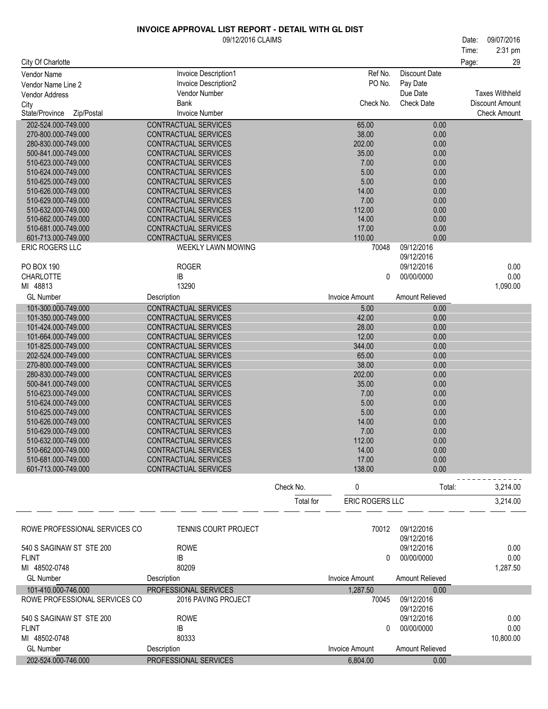|                                            | 09/12/2016 CLAIMS                                   |           |                        |                          | 09/07/2016<br>Date:<br>2:31 pm<br>Time: |
|--------------------------------------------|-----------------------------------------------------|-----------|------------------------|--------------------------|-----------------------------------------|
| City Of Charlotte                          | Invoice Description1                                |           | Ref No.                | <b>Discount Date</b>     | 29<br>Page:                             |
| Vendor Name<br>Vendor Name Line 2          | Invoice Description2                                |           | PO No.                 | Pay Date                 |                                         |
| <b>Vendor Address</b>                      | Vendor Number                                       |           |                        | Due Date                 | <b>Taxes Withheld</b>                   |
| City                                       | Bank                                                |           | Check No.              | <b>Check Date</b>        | Discount Amount                         |
| State/Province<br>Zip/Postal               | <b>Invoice Number</b>                               |           |                        |                          | <b>Check Amount</b>                     |
| 202-524.000-749.000                        | CONTRACTUAL SERVICES                                |           | 65.00                  | 0.00                     |                                         |
| 270-800.000-749.000                        | CONTRACTUAL SERVICES                                |           | 38.00                  | 0.00                     |                                         |
| 280-830.000-749.000<br>500-841.000-749.000 | CONTRACTUAL SERVICES<br><b>CONTRACTUAL SERVICES</b> |           | 202.00<br>35.00        | 0.00<br>0.00             |                                         |
| 510-623.000-749.000                        | CONTRACTUAL SERVICES                                |           | 7.00                   | 0.00                     |                                         |
| 510-624.000-749.000                        | CONTRACTUAL SERVICES                                |           | 5.00                   | 0.00                     |                                         |
| 510-625.000-749.000                        | CONTRACTUAL SERVICES                                |           | 5.00                   | 0.00                     |                                         |
| 510-626.000-749.000                        | CONTRACTUAL SERVICES                                |           | 14.00                  | 0.00                     |                                         |
| 510-629.000-749.000<br>510-632.000-749.000 | CONTRACTUAL SERVICES<br>CONTRACTUAL SERVICES        |           | 7.00<br>112.00         | 0.00<br>0.00             |                                         |
| 510-662.000-749.000                        | CONTRACTUAL SERVICES                                |           | 14.00                  | 0.00                     |                                         |
| 510-681.000-749.000                        | <b>CONTRACTUAL SERVICES</b>                         |           | 17.00                  | 0.00                     |                                         |
| 601-713.000-749.000                        | CONTRACTUAL SERVICES                                |           | 110.00                 | 0.00                     |                                         |
| ERIC ROGERS LLC                            | <b>WEEKLY LAWN MOWING</b>                           |           | 70048                  | 09/12/2016<br>09/12/2016 |                                         |
| PO BOX 190                                 | <b>ROGER</b>                                        |           |                        | 09/12/2016               | 0.00                                    |
| <b>CHARLOTTE</b>                           | IB                                                  |           | 0                      | 00/00/0000               | 0.00                                    |
| MI 48813                                   | 13290                                               |           |                        |                          | 1,090.00                                |
| <b>GL Number</b>                           | Description                                         |           | <b>Invoice Amount</b>  | Amount Relieved          |                                         |
| 101-300.000-749.000                        | CONTRACTUAL SERVICES                                |           | 5.00                   | 0.00                     |                                         |
| 101-350.000-749.000                        | CONTRACTUAL SERVICES                                |           | 42.00                  | 0.00                     |                                         |
| 101-424.000-749.000<br>101-664.000-749.000 | CONTRACTUAL SERVICES<br>CONTRACTUAL SERVICES        |           | 28.00<br>12.00         | 0.00<br>0.00             |                                         |
| 101-825.000-749.000                        | CONTRACTUAL SERVICES                                |           | 344.00                 | 0.00                     |                                         |
| 202-524.000-749.000                        | CONTRACTUAL SERVICES                                |           | 65.00                  | 0.00                     |                                         |
| 270-800.000-749.000                        | CONTRACTUAL SERVICES                                |           | 38.00                  | 0.00                     |                                         |
| 280-830.000-749.000<br>500-841.000-749.000 | CONTRACTUAL SERVICES<br>CONTRACTUAL SERVICES        |           | 202.00<br>35.00        | 0.00<br>0.00             |                                         |
| 510-623.000-749.000                        | CONTRACTUAL SERVICES                                |           | 7.00                   | 0.00                     |                                         |
| 510-624.000-749.000                        | CONTRACTUAL SERVICES                                |           | 5.00                   | 0.00                     |                                         |
| 510-625.000-749.000                        | CONTRACTUAL SERVICES                                |           | 5.00                   | 0.00                     |                                         |
| 510-626.000-749.000                        | CONTRACTUAL SERVICES                                |           | 14.00                  | 0.00                     |                                         |
| 510-629.000-749.000<br>510-632.000-749.000 | CONTRACTUAL SERVICES<br>CONTRACTUAL SERVICES        |           | 7.00<br>112.00         | 0.00<br>0.00             |                                         |
| 510-662.000-749.000                        | CONTRACTUAL SERVICES                                |           | 14.00                  | 0.00                     |                                         |
| 510-681.000-749.000                        | CONTRACTUAL SERVICES                                |           | 17.00                  | 0.00                     |                                         |
| 601-713.000-749.000                        | CONTRACTUAL SERVICES                                |           | 138.00                 | 0.00                     |                                         |
|                                            |                                                     | Check No. | 0                      | Total:                   | 3,214.00                                |
|                                            |                                                     | Total for | <b>ERIC ROGERS LLC</b> |                          | 3,214.00                                |
|                                            |                                                     |           |                        |                          |                                         |
| ROWE PROFESSIONAL SERVICES CO              | TENNIS COURT PROJECT                                |           | 70012                  | 09/12/2016               |                                         |
| 540 S SAGINAW ST STE 200                   | <b>ROWE</b>                                         |           |                        | 09/12/2016<br>09/12/2016 | 0.00                                    |
| <b>FLINT</b>                               | IB                                                  |           | 0                      | 00/00/0000               | 0.00                                    |
| MI 48502-0748                              | 80209                                               |           |                        |                          | 1,287.50                                |
| <b>GL Number</b>                           | Description                                         |           | <b>Invoice Amount</b>  | Amount Relieved          |                                         |
| 101-410.000-746.000                        | PROFESSIONAL SERVICES                               |           | 1,287.50               | 0.00                     |                                         |
| ROWE PROFESSIONAL SERVICES CO              | 2016 PAVING PROJECT                                 |           | 70045                  | 09/12/2016<br>09/12/2016 |                                         |
| 540 S SAGINAW ST STE 200                   | <b>ROWE</b>                                         |           |                        | 09/12/2016               | 0.00                                    |
| <b>FLINT</b>                               | IB                                                  |           | $\Omega$               | 00/00/0000               | 0.00                                    |
| MI 48502-0748                              | 80333                                               |           |                        |                          | 10,800.00                               |
| <b>GL Number</b>                           | Description                                         |           | <b>Invoice Amount</b>  | Amount Relieved          |                                         |
| 202-524.000-746.000                        | PROFESSIONAL SERVICES                               |           | 6,804.00               | 0.00                     |                                         |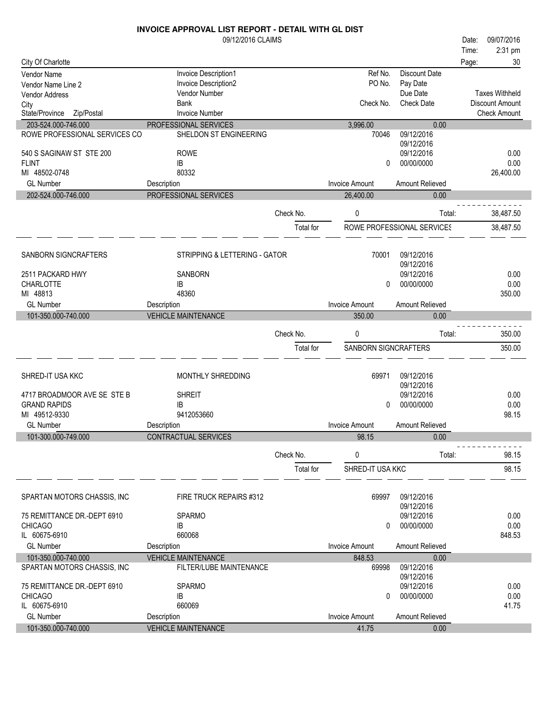|                               | <b>INVOICE APPROVAL LIST REPORT - DETAIL WITH GL DIST</b> |           |                       |                            |                       |    |
|-------------------------------|-----------------------------------------------------------|-----------|-----------------------|----------------------------|-----------------------|----|
|                               | 09/12/2016 CLAIMS                                         |           |                       |                            | 09/07/2016<br>Date:   |    |
|                               |                                                           |           |                       |                            | 2:31 pm<br>Time:      |    |
| City Of Charlotte             |                                                           |           |                       |                            | Page:                 | 30 |
| Vendor Name                   | Invoice Description1                                      |           | Ref No.               | <b>Discount Date</b>       |                       |    |
| Vendor Name Line 2            | Invoice Description2                                      |           | PO No.                | Pay Date                   |                       |    |
| Vendor Address                | Vendor Number                                             |           |                       | Due Date                   | <b>Taxes Withheld</b> |    |
| City                          | <b>Bank</b>                                               |           | Check No.             | <b>Check Date</b>          | Discount Amount       |    |
| State/Province<br>Zip/Postal  | <b>Invoice Number</b>                                     |           |                       |                            | <b>Check Amount</b>   |    |
| 203-524.000-746.000           | PROFESSIONAL SERVICES                                     |           | 3,996.00              | 0.00                       |                       |    |
| ROWE PROFESSIONAL SERVICES CO | SHELDON ST ENGINEERING                                    |           | 70046                 | 09/12/2016                 |                       |    |
|                               |                                                           |           |                       | 09/12/2016                 |                       |    |
| 540 S SAGINAW ST STE 200      | <b>ROWE</b>                                               |           |                       | 09/12/2016                 | 0.00                  |    |
| <b>FLINT</b>                  | IB                                                        |           | 0                     | 00/00/0000                 | 0.00                  |    |
| MI 48502-0748                 | 80332                                                     |           |                       |                            | 26,400.00             |    |
| <b>GL Number</b>              | Description                                               |           | <b>Invoice Amount</b> | Amount Relieved            |                       |    |
| 202-524.000-746.000           | PROFESSIONAL SERVICES                                     |           | 26,400.00             | 0.00                       |                       |    |
|                               |                                                           | Check No. | $\mathbf{0}$          | Total:                     | 38,487.50             |    |
|                               |                                                           | Total for |                       | ROWE PROFESSIONAL SERVICES | 38,487.50             |    |
|                               |                                                           |           |                       |                            |                       |    |
|                               |                                                           |           |                       |                            |                       |    |
| SANBORN SIGNCRAFTERS          | STRIPPING & LETTERING - GATOR                             |           | 70001                 | 09/12/2016<br>09/12/2016   |                       |    |
| 2511 PACKARD HWY              | <b>SANBORN</b>                                            |           |                       | 09/12/2016                 | 0.00                  |    |
| <b>CHARLOTTE</b>              | IB                                                        |           | 0                     | 00/00/0000                 | 0.00                  |    |
| MI 48813                      | 48360                                                     |           |                       |                            | 350.00                |    |
| <b>GL Number</b>              | Description                                               |           | <b>Invoice Amount</b> | Amount Relieved            |                       |    |
| 101-350.000-740.000           | <b>VEHICLE MAINTENANCE</b>                                |           | 350.00                | 0.00                       |                       |    |
|                               |                                                           |           |                       |                            |                       |    |
|                               |                                                           | Check No. | 0                     | Total:                     | 350.00                |    |
|                               |                                                           | Total for | SANBORN SIGNCRAFTERS  |                            | 350.00                |    |
| SHRED-IT USA KKC              |                                                           |           | 69971                 | 09/12/2016                 |                       |    |
|                               | MONTHLY SHREDDING                                         |           |                       | 09/12/2016                 |                       |    |
| 4717 BROADMOOR AVE SE STE B   | <b>SHREIT</b>                                             |           |                       | 09/12/2016                 | 0.00                  |    |
| <b>GRAND RAPIDS</b>           | IB                                                        |           | 0                     | 00/00/0000                 | 0.00                  |    |
| MI 49512-9330                 | 9412053660                                                |           |                       |                            | 98.15                 |    |
| <b>GL Number</b>              | Description                                               |           | <b>Invoice Amount</b> | Amount Relieved            |                       |    |
| 101-300.000-749.000           | CONTRACTUAL SERVICES                                      |           | 98.15                 | 0.00                       |                       |    |
|                               |                                                           |           |                       |                            |                       |    |
|                               |                                                           | Check No. | 0                     | Total:                     | 98.15                 |    |
|                               |                                                           | Total for | SHRED-IT USA KKC      |                            | 98.15                 |    |
| SPARTAN MOTORS CHASSIS, INC   | FIRE TRUCK REPAIRS #312                                   |           | 69997                 | 09/12/2016                 |                       |    |
|                               |                                                           |           |                       | 09/12/2016                 |                       |    |
| 75 REMITTANCE DR.-DEPT 6910   | <b>SPARMO</b>                                             |           |                       | 09/12/2016                 | 0.00                  |    |
| <b>CHICAGO</b>                | IB                                                        |           | 0                     | 00/00/0000                 | 0.00                  |    |
| IL 60675-6910                 | 660068                                                    |           |                       |                            | 848.53                |    |
| <b>GL Number</b>              | Description                                               |           | <b>Invoice Amount</b> | Amount Relieved            |                       |    |
| 101-350.000-740.000           | <b>VEHICLE MAINTENANCE</b>                                |           | 848.53                | 0.00                       |                       |    |
| SPARTAN MOTORS CHASSIS, INC   | FILTER/LUBE MAINTENANCE                                   |           | 69998                 | 09/12/2016                 |                       |    |
|                               |                                                           |           |                       | 09/12/2016                 |                       |    |
| 75 REMITTANCE DR.-DEPT 6910   | <b>SPARMO</b>                                             |           |                       | 09/12/2016                 | 0.00                  |    |
| <b>CHICAGO</b>                | IB                                                        |           | 0                     | 00/00/0000                 | 0.00                  |    |
| IL 60675-6910                 | 660069                                                    |           |                       |                            | 41.75                 |    |
| <b>GL Number</b>              | Description                                               |           | <b>Invoice Amount</b> | Amount Relieved            |                       |    |
| 101-350.000-740.000           | <b>VEHICLE MAINTENANCE</b>                                |           | 41.75                 | 0.00                       |                       |    |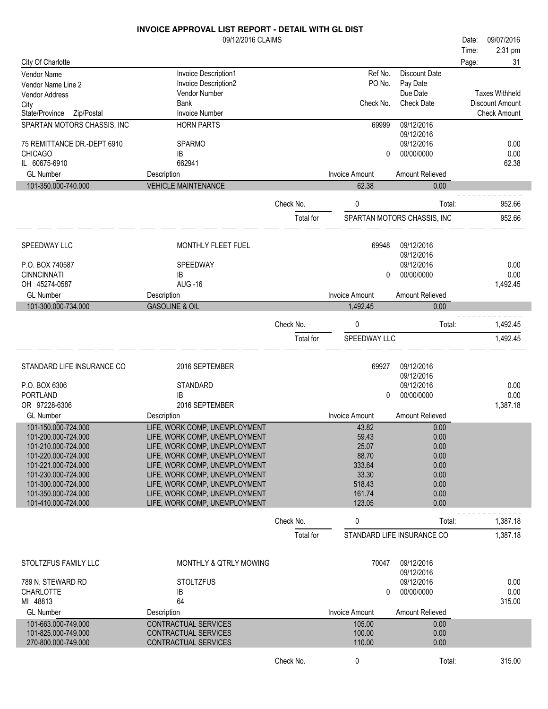|                                             | 09/12/2016 CLAIMS                                              |           |                       |                             | Date: | 09/07/2016            |
|---------------------------------------------|----------------------------------------------------------------|-----------|-----------------------|-----------------------------|-------|-----------------------|
|                                             |                                                                |           |                       |                             | Time: | 2:31 pm               |
| City Of Charlotte                           |                                                                |           |                       |                             | Page: | 31                    |
| Vendor Name                                 | Invoice Description1                                           |           | Ref No.<br>PO No.     | <b>Discount Date</b>        |       |                       |
| Vendor Name Line 2<br><b>Vendor Address</b> | Invoice Description2<br>Vendor Number                          |           |                       | Pay Date<br>Due Date        |       | <b>Taxes Withheld</b> |
| City                                        | <b>Bank</b>                                                    |           | Check No.             | <b>Check Date</b>           |       | Discount Amount       |
| Zip/Postal<br>State/Province                | <b>Invoice Number</b>                                          |           |                       |                             |       | <b>Check Amount</b>   |
| SPARTAN MOTORS CHASSIS, INC                 | <b>HORN PARTS</b>                                              |           | 69999                 | 09/12/2016                  |       |                       |
|                                             |                                                                |           |                       | 09/12/2016                  |       |                       |
| 75 REMITTANCE DR.-DEPT 6910                 | <b>SPARMO</b>                                                  |           |                       | 09/12/2016                  |       | 0.00                  |
| <b>CHICAGO</b><br>IL 60675-6910             | IB<br>662941                                                   |           | 0                     | 00/00/0000                  |       | 0.00<br>62.38         |
| <b>GL Number</b>                            | Description                                                    |           | <b>Invoice Amount</b> | Amount Relieved             |       |                       |
| 101-350.000-740.000                         | <b>VEHICLE MAINTENANCE</b>                                     |           | 62.38                 | 0.00                        |       |                       |
|                                             |                                                                |           |                       |                             |       |                       |
|                                             |                                                                | Check No. | 0                     | Total:                      |       | 952.66                |
|                                             |                                                                | Total for |                       | SPARTAN MOTORS CHASSIS, INC |       | 952.66                |
|                                             |                                                                |           |                       |                             |       |                       |
|                                             |                                                                |           | 69948                 |                             |       |                       |
| SPEEDWAY LLC                                | MONTHLY FLEET FUEL                                             |           |                       | 09/12/2016<br>09/12/2016    |       |                       |
| P.O. BOX 740587                             | SPEEDWAY                                                       |           |                       | 09/12/2016                  |       | 0.00                  |
| <b>CINNCINNATI</b>                          | IB                                                             |           | 0                     | 00/00/0000                  |       | 0.00                  |
| OH 45274-0587                               | <b>AUG -16</b>                                                 |           |                       |                             |       | 1,492.45              |
| <b>GL Number</b>                            | Description                                                    |           | <b>Invoice Amount</b> | Amount Relieved             |       |                       |
| 101-300.000-734.000                         | <b>GASOLINE &amp; OIL</b>                                      |           | 1,492.45              | 0.00                        |       |                       |
|                                             |                                                                | Check No. | 0                     | Total:                      |       | 1,492.45              |
|                                             |                                                                | Total for | SPEEDWAY LLC          |                             |       | 1,492.45              |
|                                             |                                                                |           |                       |                             |       |                       |
|                                             |                                                                |           |                       |                             |       |                       |
| STANDARD LIFE INSURANCE CO                  | 2016 SEPTEMBER                                                 |           | 69927                 | 09/12/2016                  |       |                       |
| P.O. BOX 6306                               | <b>STANDARD</b>                                                |           |                       | 09/12/2016<br>09/12/2016    |       | 0.00                  |
| PORTLAND                                    | IB                                                             |           | 0                     | 00/00/0000                  |       | 0.00                  |
| OR 97228-6306                               | 2016 SEPTEMBER                                                 |           |                       |                             |       | 1,387.18              |
| <b>GL Number</b>                            | Description                                                    |           | <b>Invoice Amount</b> | Amount Relieved             |       |                       |
| 101-150.000-724.000                         | LIFE, WORK COMP, UNEMPLOYMENT                                  |           | 43.82                 | 0.00                        |       |                       |
| 101-200.000-724.000                         | LIFE, WORK COMP, UNEMPLOYMENT                                  |           | 59.43                 | 0.00                        |       |                       |
| 101-210.000-724.000                         | LIFE, WORK COMP, UNEMPLOYMENT                                  |           | 25.07                 | 0.00                        |       |                       |
| 101-220.000-724.000<br>101-221.000-724.000  | LIFE, WORK COMP, UNEMPLOYMENT<br>LIFE, WORK COMP, UNEMPLOYMENT |           | 88.70<br>333.64       | 0.00<br>0.00                |       |                       |
| 101-230.000-724.000                         | LIFE, WORK COMP, UNEMPLOYMENT                                  |           | 33.30                 | 0.00                        |       |                       |
| 101-300.000-724.000                         | LIFE, WORK COMP, UNEMPLOYMENT                                  |           | 518.43                | 0.00                        |       |                       |
| 101-350.000-724.000                         | LIFE, WORK COMP, UNEMPLOYMENT                                  |           | 161.74                | 0.00                        |       |                       |
| 101-410.000-724.000                         | LIFE, WORK COMP, UNEMPLOYMENT                                  |           | 123.05                | 0.00                        |       |                       |
|                                             |                                                                | Check No. | 0                     | Total:                      |       | 1,387.18              |
|                                             |                                                                | Total for |                       | STANDARD LIFE INSURANCE CO  |       | 1,387.18              |
|                                             |                                                                |           |                       |                             |       |                       |
|                                             |                                                                |           |                       |                             |       |                       |
| STOLTZFUS FAMILY LLC                        | <b>MONTHLY &amp; QTRLY MOWING</b>                              |           | 70047                 | 09/12/2016                  |       |                       |
| 789 N. STEWARD RD                           | <b>STOLTZFUS</b>                                               |           |                       | 09/12/2016<br>09/12/2016    |       | 0.00                  |
| CHARLOTTE                                   | IB                                                             |           | 0                     | 00/00/0000                  |       | 0.00                  |
| MI 48813                                    | 64                                                             |           |                       |                             |       | 315.00                |
| <b>GL Number</b>                            | Description                                                    |           | <b>Invoice Amount</b> | Amount Relieved             |       |                       |
| 101-663.000-749.000                         | CONTRACTUAL SERVICES                                           |           | 105.00                | 0.00                        |       |                       |
| 101-825.000-749.000                         | CONTRACTUAL SERVICES                                           |           | 100.00                | 0.00                        |       |                       |
| 270-800.000-749.000                         | CONTRACTUAL SERVICES                                           |           | 110.00                | 0.00                        |       |                       |
|                                             |                                                                | Check No. | 0                     | Total:                      |       | 315.00                |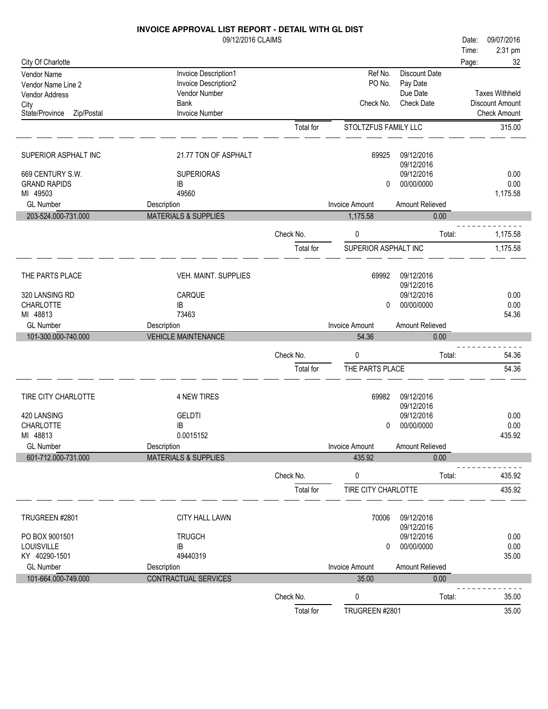|                              | INVOICE APPROVAL LIST REPORT - DETAIL WITH GL DIST |                        |                                 |                         |       |                       |
|------------------------------|----------------------------------------------------|------------------------|---------------------------------|-------------------------|-------|-----------------------|
|                              | 09/12/2016 CLAIMS                                  |                        |                                 |                         | Date: | 09/07/2016            |
|                              |                                                    |                        |                                 |                         | Time: | 2:31 pm               |
| City Of Charlotte            |                                                    |                        |                                 |                         | Page: | 32                    |
| Vendor Name                  | Invoice Description1                               |                        | Ref No.                         | <b>Discount Date</b>    |       |                       |
| Vendor Name Line 2           | Invoice Description2<br>Vendor Number              |                        | PO No.                          | Pay Date<br>Due Date    |       | <b>Taxes Withheld</b> |
| Vendor Address<br>City       | <b>Bank</b>                                        |                        | Check No.                       | <b>Check Date</b>       |       | Discount Amount       |
| State/Province<br>Zip/Postal | <b>Invoice Number</b>                              |                        |                                 |                         |       | <b>Check Amount</b>   |
|                              |                                                    | Total for              | STOLTZFUS FAMILY LLC            |                         |       | 315.00                |
|                              |                                                    |                        |                                 |                         |       |                       |
| SUPERIOR ASPHALT INC         | 21.77 TON OF ASPHALT                               |                        | 69925                           | 09/12/2016              |       |                       |
|                              |                                                    |                        |                                 | 09/12/2016              |       |                       |
| 669 CENTURY S.W.             | <b>SUPERIORAS</b>                                  |                        |                                 | 09/12/2016              |       | 0.00                  |
| <b>GRAND RAPIDS</b>          | IB                                                 |                        | 0                               | 00/00/0000              |       | 0.00                  |
| MI 49503                     | 49560                                              |                        |                                 |                         |       | 1,175.58              |
| <b>GL Number</b>             | Description<br><b>MATERIALS &amp; SUPPLIES</b>     |                        | <b>Invoice Amount</b>           | Amount Relieved         |       |                       |
| 203-524.000-731.000          |                                                    |                        | 1,175.58                        | 0.00                    |       |                       |
|                              |                                                    | Check No.              | 0                               | Total:                  |       | 1,175.58              |
|                              |                                                    | Total for              | SUPERIOR ASPHALT INC            |                         |       | 1,175.58              |
|                              |                                                    |                        |                                 | 09/12/2016              |       |                       |
| THE PARTS PLACE              | VEH. MAINT. SUPPLIES                               |                        | 69992                           | 09/12/2016              |       |                       |
| 320 LANSING RD               | CARQUE                                             |                        |                                 | 09/12/2016              |       | 0.00                  |
| <b>CHARLOTTE</b>             | IB                                                 |                        | 0                               | 00/00/0000              |       | 0.00                  |
| MI 48813                     | 73463                                              |                        |                                 |                         |       | 54.36                 |
|                              |                                                    |                        |                                 |                         |       |                       |
| <b>GL Number</b>             | Description                                        |                        | <b>Invoice Amount</b>           | Amount Relieved         |       |                       |
| 101-300.000-740.000          | <b>VEHICLE MAINTENANCE</b>                         |                        | 54.36                           | 0.00                    |       |                       |
|                              |                                                    | Check No.              | 0                               | Total:                  |       | 54.36                 |
|                              |                                                    | Total for              | THE PARTS PLACE                 |                         |       | 54.36                 |
|                              |                                                    |                        |                                 |                         |       |                       |
| TIRE CITY CHARLOTTE          | <b>4 NEW TIRES</b>                                 |                        | 69982                           | 09/12/2016              |       |                       |
|                              |                                                    |                        |                                 | 09/12/2016              |       |                       |
| 420 LANSING                  | <b>GELDTI</b>                                      |                        |                                 | 09/12/2016              |       | 0.00                  |
| CHARLOTTE                    | IB                                                 |                        | $\mathbf{0}$                    | 00/00/0000              |       | $0.00\,$              |
| MI 48813<br><b>GL Number</b> | 0.0015152                                          |                        |                                 |                         |       | 435.92                |
| 601-712.000-731.000          | Description<br><b>MATERIALS &amp; SUPPLIES</b>     |                        | <b>Invoice Amount</b><br>435.92 | Amount Relieved<br>0.00 |       |                       |
|                              |                                                    |                        |                                 |                         |       |                       |
|                              |                                                    | Check No.              | 0                               | Total:                  |       | 435.92                |
|                              |                                                    | Total for              | TIRE CITY CHARLOTTE             |                         |       | 435.92                |
| TRUGREEN #2801               | CITY HALL LAWN                                     |                        | 70006                           | 09/12/2016              |       |                       |
|                              |                                                    |                        |                                 | 09/12/2016              |       |                       |
| PO BOX 9001501               | <b>TRUGCH</b>                                      |                        |                                 | 09/12/2016              |       | 0.00                  |
| LOUISVILLE                   | IB                                                 |                        | 0                               | 00/00/0000              |       | 0.00                  |
| KY 40290-1501                | 49440319                                           |                        |                                 |                         |       | 35.00                 |
| <b>GL Number</b>             | Description                                        |                        | <b>Invoice Amount</b>           | Amount Relieved         |       |                       |
| 101-664.000-749.000          | CONTRACTUAL SERVICES                               |                        | 35.00                           | 0.00                    |       |                       |
|                              |                                                    | Check No.<br>Total for | 0<br>TRUGREEN #2801             | Total:                  |       | 35.00<br>35.00        |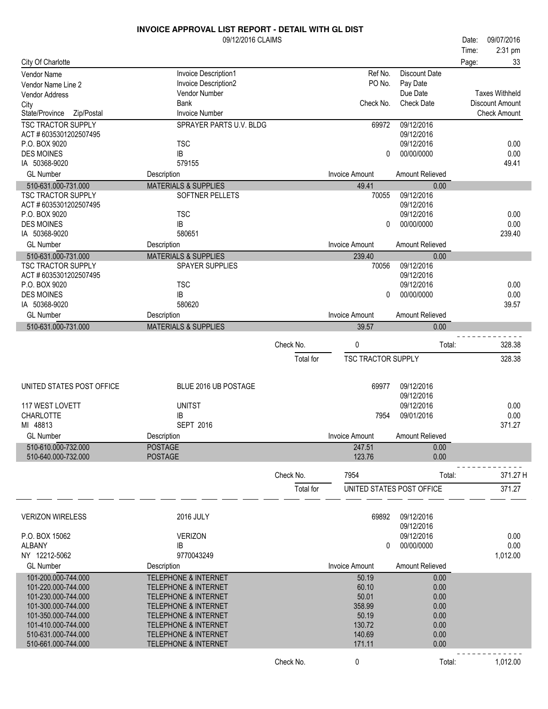|                                            | <b>INVOICE APPROVAL LIST REPORT - DETAIL WITH GL DIST</b> |           |                           |                           |       |                        |
|--------------------------------------------|-----------------------------------------------------------|-----------|---------------------------|---------------------------|-------|------------------------|
|                                            | 09/12/2016 CLAIMS                                         |           |                           |                           | Date: | 09/07/2016             |
|                                            |                                                           |           |                           |                           | Time: | 2:31 pm                |
| City Of Charlotte                          |                                                           |           |                           |                           | Page: | 33                     |
| <b>Vendor Name</b>                         | Invoice Description1                                      |           | Ref No.                   | <b>Discount Date</b>      |       |                        |
| Vendor Name Line 2                         | Invoice Description2                                      |           | PO No.                    | Pay Date                  |       |                        |
| <b>Vendor Address</b>                      | Vendor Number                                             |           |                           | Due Date                  |       | <b>Taxes Withheld</b>  |
| City                                       | <b>Bank</b>                                               |           | Check No.                 | <b>Check Date</b>         |       | <b>Discount Amount</b> |
| State/Province<br>Zip/Postal               | <b>Invoice Number</b>                                     |           |                           |                           |       | <b>Check Amount</b>    |
| <b>TSC TRACTOR SUPPLY</b>                  | SPRAYER PARTS U.V. BLDG                                   |           | 69972                     | 09/12/2016                |       |                        |
| ACT #6035301202507495                      |                                                           |           |                           | 09/12/2016                |       |                        |
| P.O. BOX 9020                              | <b>TSC</b>                                                |           |                           | 09/12/2016                |       | 0.00                   |
| <b>DES MOINES</b>                          | IB                                                        |           | 0                         | 00/00/0000                |       | 0.00                   |
| IA 50368-9020                              | 579155                                                    |           |                           |                           |       | 49.41                  |
| <b>GL Number</b>                           | Description                                               |           | <b>Invoice Amount</b>     | Amount Relieved           |       |                        |
| 510-631.000-731.000                        | <b>MATERIALS &amp; SUPPLIES</b>                           |           | 49.41                     | 0.00                      |       |                        |
| <b>TSC TRACTOR SUPPLY</b>                  | SOFTNER PELLETS                                           |           | 70055                     | 09/12/2016                |       |                        |
| ACT #6035301202507495                      |                                                           |           |                           | 09/12/2016                |       |                        |
| P.O. BOX 9020                              | <b>TSC</b>                                                |           |                           | 09/12/2016                |       | 0.00                   |
| <b>DES MOINES</b>                          | IB                                                        |           | 0                         | 00/00/0000                |       | 0.00                   |
| IA 50368-9020                              | 580651                                                    |           |                           |                           |       | 239.40                 |
| <b>GL Number</b>                           | Description                                               |           | <b>Invoice Amount</b>     | Amount Relieved           |       |                        |
| 510-631.000-731.000                        | <b>MATERIALS &amp; SUPPLIES</b>                           |           | 239.40                    | 0.00                      |       |                        |
| <b>TSC TRACTOR SUPPLY</b>                  | <b>SPAYER SUPPLIES</b>                                    |           | 70056                     | 09/12/2016                |       |                        |
| ACT #6035301202507495                      |                                                           |           |                           | 09/12/2016                |       |                        |
| P.O. BOX 9020                              | <b>TSC</b>                                                |           |                           | 09/12/2016                |       | 0.00                   |
| <b>DES MOINES</b>                          | IB                                                        |           | $\Omega$                  | 00/00/0000                |       | 0.00                   |
| IA 50368-9020                              | 580620                                                    |           |                           |                           |       | 39.57                  |
| <b>GL Number</b>                           | Description                                               |           | <b>Invoice Amount</b>     | Amount Relieved           |       |                        |
| 510-631.000-731.000                        | <b>MATERIALS &amp; SUPPLIES</b>                           |           | 39.57                     | 0.00                      |       |                        |
|                                            |                                                           | Check No. | 0                         | Total:                    |       | 328.38                 |
|                                            |                                                           |           |                           |                           |       |                        |
|                                            |                                                           | Total for | <b>TSC TRACTOR SUPPLY</b> |                           |       | 328.38                 |
|                                            |                                                           |           |                           |                           |       |                        |
| UNITED STATES POST OFFICE                  | BLUE 2016 UB POSTAGE                                      |           | 69977                     | 09/12/2016                |       |                        |
|                                            |                                                           |           |                           | 09/12/2016                |       |                        |
| 117 WEST LOVETT                            | <b>UNITST</b>                                             |           |                           | 09/12/2016                |       | 0.00                   |
| <b>CHARLOTTE</b>                           | IB                                                        |           | 7954                      | 09/01/2016                |       | 0.00                   |
| MI 48813                                   | <b>SEPT 2016</b>                                          |           |                           |                           |       | 371.27                 |
| <b>GL Number</b>                           | Description                                               |           | Invoice Amount            | Amount Relieved           |       |                        |
| 510-610.000-732.000                        | <b>POSTAGE</b>                                            |           | 247.51                    | 0.00                      |       |                        |
| 510-640.000-732.000                        | <b>POSTAGE</b>                                            |           | 123.76                    | 0.00                      |       |                        |
|                                            |                                                           |           |                           |                           |       |                        |
|                                            |                                                           | Check No. | 7954                      | Total:                    |       | 371.27 H               |
|                                            |                                                           | Total for |                           | UNITED STATES POST OFFICE |       | 371.27                 |
|                                            |                                                           |           |                           |                           |       |                        |
|                                            |                                                           |           |                           |                           |       |                        |
| <b>VERIZON WIRELESS</b>                    | 2016 JULY                                                 |           | 69892                     | 09/12/2016                |       |                        |
|                                            |                                                           |           |                           |                           |       |                        |
| P.O. BOX 15062                             |                                                           |           |                           | 09/12/2016                |       |                        |
| ALBANY                                     | <b>VERIZON</b>                                            |           |                           | 09/12/2016                |       | 0.00                   |
|                                            | IB                                                        |           | 0                         | 00/00/0000                |       | 0.00                   |
| NY 12212-5062                              | 9770043249                                                |           |                           |                           |       | 1,012.00               |
| <b>GL Number</b>                           | Description                                               |           | <b>Invoice Amount</b>     | <b>Amount Relieved</b>    |       |                        |
| 101-200.000-744.000                        | <b>TELEPHONE &amp; INTERNET</b>                           |           | 50.19                     | 0.00                      |       |                        |
| 101-220.000-744.000                        | <b>TELEPHONE &amp; INTERNET</b>                           |           | 60.10                     | 0.00                      |       |                        |
| 101-230.000-744.000                        | <b>TELEPHONE &amp; INTERNET</b>                           |           | 50.01                     | 0.00                      |       |                        |
| 101-300.000-744.000                        | <b>TELEPHONE &amp; INTERNET</b>                           |           | 358.99                    | 0.00                      |       |                        |
| 101-350.000-744.000                        | TELEPHONE & INTERNET                                      |           | 50.19                     | 0.00                      |       |                        |
| 101-410.000-744.000                        | <b>TELEPHONE &amp; INTERNET</b>                           |           | 130.72                    | 0.00                      |       |                        |
| 510-631.000-744.000<br>510-661.000-744.000 | <b>TELEPHONE &amp; INTERNET</b><br>TELEPHONE & INTERNET   |           | 140.69<br>171.11          | 0.00<br>0.00              |       |                        |
|                                            |                                                           | Check No. | 0                         | Total:                    |       | 1,012.00               |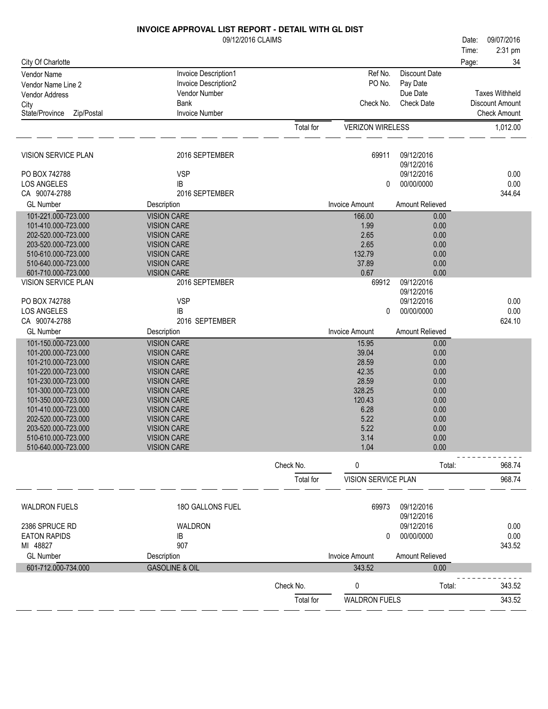|                                            | <b>INVOICE APPROVAL LIST REPORT - DETAIL WITH GL DIST</b> |           |                         |                          |       |                       |
|--------------------------------------------|-----------------------------------------------------------|-----------|-------------------------|--------------------------|-------|-----------------------|
|                                            | 09/12/2016 CLAIMS                                         |           |                         |                          | Date: | 09/07/2016            |
|                                            |                                                           |           |                         |                          | Time: | 2:31 pm               |
| City Of Charlotte                          |                                                           |           |                         |                          | Page: | 34                    |
| <b>Vendor Name</b>                         | Invoice Description1                                      |           | Ref No.                 | <b>Discount Date</b>     |       |                       |
| Vendor Name Line 2                         | Invoice Description2                                      |           | PO No.                  | Pay Date                 |       |                       |
| <b>Vendor Address</b>                      | Vendor Number                                             |           |                         | Due Date                 |       | <b>Taxes Withheld</b> |
| City                                       | Bank                                                      |           | Check No.               | <b>Check Date</b>        |       | Discount Amount       |
| State/Province<br>Zip/Postal               | Invoice Number                                            |           |                         |                          |       | <b>Check Amount</b>   |
|                                            |                                                           | Total for | <b>VERIZON WIRELESS</b> |                          |       | 1,012.00              |
| VISION SERVICE PLAN                        | 2016 SEPTEMBER                                            |           | 69911                   | 09/12/2016<br>09/12/2016 |       |                       |
| PO BOX 742788                              | <b>VSP</b>                                                |           |                         | 09/12/2016               |       | 0.00                  |
| <b>LOS ANGELES</b>                         | IB                                                        |           | 0                       | 00/00/0000               |       | 0.00                  |
| CA 90074-2788                              | 2016 SEPTEMBER                                            |           |                         |                          |       | 344.64                |
| <b>GL Number</b>                           | Description                                               |           | <b>Invoice Amount</b>   | Amount Relieved          |       |                       |
| 101-221.000-723.000                        | <b>VISION CARE</b>                                        |           | 166.00                  | 0.00                     |       |                       |
| 101-410.000-723.000                        | <b>VISION CARE</b>                                        |           | 1.99                    | 0.00                     |       |                       |
| 202-520.000-723.000                        | <b>VISION CARE</b>                                        |           | 2.65                    | 0.00                     |       |                       |
| 203-520.000-723.000                        | <b>VISION CARE</b>                                        |           | 2.65                    | 0.00                     |       |                       |
| 510-610.000-723.000                        | <b>VISION CARE</b>                                        |           | 132.79                  | 0.00                     |       |                       |
| 510-640.000-723.000                        | <b>VISION CARE</b>                                        |           | 37.89                   | 0.00                     |       |                       |
| 601-710.000-723.000<br>VISION SERVICE PLAN | <b>VISION CARE</b><br>2016 SEPTEMBER                      |           | 0.67<br>69912           | 0.00<br>09/12/2016       |       |                       |
|                                            |                                                           |           |                         | 09/12/2016               |       |                       |
| PO BOX 742788                              | <b>VSP</b>                                                |           |                         | 09/12/2016               |       | 0.00                  |
| <b>LOS ANGELES</b>                         | IB                                                        |           | 0                       | 00/00/0000               |       | 0.00                  |
| CA 90074-2788                              | 2016 SEPTEMBER                                            |           |                         |                          |       | 624.10                |
| <b>GL Number</b>                           | Description                                               |           | <b>Invoice Amount</b>   | <b>Amount Relieved</b>   |       |                       |
| 101-150.000-723.000                        | <b>VISION CARE</b>                                        |           | 15.95                   | 0.00                     |       |                       |
| 101-200.000-723.000                        | <b>VISION CARE</b>                                        |           | 39.04                   | 0.00                     |       |                       |
| 101-210.000-723.000                        | <b>VISION CARE</b>                                        |           | 28.59                   | 0.00                     |       |                       |
| 101-220.000-723.000                        | <b>VISION CARE</b>                                        |           | 42.35                   | 0.00                     |       |                       |
| 101-230.000-723.000                        | <b>VISION CARE</b>                                        |           | 28.59                   | 0.00                     |       |                       |
| 101-300.000-723.000                        | <b>VISION CARE</b>                                        |           | 328.25                  | 0.00                     |       |                       |
| 101-350.000-723.000                        | <b>VISION CARE</b>                                        |           | 120.43                  | 0.00                     |       |                       |
| 101-410.000-723.000                        | <b>VISION CARE</b>                                        |           | 6.28                    | 0.00                     |       |                       |
| 202-520.000-723.000                        | <b>VISION CARE</b>                                        |           | 5.22                    | 0.00                     |       |                       |
| 203-520.000-723.000                        | <b>VISION CARE</b>                                        |           | 5.22                    | 0.00                     |       |                       |
| 510-610.000-723.000                        | <b>VISION CARE</b>                                        |           | 3.14                    | 0.00                     |       |                       |
| 510-640.000-723.000                        | <b>VISION CARE</b>                                        |           | 1.04                    | 0.00                     |       |                       |
|                                            |                                                           | Check No. | 0                       | Total:                   |       | 968.74                |
|                                            |                                                           | Total for | VISION SERVICE PLAN     |                          |       | 968.74                |
| <b>WALDRON FUELS</b>                       | 180 GALLONS FUEL                                          |           | 69973                   | 09/12/2016<br>09/12/2016 |       |                       |
| 2386 SPRUCE RD                             | WALDRON                                                   |           |                         | 09/12/2016               |       | 0.00                  |
| <b>EATON RAPIDS</b>                        | IB                                                        |           | 0                       | 00/00/0000               |       | 0.00                  |
| MI 48827                                   | 907                                                       |           |                         |                          |       | 343.52                |
| <b>GL Number</b>                           | Description                                               |           | <b>Invoice Amount</b>   | Amount Relieved          |       |                       |
| 601-712.000-734.000                        | <b>GASOLINE &amp; OIL</b>                                 |           | 343.52                  | 0.00                     |       |                       |
|                                            |                                                           |           |                         |                          |       |                       |
|                                            |                                                           | Check No. | 0                       | Total:                   |       | 343.52                |
|                                            |                                                           | Total for | <b>WALDRON FUELS</b>    |                          |       | 343.52                |